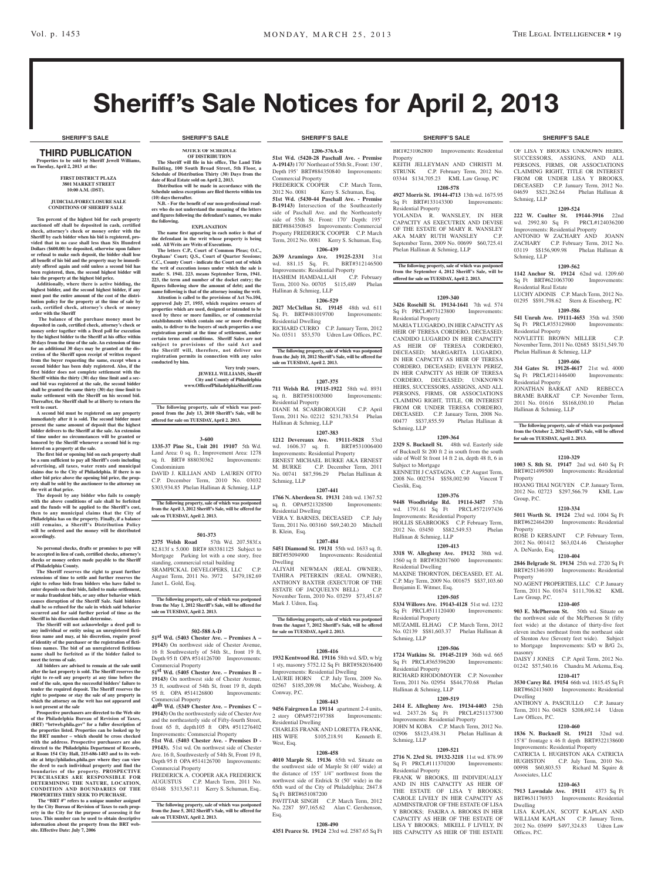# Sheriff's Sale Notices for April 2, 2013

#### third PUBLICATION **Properties to be sold by Sheriff Jewell Williams, on Tuesday, April 2, 2013 at the:**

#### **First District Plaza 3801 Market Street 10:00 A.M. (DST).**

#### **JUDICIAL/FORECLOSURE SALE CONDITIONS OF SHERIFF SALE**

**Ten percent of the highest bid for each property**  auctioned off shall be deposited in cash, certifi **check, attorney's check or money order with the Sheriff by each bidder when his bid is registered, pro-vided that in no case shall less than Six Hundred Dollars (\$600.00) be deposited, otherwise upon failure or refusal to make such deposit, the bidder shall lose all benefit of his bid and the property may be immediately offered again and sold unless a second bid has been registered, then, the second highest bidder will take the property at the highest bid price.**

hally, where there is active bidding, the **highest bidder, and the second highest bidder, if any must post the entire amount of the cost of the distri-bution policy for the property at the time of sale by cash, certified check, attorney's check or money order with the Sheriff**

 **The balance of the purchase money must be deposited in cash, certified check, attorney's check or money order together with a Deed poll for execution by the highest bidder to the Sheriff at his office within 30 days from the time of the sale. An extension of time for an additional 30 days may be granted at the discretion of the Sheriff upon receipt of written request from the buyer requesting the same, except when a second bidder has been duly registered. Also, if the first bidder does not complete settlement with the Sheriff within the thirty (30) day time limit and a second bid was registered at the sale, the second bidder shall be granted the same thirty (30) day time limit to make settlement with the Sheriff on his second bid. Thereafter, the Sheriff shall be at liberty to return the writ to court.**

**A second bid must be registered on any property immediately after it is sold. The second bidder must present the same amount of deposit that the highest bidder delivers to the Sheriff at the sale. An extension of the sale. of time under no circumstances will be granted or honored by the Sheriff whenever a second bid is registered on a property at the sale.** 

**The first bid or opening bid on each property shall be a sum sufficient to pay all Sheriff's costs including advertising, all taxes, water rents and municipal claims due to the City of Philadelphia. If there is no other bid price above the opening bid price, the property shall be sold by the auctioneer to the attorney on the writ at that price.**

**The deposit by any bidder who fails to comply with the above conditions of sale shall be forfeited and the funds will be applied to the Sheriff's cost, then to any municipal claims that the City of Philadelphia has on the property. Finally, if a balance still remains, a Sheriff's Distribution Policy will be ordered and the money will be distributed accordingly.**

**No personal checks, drafts or promises to pay will be accepted in lieu of cash, certified checks, attorney's checks or money orders made payable to the Sheriff of Philadelphia County.**

**The Sheriff reserves the right to grant further extensions of time to settle and further reserves the right to refuse bids from bidders who have failed to enter deposits on their bids, failed to make settlement, or make fraudulent bids, or any other behavior which causes disruption of the Sheriff Sale. Said bidders**  shall be so refused for the sale in which **s occurred and for said further period of time as the** 

**Sheriff in his discretion shall determine. The Sheriff will not acknowledge a deed poll to any individual or entity using an unregistered fictitious name and may, at his discretion, require proof of identity of the purchaser or the registration of fictitious names. The bid of an unregistered fictitious name shall be forfeited as if the bidder failed to meet the terms of sale.**

**All bidders are advised to remain at the sale until after the last property is sold. The Sheriff reserves the right to re-sell any property at any time before the end of the sale, upon the successful bidders' failure to tender the required deposit. The Sheriff reserves the right to postpone or stay the sale of any property in which the attorney on the writ has not appeared and is not present at the sale**

**Prospective purchasers are directed to the Web site of the Philadelphia Bureau of Revision of Taxes, (BRT) "brtweb.phila.gov" for a fuller description of the properties listed. Properties can be looked up by the BRT number – which should be cross checked with the address. Prospective purchasers are also directed to the Philadelphia Department of Records, at Room 154 City Hall, 215-686-1483 and to its website at http://philadox.phila.gov where they can view the deed to each individual property and find the boundaries of the property. PROSPECTIVE PURC HASER S ARE RE SPONSIBLE FOR DETERMINING THE NATURE , LOCATION, CONDITION AND BOUNDARIES OF THE PROPERTIES THEY SEEK TO PURCHASE.**

The "BRT #" refers to a unique number assigned **by the City Bureau of Revision of Taxes to each property in the City for the purpose of assessing it for taxes. This number can be used to obtain descriptive information about the property from the BRT web-site. Effective Date: July 7, 2006**

#### **NOTICE OF SCHEDULE OF DISTRIBUTION The Sheriff will file in his office, The Land Title Building, 100 South Broad Street, 5th Floor, a Schedule of Distribution Thirty (30) Days from the**

**date of Real Estate sold on April 2, 2013. Distribution will be made in accordance with the Schedule unless exceptions are filed thereto within ten (10) days thereafter.**

**N.B. - For the benefit of our non-professional readers who do not understand the meaning of the letters and figures following the defendant's names, we make the following. EXPLANATION**

**The name first appearing in each notice is that of the defendant in the writ whose property is being sold. All Writs are Writs of Executions.**

**The letters C.P., Court of Common Pleas; O.C.,**  Orphans' Court; Q.S., Court of Quarter Sessio **C.C., County Court - indicate the Court out of which the writ of execution issues under which the sale is made: S. 1941. 223. means September Term, 1941. 223, the term and number of the docket entry; the figures following show the amount of debt; and the name following is that of the attorney issuing the writ.**

**Attention is called to the provisions of Act No.104, approved July 27, 1955, which requires owners of properties which are used, designed or intended to be used by three or more families, or of commercial establishments which contain one or more dwelling units, to deliver to the buyers of such properties a use registration permit at the time of settlement, under certain terms and conditions. Sheriff Sales are not**  subject to provisions of the said Act and **the Sheriff will, therefore, not deliver use registration permits in connection with any sales conducted by him.**

> **JEWELL WILLIAMS, Sheriff City and County of Philadelphia www.OfficeofPhiladelphiaSheriff.com**

**Very truly yours,**

**The following property, sale of which was post-poned from the July 13, 2010 Sheriff's Sale, will be offered for sale on TUESDAY, April 2. 2013.**

#### **3-600**

**1335-37 Pine St., Unit 201 19107** 5th Wd. Land Area: 0 sq. ft.; Improvement Area: 1278<br>sq. ft. BRT# 888030362 Improvements: sq. ft. BRT# 888030362 Condominium

DAVID J. KILLIAN AND LAUREN OTTO C.P. December Term, 2010 No. 03032 \$303,934.85 Phelan Hallinan & Schmieg, LLP

**The following property, sale of which was postponed from the April 3, 2012 Sheriff's Sale, will be offered for sale on TUESDAY, April 2. 2013.**

## **501-373**

**2375 Welsh Road** 57th Wd. 207.583f.x 82.813f x 5.000 BRT# 883381125 Subject to Mortgage Parking lot with a one story, free standing, commercial retail building SRAMPICKAL DEVELOPERS, LLC C.P. August Term, 2011 No. 3972 \$479,182.69 Janet L. Gold, Esq.

**The following property, sale of which was postponed from the May 1, 2012 Sheriff's Sale, will be offered for sale on TUESDAY, April 2. 2013.**

#### **502-588 A-D**

**51st Wd. (5403 Chester Ave. – Premises A – 19143)** On northwest side of Chester Avenue, 16 ft Southwesterly of 54th St., front 19 ft, Depth 95 ft OPA #514126700 Improvements: Commercial Property

**51st Wd. (5405 Chester Ave. – Premises B – 19143)** On northwest side of Chester Avenue, 35 ft, southwest of 54th St, front 19 ft, depth 95 ft. OPA #514126800 Improvements: Commercial Property

**40th Wd. (5349 Chester Ave. – Premises C – 19143)** On the northwesterly side of Chester Ave and the northeasterly side of Fifty-fourth Street, front 65 ft, depth105 ft OPA #511276402 Imercial Property

**51st Wd. (5403 Chester Ave. - Premises D - 19143).** 51st wd. On northwest side of Chester Ave. 16 ft, Southwesterly of 54th St, Front 19 ft, Depth 95 ft OPA #514126700 Improvements: Commercial Property

FREDERICK A. COOPER AKA FREDERICK AUGUSTUS C.P. March Term, 2011 No. 03448 \$313,567.11 Kerry S. Schuman, Esq..

**The following property, sale of which was postponed from the June 5, 2012 Sheriff's Sale, will be offered for sale on TUESDAY, April 2. 2013.**

### **SHERIFF'S SALE SHERIFF'S SALE SHERIFF'S SALE SHERIFF'S SALE SHERIFF'S SALE**

**1206-376A-B 51st Wd. (5420-28 Paschall Ave. - Premise** 

**A-19143)** 170' Northeast of 55th St., Front: 130', Depth 195' BRT#884350840 Improvements: Commercial Property FREDERICK COOPER C.P. March Term, 2012 No. 0081 Kerry S. Schuman, Esq. **51st Wd. (5430-44 Paschall Ave. - Premise** 

**B-19143)** Intersection of the Southeasterly side of Paschall Ave. and the Northeasterly side of 55th St. Front: 170' Depth: 195' BRT#884350845 Improvements: Commercial Property FREDERICK COOPER C.P. March Term, 2012 No. 0081 Kerry S. Schuman, Esq.

## **1206-439**

**2639 Aramingo Ave. 19125-2331** 31st wd. 881.15 Sq. Ft. BRT#312146500 Improvements: Residential Property HASHEM HAMDALLAH C.P. February Term, 2010 No. 00705 \$115,489 Phelan Hallinan & Schmieg, LLP

## **1206-529**

**2027 McClellan St. 19145** 48th wd. 611 Sq. Ft. BRT#481019700 Improvements: Residential Dwelling

RICHARD CURRO C.P. January Term, 2012 No. 03511 \$53,570 Udren Law Offices, P.C.

**The following property, sale of which was postponed from the July 10, 2012 Sheriff's Sale, will be offered for sale on TUESDAY, April 2. 2013.**

## **1207-375**

**711 Welsh Rd. 19115-1922** 58th wd. 8931 sq. ft. BRT#581003000 Residential Property DIANE M. SCARBOROUGH C.P. April Term, 2011 No. 02212 \$231,783.54 Phelan Hallinan & Schmieg, LLP

**1207-383**

**1212 Devereaux Ave. 19111-5828** 53rd wd. 1606.37 sq. ft. BRT#531006400 Improvements: Residential Property ERNEST MICHAEL BURKE AKA ERNEST M. BURKE C.P. December Term, 2011 No. 00741 \$87,596.29 Phelan Hallinan & Schmieg, LLP

#### **1207-441**

**1766 N. Aberdeen St. 19131** 24th wd. 1367.52 sq. ft. OPA#521328500 Improvements: Residential Dwelling VERA Y. BARNES, DECEASED C.P. July Term, 2011 No. 003160 \$69,240.20 Mitchell B. Klein, Esq.

#### **1207-484**

**5451 Diamond St. 19131** 55th wd. 1633 sq. ft. BRT#55094900 Improvements: Residential Dwelling

ALIYAH NEWMAN (REAL OWNER), TAHIRA PETERKIN (REAL OWNER), ANTHONY BAXTER (EXECUTOR OF THE ESTATE OF JACQUELYN BELL) November Term, 2010 No. 03259 \$73,451.67 Mark J. Udren, Esq.

**The following property, sale of which was postponed from the August 7, 2012 Sheriff's Sale, will be offered for sale on TUESDAY, April 2. 2013.**

#### **1208-416**

**1932 Kentwood Rd. 19116** 58th wd. S/D, w b/g 1 sty, masonry 5752.12 Sq Ft BRT#582036400 Improvements: Residential Dwelling LAURIE HORN C.P. July Term, 2009 No. 02567 \$185,209.98 McCabe, Weisberg, & Conway, P.C.

#### **1208-443**

**9456 Fairgreen Ln 19114** apartment 2-4 units, 2 story OPA#572197388 Improvements: Residential Dwelling CHARLES FRANK AND LORETTA FRANK, HIS WIFE \$105,218.91 Kenneth E

### West, Esq. **1208-458**

**4010 Marple St. 19136** 65th wd. Situate on the southwest side of Marple St (40' wide) at the distance of 155' 1/4" northwest from the northwest side of Erdrick St (50' wide) in the 65th ward of the City of Philadelphia; 2847.8 Sq Ft BRT#651087200

PAVITTAR SINGH C.P. March Term, 2012 No. 2287 \$97,165.62 Alan C. Gershenson, Esq.

#### **1208-490 4351 Pearce St. 19124** 23rd wd. 2587.65 Sq Ft

BRT#231062800 Improvements: Residential **Property** KEITH JELLEYMAN AND CHRISTI M. STRUNK C.P. February Term, 2012 No. 03344 \$134,705.23 KML Law Group, PC

**1208-578 4927 Morris St. 19144-4713** 13th wd. 1675.95 Sq Ft BRT#133143300 Improvements:

Residential Property YOLANDA R. WANSLEY, IN HER CAPACITY AS EXECUTRIX AND DEVISE OF THE ESTATE OF MARY R. WANSLEY AKA MARY RUTH WANSLEY C.P. September Term, 2009 No. 00699 \$60,725.41 Phelan Hallinan & Schmieg, LLP

**The following property, sale of which was postponed from the September 4, 2012 Sheriff's Sale, will be offered for sale on TUESDAY, April 2. 2013.**

#### **1209-340**

**3426 Rosehill St. 19134-1641** 7th wd. 574 Sq Ft PRCL#073123800 Residential Property

MARIA T LUGARDO, IN HER CAPACITY AS HEIR OF TERESA CORDERO, DECEASED; CANDIDO LUGARDO IN HER CAPACITY AS HEIR OF TERESA CORDERO, DECEASED; MARGARITA LUGARDO, IN HER CAPACITY AS HEIR OF TERESA CORDERO, DECEASED; EVELYN PEREZ, IN HER CAPACITY AS HEIR OF TERESA CORDERO, DECEASED; UNKNOWN HEIRS, SUCCESSORS, ASSIGNS, AND ALL PERSONS, FIRMS, OR ASSOCIATIONS CLAIMING RIGHT, TITLE, OR INTEREST FROM OR UNDER TERESA CORDERO DECEASED. C.P. January Term, 2008 No. 00477 \$\$37,855.59 Phelan Hallinan & Schmieg, LLP

## **1209-364**

**2329 S. Bucknell St.** 48th wd. Easterly side of Bucknell St 200 ft 2 in south from the south side of Wolf St front  $14 \text{ ft } 2 \text{ in, depth } 48 \text{ ft, } 6 \text{ in }$ Subject to Mortgage KENNETH J CASTAGNA C.P. August Term, 2008 No. 002754 \$\$58,002.90 Vincent T Cieslik, Esq.

## **1209-376**

**9448 Woodbridge Rd. 19114-3457** 57th wd. 1791.61 Sq Ft PRCL#572197436 Improvements: Residential Property HOLLIS SEABROOKS C.P. February Term, 2012 No. 03450 \$\$82,549.53 Phelan Hallinan & Schmieg, LLP

#### **1209-413 3318 W. Allegheny Ave. 19132** 38th wd.

1560 sq ft BRT#382017600 Improvements: Residential Dwelling MAXINE THORNTON, DECEASED, ET. AL C.P. May Term, 2009 No. 001675 \$\$37,103.60 Benjamin E. Witmer, Esq.

### **1209-505**

**5334 Willows Ave. 19143-4128** 51st wd. 1232 Sq Ft PRCL#511120400 Residential Property MUZAMIL ELHAG C.P. March Term, 2012 No. 02139 \$\$81,603.37 Phelan Hallinan & Schmieg, LLP

## **1209-506**

**1724 Watkins St. 19145-2119** 36th wd. 665 Sq Ft PRCL#365396200 Improvements: Residential Property RICHARD RHODOMOYER C.P. November Term, 2011 No. 02954 \$\$44,770.68 Phelan Hallinan & Schmieg, LLP

#### **1209-519**

**2414 E. Allegheny Ave. 19134-4403** 25th wd. 2437.26 Sq Ft PRCL#251137300 Improvements: Residential Property JOHN M KOBA C.P. March Term, 2012 No.  $$8123,438.31$  Phelan Hallin Schmieg, LLP

## **1209-521**

**2716 N. 23rd St. 19132-3218** 11st wd. 878.99 Sq Ft PRCL#111370200 Residential Property FRANK W BROOKS, III INDIVIDUALLY AND IN HIS CAPACITY AS HEIR OF THE ESTATE OF LISA Y BROOKS; CAROLE LIVELY IN HER CAPACITY AS ADMINSTRATOR OF THE ESTATE OF LISA Y BROOKS; FAKIRA A. BROOKS IN HER CAPACITY AS HEIR OF THE ESTATE OF LISA Y BROOKS; MIKELL F LIVELY, IN HIS CAPACITY AS HEIR OF THE ESTATE

OF LISA Y BROOKS UNKNOWN HEIRS, SUCCESSORS, ASSIGNS, AND ALL PERSONS, FIRMS, OR ASSOCIATIONS CLAIMING RIGHT, TITLE OR INTEREST FROM OR UNDER LISA Y BROOKS, DECEASED C.P. January Term, 2012 No. 04659 \$\$21,262.64 Phelan Hallinan & Schmieg, LLP

#### **1209-524**

**222 W. Coulter St. 19144-3916** 22nd wd. 2992.80 Sq Ft Improvements: Residential Property ANTONIO W ZACHARY AND JOANN ZACHARY C.P. February Term, 2012 No. 03119 \$\$156,909.98 Schmieg, LLP

#### **1209-562**

Phelan Hallinan & Schmieg, LLP

Residential Property

Property

Property

Property

masonry

Dwelling

Law Offices, P.C.

Associates, LLC

Dwelling

Offices, P.C.

A. DeNardo, Esq.

Law Group, P.C.

Group, P.C.

Hallinan & Schmieg, LLP

**for sale on TUESDAY, April 2. 2013.**

**1142 Anchor St. 19124** 62nd wd. 1209.60 Sq Ft BRT#621063700 Residential Real Estate LUCHY ADONIS C.P. March Term, 2012 No. 01295 \$\$91,798.62 Stern & Eisenberg, PC

#### **1209-586 541 Unruh Ave. 19111-4653** 35th wd. 3500 Sq Ft PRCL#353129800 Improvements: Residential Property NOVLETTE BROWN MILLER C.P. November Term, 2011 No. 02685 \$\$151,549.70

**1209-606 314 Gates St. 19128-4617** 21st wd. 4000 Sq Ft PRCL#211446400 Improvements:

JONATHAN BARKAT AND REBECCA BRAME BARKAT C.P. November Term, 2011 No. 01616 \$\$168,030.10 Phelan

**The following property, sale of which was postponed from the October 2, 2012 Sheriff's Sale, will be offered** 

**1210-329 1003 S. 8th St. 19147** 2nd wd. 640 Sq Ft BRT#021499500 Improvements: Residential

HOANG THAI NGUYEN C.P. January Term, 2012 No. 02723 \$297,566.79 KML Law

**1210-334 5011 Worth St. 19124** 23rd wd. 1004 Sq Ft BRT#622464200 Improvements: Residential

ROSE D KERSAINT C.P. February Term, 2012 No. 001412 \$63,024.46 Christopher

**1210-404 2846 Belgrade St. 19134** 25th wd. 2720 Sq Ft BRT#251346100 Improvements: Residential

NO AGENT PROPERTIES, LLC C.P. January Term, 2011 No. 01674 \$111,706.82 KML

**1210-405 903 E. McPherson St.** 50th wd. Situate on the northwest side of the McPherson St (fifty feet wide) at the distance of thirty-five feet eleven inches northeast from the northeast side of Stenton Ave (Seventy feet wide). Subject to Mortgage Improvements: S/D w B/G 2s,

DAISY J JONES C.P. April Term, 2012 No. 01242 \$57,540.16 Chandra M. Arkema, Esq. **1210-417 3530 Carey Rd. 19154** 66th wd. 1815.45 Sq Ft BRT#662413600 Improvements: Residential

ANTHONY A. PASCIULLO C.P. January Term, 2011 No. 04828 \$208,692.14 Udren

**1210-460 1836 N. Bucknell St. 19121** 32nd wd. 15'8" frontage x 46 ft depth BRT#322138600 Improvements: Residential Property CATRICIA L HUGHSTON AKA CATRICIA HUGHSTON C.P. July Term, 2010 No. 00998 \$60,803.53 Richard M. Squire &

**1210-463 7913 Lawndale Ave. 19111** 4373 Sq Ft BRT#631176933 Improvements: Residential

LISA KAPLAN, SCOTT KAPLAN AND WILLIAM KAPLAN C.P. January Term, 2012 No. 03699 \$497,324.83 Udren Law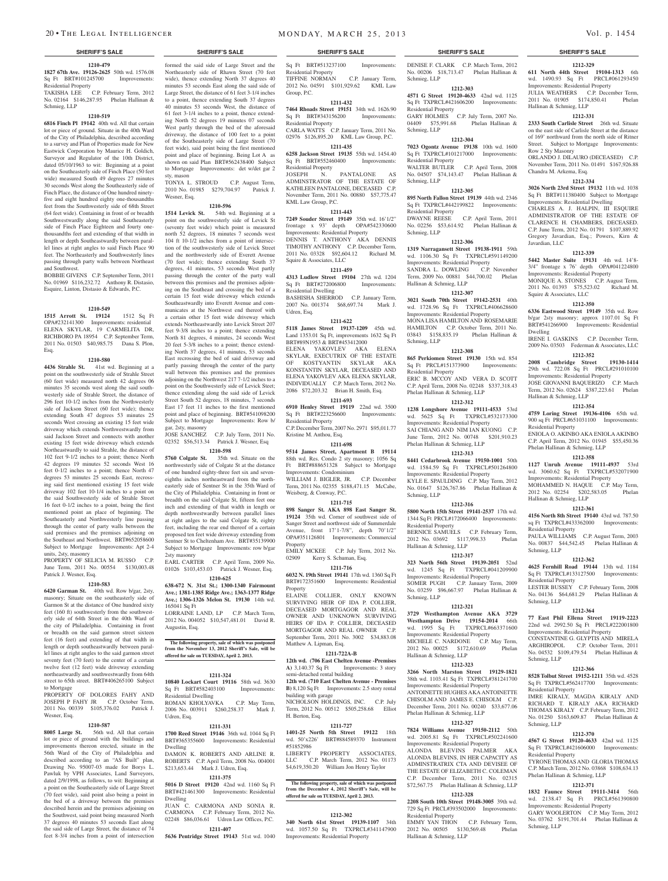#### **1210-479 1827 67th Ave. 19126-2625** 50th wd. 1576.08 Sq Ft BRT#101245700 Improvements: Residential Property

TAKISHA LEE C.P. February Term, 2012 No. 02164 \$146,287.95 Phelan Hallinan & Schmieg, LLP

### **1210-519**

**6816 Finch Pl 19142** 40th wd. All that certain lot or piece of ground. Situate in the 40th Ward of the City of Philadelphia, described according to a survey and Plan of Properties made for New Eastwick Corporation by Maurice H. Goldich, Surveyor and Regulator of the 10th District, dated 05/10/1963 to wit: Beginning at a point on the Southeasterly side of Finch Place (50 feet wide) measured South 49 degrees 27 minutes 30 seconds West along the Southeasterly side of Finch Place, the distance of One hundred ninetyfive and eight hundred eighty one-thousandths feet from the Southwesterly side of 68th Street (64 feet wide). Containing in front of or breadth Southwestwardly along the said Southeasterly side of Finch Place Eighteen and fourty onethousandths feet and extending of that width in length or depth Southeastwardly between parallel lines at right angles to said Finch Place 90 feet. The Northeasterly and Southwesterly lines passing through party walls between Northeast and Southwest.

BOBBIE GIVENS C.P. September Term, 2011 No. 01969 \$116,232.72 Anthony R. Distasio, Esquire, Linton, Distasio & Edwards, P.C.

## **1210-549**

**1515 Arrott St. 19124** 1512 Sq Ft OPA#232141300 Improvements: residential ELENA SKYLAR, 19 CARMELITA DR, RICHBORO PA 18954 C.P. September Term, 2011 No. 01503 \$40,985.75 Dana S. Plon, Esq.

## **1210-580**

**4436 Strahle St.** 41st wd. Beginning at a point on the southwesterly side of Strahle Street (60 feet wide) measured north 42 degrees 06 minutes 35 seconds west along the said southwesterly side of Strahle Street, the distance of 296 feet 10-1/2 inches from the Northwesterly side of Jackson Street (60 feet wide); thence extending South 47 degrees 53 minutes 25 seconds West crossing an existing 15 feet wide driveway which extends Northwestwardly from said Jackson Street and connects with another existing 15 feet wide driveway which extends Northeastwardly to said Strahle, the distance of 102 feet 9-1/2 inches to a point; thence North 42 degrees 19 minutes 52 seconds West 16 feet 0-1/2 inches to a point; thence North 47 degrees 53 minutes 25 seconds East, recrossing said first mentioned existing 15 feet wide driveway 102 feet 10-1/4 inches to a point on the said Southwesterly side of Strahle Street 16 feet 0-1/2 inches to a point, being the first mentioned point an place of beginning. The Southeasterly and Northwesterly line passing through the center of party walls between the said premises and the premises adjoining on the Southeast and Northwest. BRT#652058600 Subject to Mortgage Improvements: Apt 2-4 units, 2sty, masonry

PROPERTY OF SELICIA M. RUSSO C.P. June Term, 2011 No. 00554 \$130,003.48 Patrick J. Wesner, Esq.

#### **1210-583**

**6420 Garman St.** 40th wd. Row b/gar, 2sty, masonry; Situate on the southeasterly side of Garmon St at the distance of One hundred sixty feet (160 ft) southwesterly from the southwesterly side of 64th Street in the 40th Ward of the city of Philadelphia. Containing in front or breadth on the said garmon street sixteen feet (16 feet) and extending of that width in length or depth southeastwardly between parallel lines at right angles to the said garmon street seventy feet (70 feet) to the center of a certain twelve feet (12 feet) wide driveway extending northeastwardly and southwestwardly from 64th street to 65th street. BRT#406265100 Subject to Mortgage

PROPERTY OF DOLORES FAHY AND JOSEPH P FAHY JR C.P. October Term, 2011 No. 00339 \$105,376.02 Patrick J. Wesner, Esq.

#### **1210-587**

**8005 Large St.** 56th wd. All that certain lot or piece of ground with the buildings and improvements thereon erected, situate in the 56th Ward of the City of Philadelphia and described according to an "AS Built" plan Drawing No. 95007-03 made for Borys L. Pawluk by VPH Associates, Land Surveyors, dated 2/9/1998, as follows, to wit: Beginning at a point on the Southeasterly side of Large Street (70 feet wide), said point also being a point in the bed of a driveway between the premises described herein and the premises adjoining on the Southwest, said point being measured North 37 degrees 40 minutes 53 seconds East along the said side of Large Street, the distance of 74 feet 8-3/4 inches from a point of intersection

## formed the said side of Large Street and the Northeasterly side of Rhawn Street (70 feet wide), thence extending North 37 degrees 40 minutes 53 seconds East along the said side of Large Street, the distance of 61 feet 3-1/4 inches to a point, thence extending South 37 degrees

40 minutes 53 seconds West, the distance of 61 feet 3-1/4 inches to a point, thence extending North 52 degrees 19 minutes 07 seconds West partly through the bed of the aforesaid driveway, the distance of 100 feet to a point of the Southeasterly side of Large Street (70 feet wide), said point being the first mentioned point and place of beginning. Being Lot A as shown on said Plan BRT#562438400 Subject to Mortgage Improvements: det w/det gar 2 sty, mason

TONYA L. STROUD C.P. August Term, 2010 No. 01985 \$279,704.97 Patrick J. Wesner, Esq.

#### **1210-596**

**1514 Levick St.** 54th wd. Beginning at a point on the southwesterly side of Levick St (seventy feet wide) which point is measured north 52 degrees, 18 minutes 7 seconds west 104 ft 10-1/2 inches from a point of intersection of the southwesterly side of Levick Street and the northwesterly side of Everett Avenue (70 feet wide); thence extending South 37 degrees, 41 minutes, 53 seconds West partly passing through the center of the party wall between this premises and the premises adjoining on the Southeast and crossing the bed of a certain 15 feet wide driveway which extends Southeastwardly into Everett Avenue and communicates at the Northwest end thereof with a certain other 15 feet wide driveway which extends Northeastwardly into Levick Street 207 feet 9-3/8 inches to a point; thence extending North 81 degrees, 4 minutes, 24 seconds West 20 feet 5-3/8 inches to a point; thence extending North 37 degrees, 41 minutes, 53 seconds East recrossing the bed of said driveway and partly passing through the center of the party wall between this premises and the premises adjoining on the Northwest 217 7-1/2 inches to a point on the Southwesterly side of Levick Steet; thence extending along the said side of Levick Street South 52 degrees, 18 minutes, 7 seconds East 17 feet 11 inches to the first mentioned point and place of beginning. BRT#541098200 Subject to Mortgage Improvements: Row b/ gar, 2sty, masonry

JOSE SANCHEZ C.P. July Term, 2011 No. 02352 \$56,513.34 Patrick J. Wesner, Esq

**1210-598 5760 Colgate St.** 35th wd. Situate on the northwesterly side of Colgate St at the distance of one hundred eighty-three feet six and seveneighths inches northeastward from the northeasterly side of Sentner St in the 35th Ward of the City of Philadelphia. Containing in front or breadth on the said Colgate St, fifteen feet one inch and extending of that width in length or depth northwestwardly between parallel lines at right anlges to the said Colgate St, eighty feet, including the rear end thereof of a certain proposed ten feet wide driveway extending from

Sentner St to Cheltenham Ave. BRT#35139900 Subject to Mortgage Improvements: row b/gar 2sty masonry EARL CARTER C.P. April Term, 2009 No. 01026 \$103,453.03 Patrick J. Wesner, Esq. **1210-625**

**638-672 N. 31st St.; 1300-1340 Fairmount Ave.; 1381-1385 Ridge Ave.; 1363-1377 Ridge Ave.; 1306-1326 Melon St. 19130** 14th wd. 165041 Sq Ft

LORRAINE LAND, LP C.P. March Term, 2012 No. 004052 \$10,547,481.01 David R. Augustin, Esq.

**The following property, sale of which was postponed from the November 13, 2012 Sheriff's Sale, will be offered for sale on TUESDAY, April 2. 2013.**

### **1211-324**

**10840 Lockart Court 19116** 58th wd. 3630 Sq Ft BRT#582403100 Improvements: Residential Dwelling ROMAN KHOLYAVKA C.P. May Term, 2006 No. 003911 \$260,258.37 Mark J. Udren, Esq.

#### **1211-331 1700 Reed Street 19146** 36th wd. 1044 Sq Ft BRT#365355600 Improvements: Residential Dwelling

DAMON K. ROBERTS AND ARLINE R. ROBERTS C.P. April Term, 2008 No. 004001 \$213,653.44 Mark J. Udren, Esq. **1211-375**

**5016 D Street 19120** 42nd wd. 1160 Sq Ft BRT#421461300 Improvements: Residential Dwelling JUAN C. CARMONA AND SONIA R.

## CARMONA C.P. February Term, 2012 No. 02248 \$86,036.61 Udren Law Offices, P.C.

**1211-407 5636 Pentridge Street 19143** 51st wd. 1040

## 20 • THE LEGAL INTELLIGENCER MONDAY, MARCH 25, 2013 Vol. p. 1454

#### **SHERIFF'S SALE SHERIFF'S SALE SHERIFF'S SALE SHERIFF'S SALE SHERIFF'S SALE**

Sq Ft BRT#513237100 Improvements: Residential Property TIFFINE NORMAN C.P. January Term, 2012 No. 04591 \$101,929.62 KML Law Group, P.C.

## **1211-432**

**7464 Rhoads Street 19151** 34th wd. 1626.90 Sq Ft BRT#343156200 Improvements: Residential Property CARLA WATTS C.P. January Term, 2011 No. 02976 \$126,895.20 KML Law Group, P.C.

## **1211-435**

**6258 Jackson Street 19135** 55th wd. 1454.40 Sq Ft BRT#552460400 Improvements: Residential Property JOSEPH N. PANTALONE

ADMINSTRATOR OF THE ESTATE OF KATHLEEN PANTALONE, DECEASED C.P. November Term, 2011 No. 00880 \$57,775.47 KML Law Group, P.C.

## **1211-443**

**7249 Souder Street 19149** 35th wd. 16'1/2" frontage x 93' depth OPA#542330600 Improvements: Residential Property DENNIS T. ANTHONY AKA DENNIS TIMOTHY ANTHONY C.P. December Term, 2011 No. 03328 \$92,604.12 Richard M. Squire & Associates, LLC

## **1211-459**

**4313 Ludlow Street 19104** 27th wd. 1204 Sq Ft BRT#272006800 Residential Dwelling BASHISHA SHERROD C.P. January Term, 2007 No. 001374 \$68,697.74 Mark J.

Udren, Esq. **1211-622**

**5118 James Street 19137-1209** 45th wd. Land 1353.01 Sq Ft, improvements 1632 Sq Ft BRT#89N1953 & BRT#453412000 ELENA YAKOVLEV AKA ELEN SKYLAR, EXECUTRIX OF THE ESTATE OF KOSTYANTIN SKYLAR AKA KONSTANTIN SKYLAR, DECEASED AND ELENA YAKOVLEV AKA ELENA SKYLAR, INDIVIDUALLY C.P. March Term, 2012 No. 2086 \$72,203.32 Brian H. Smith, Esq.

## **1211-693**

**6910 Henley Street 19119** 22nd wd. 3500 Sq Ft BRT#223256600 Improvements: Residential Property C.P. December Term, 2007 No. 2971 \$95,011.77

Kristine M. Anthou, Esq. **1211-698**

#### **9514 James Street, Apartment B 19114**  88th wd. Res. Condo 2 sty masonry; 1056 Sq Ft BRT#888651328 Subject to Mortgage Improvements: Condominium WILLIAM J. BIGLER, JR. C.P. December Term, 2011 No. 02355 \$188,471.15 McCabe,

Weisberg, & Conway, P.C. **1211-715**

**898 Sanger St. AKA 898 East Sanger St. 19124** 35th wd. Corner of southwest side of Sanger Street and northwest side of Summerdale Avenue, front 17'1-7/8", depth 70'1/2" OPA#351126801 Improvements: Commercial Property

EMILY MCKEE C.P. July Term, 2012 No.<br>02909 Kerry S. Schuman, Esq. Kerry S. Schuman, Esq. **1211-716**

**6032 N. 19th Street 19141** 17th wd. 1360 Sq Ft BRT#172351600 Improvements: Residential Property

ELAINE COLLIER, ONLY KNOWN SURVIVING HEIR OF IDA P. COLLIER, DECEASED MORTGAGOR AND REAL OWNER AND UNKNOWN SURVIVING HEIRS OF IDA P. COLLIER, DECEASED MORTGAGOR AND REAL OWNER C.P. September Term, 2011 No. 3002 \$34,883.08 Matthew A. Lipman, Esq.

## **1211-722A-B**

**12th wd. (706 East Chelten Avenue -Premises A)** 3,140.37 Sq Ft Improvements: 3 story semi-detached rental building

**12th wd. (710 East Chelten Avenue - Premises B**) 8,120 Sq Ft Improvements: 2.5 story rental building with garage

NICHOLSON HOLDINGS, INC. C.P. July Term, 2012 No. 00512 \$505,258.68 Elliot H. Berton, Esq.

#### **1211-727**

**1401-25 North 5th Street 19122** 18th wd. 50'x226' BRT#884589370 Instrument #51852986

LIBERTY PROPERTY ASSOCIATES, LLC C.P. March Term, 2012 No. 01173 \$4,619,350.20 William Jon Henry Taylor

#### The following property, sale of which was postp **from the December 4, 2012 Sheriff's Sale, will be offered for sale on TUESDAY, April 2. 2013.**

#### **1212-302**

**340 North 61st Street 19139-1107** 34th wd. 1057.50 Sq Ft TXPRCL#341147900 Improvements: Residential Property

## DENISE F. CLARK C.P. March Term, 2012

**1212-329 611 North 44th Street 19104-1313** 6th wd. 1490.93 Sq Ft PRCL#061293450 Improvements: Residential Property JULIA WEATHERS C.P. December Term, 2011 No. 01905 \$174,850.41 Phelan

**1212-331 2333 South Carlisle Street** 26th wd. Situate on the east side of Carlisle Street at the distance of 169' northward from the north side of Ritner Street. Subject to Mortgage Improvements:

ORLANDO J. DILAURO (DECEASED) C.P. November Term, 2011 No. 01491 \$167,926.88

**1212-334 3026 North 23rd Street 19132** 11th wd. 1038 Sq Ft BRT#111380400 Subject to Mortgage Improvements: Residential Dwelling CHARLES A. J. HALPIN, III ESQUIRE ADMINISTRATOR OF THE ESTATE OF CLARENCE H. CHAMBERS, DECEASED. C.P. June Term, 2012 No. 01791 \$107,889.92 Gregory Javardian, Esq.; Powers, Kirn &

**1212-339 5442 Master Suite 19131** 4th wd. 14'8- 3/4" frontage x 76' depth OPA#041224800 Improvements: Residential Property MONIQUE A. STONES C.P. August Term, 2011 No. 01393 \$75,523.02 Richard M.

**1212-350 6336 Eastwood Street 19149** 35th wd. Row b/gar 2sty masonry; approx 1107.01 Sq Ft BRT#541266900 Improvements: Residential

IRENE I. GASKINS C.P. December Term, 2009 No. 03503 Federman & Associates, LLC **1212-352 2008 Cambridge Street 19130-1414**  29th wd. 722.08 Sq Ft PRCL#291010100 Improvements: Residential Property JOSE GIOVANNI BAOUERIZO C.P. March Term, 2012 No. 02624 \$387,223.61 Phelan

**1212-354 4759 Loring Street 19136-4106** 65th wd. 900 sq Ft PRCL#651031100 Improvements:

ENIOLA O. AKINBO AKA ENIOLA AKINBO C.P. April Term, 2012 No. 01945 \$55,450.36

**1212-358 1127 Unruh Avenue 19111-4937** 53rd wd. 3060.62 Sq Ft TXPRCL#532071900 Improvements: Residential Property MOHAMMED N. HAQUE C.P. May Term, 2012 No. 02254 \$202,583.05 Phelan

**1212-361 4156 North 8th Street 19140** 43rd wd. 787.50 sq Ft TXPRCL#433362000 Improvements:

PAULA WILLIAMS C.P. August Term, 2003 No. 00837 \$44,542.45 Phelan Hallinan &

**1212-362 4625 Fernhill Road 19144** 13th wd. 1184 Sq Ft TXPRCL#133127500 Improvements:

LESTER BUSSEY C.P. February Term, 2008 No. 04136 \$64,681.29 Phelan Hallinan &

**1212-364 77 East Phil Ellena Street 19119-2223**  22nd wd. 2992.50 Sq Ft PRCL#222001800 Improvements: Residential Property CONSTANTINE G. GLYPTIS AND MIRELA ARGHIROPOL C.P. October Term, 2011 No. 04532 \$109,479.54 Phelan Hallinan &

**1212-366 8528 Tolbut Street 19152-1211** 35th wd. 4528 Sq Ft TXPRCL#562417700 Improvements:

IMRE KIRALY, MAGDA KIRALY A RICHARD T. KIRALY AKA RICHARD THOMAS KIRALY C.P. February Term, 2012 No. 01250 \$163,609.87 Phelan Hallinan &

**1212-370 4567 G Street 19120-4633** 42nd wd. 1125 Sq Ft TXPRCL#421606000 Improvements:

TYRONE THOMAS AND GLORIA THOMAS C.P. March Term, 2012 No. 03868 \$108,634.13

**1212-371 1832 Faunce Street 19111-3414** 56th wd. 2138.47 Sq Ft PRCL#561390800 Improvements: Residential Property GARY WOOLERTON C.P. May Term, 2012 No. 03762 \$191,701.44 Phelan Hallinan &

Phelan Hallinan & Schmieg, LLP

Hallinan & Schmieg, LLP

Row 2 Sty Masonry

Javardian, LLC

Dwelling

Squire & Associates, LLC

Hallinan & Schmieg, LLP

Phelan Hallinan & Schmieg, LLP

Hallinan & Schmieg, LLP

Residential Property

Residential Property

Schmieg, LLP

Schmieg, LLP

Schmieg, LLP

Schmieg, LLP

Schmieg, LLP

Residential Property

Residential Property

Residential Property

Chandra M. Arkema, Esq.

No. 00206 \$18,713.47 Phelan Hallinan & Schmieg, LLP **1212-303**

**4571 G Street 19120-4633** 42nd wd. 1125 Sq Ft TXPRCL#421606200 Improvements: Residential Property

GARY HOLMES C.P. July Term, 2007 No. 04409 \$75,991.68 Phelan Hallinan & Schmieg, LLP

#### **1212-304 7023 Ogontz Avenue 19138** 10th wd. 1600

Sq Ft TXPRCL#101217000 Improvements: Residential Property WALTER BUTLER C.P. April Term, 2008 No. 04507 \$74,143.47 Phelan Hallinan & Schmieg, LLP

#### **1212-305**

**895 North Fallon Street 19139** 44th wd. 2346 Sq Ft TXPRCL#442199822 Improvements: Residential Property DWAYNE REESE C.P. April Term, 2011

No. 02256 \$53,614.92 Phelan Hallinan & Schmieg, LLP

## **1212-306**

**1319 Narragansett Street 19138-1911** 59th wd. 1106.30 Sq Ft TXPRCL#591149200 Improvements: Residential Property SANDRA L. DOWLING C.P. November Term, 2009 No. 00881 \$44,700.02 Phelan Hallinan & Schmieg, LLP

## **1212-307**

**3021 South 70th Street 19142-2531** 40th wd. 1728.96 Sq Ft TXPRCL#406628600 Improvements: Residential Property MONA LISA HAMILTONAND ROSEMARIE HAMILTON C.P. October Term, 2011 No. 03843 \$158,835.19 Phelan Hallinan & Schmieg, LLP

#### **1212-308**

**865 Perkiomen Street 19130** 15th wd. 854 Sq Ft PRCL#151373900 Improvements: Residential Property ERIC B. MCCOY AND VERA D. SCOTT C.P. April Term, 2008 No. 02248 \$337,318.43 Phelan Hallinan & Schmieg, LLP

### **1212-312**

**1238 Longshore Avenue 19111-4533** 53rd wd. 5625 Sq Ft TXPRCL#532173300 Improvements: Residential Property SAI CHIANG AND NIM IAN KUONG C.P. June Term, 2012 No. 00748 \$201,910.23 Phelan Hallinan & Schmieg, LLP **1212-313**

## **8441 Cedarbrook Avenue 19150-1001** 50th

wd. 1584.59 Sq Ft TXPRCL#501264800 Improvements: Residential Property KYLE E. SPAULDING C.P. May Term, 2012 No. 01647 \$126,767.86 Phelan Hallinan & Schmieg, LLP

## **1212-316**

**5800 North 15th Street 19141-2537** 17th wd. 1344 Sq Ft PRCL#172066400 Improvements: Residential Property BERNICE SAMUELS C.P. February Term, 2012 No. 03692 \$117,998.33 Phelan Hallinan & Schmieg, LLP

### **1212-317**

**323 North 56th Street 19139-2051** 52nd wd. 1245 Sq Ft TXPRCL#041209900 Improvements: Residential Property SOMER PUGH C.P. January Term, 2009 No. 03259 \$96,667.97 Phelan Hallinan & Schmieg, LLP

#### **1212-321**

**3729 Westhampton Avenue AKA 3729 Westhampton Drive 19154-2014** 66th wd. 1995 Sq Ft TXPRCL#663371600 Improvements: Residential Property MICHELE C. NARDONE C.P. May Term, 2012 No. 00025 \$172,610.69 Phelan Hallinan & Schmieg, LLP

#### **1212-323**

**3266 North Marston Street 19129-1821**  38th wd. 1103.41 Sq Ft TXPRCL#381241700 Improvements: Residential Property ANTOINETTE HUGHES AKA ANTOINETTE CHISOLM AND JAMES E. CHISOLM C.P. December Term, 2011 No. 00240 \$33,677.06 Phelan Hallinan & Schmieg, LLP

### **1212-327**

**7824 Williams Avenue 19150-2112** 50th wd. 2005.81 Sq Ft TXPRCL#502241600 Improvements: Residential Property

ALONDA BLEVINS PALMER AKA ALONDA BLEVINS, IN HER CAPACITY AS ADMINSTRATRIX CTA AND DEVISEE OF THE ESTATE OF ELIZABETH C. COLEMAN C.P. December Term, 2011 No. 02315 \$72,567.75 Phelan Hallinan & Schmieg, LLP

**1212-328 2208 South 10th Street 19148-3005** 39th wd. 729 Sq Ft PRCL#393502000 Improvements:

EMMY YAN THON C.P. February Term, 2012 No. 00505 \$130,569.48 Phelan

Residential Property

Hallinan & Schmieg, LLP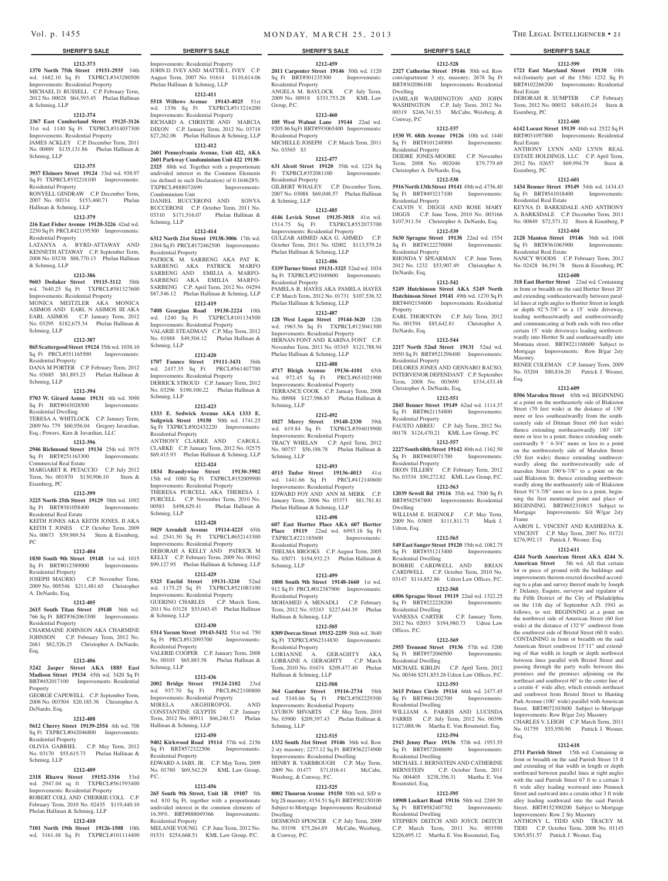#### **1212-373**

**1370 North 75th Street 19151-2935** 34th wd. 1682.10 Sq Ft TXPRCL#343280500 Improvements: Residential Property MICHAEL D. RUSSELL C.P. February Term, 2012 No. 00028 \$64,593.45 Phelan Hallinan & Schmieg, LLP

#### **1212-374**

**2367 East Cumberland Street 19125-3126**  31st wd. 1140 Sq Ft TXPRCL#314037300 Improvements: Residential Property JAMES ACKLEY C.P. December Term, 2011 No. 00889 \$135,131.86 Phelan Hallinan & Schmieg, LLP

## **1212-375**

**3937 Elsinore Street 19124** 33rd wd. 938.97 Sq Ft TXPRCL#332218100 Improvements: Residential Property

RONYELL GINDRAW C.P. December Term, 2007 No. 00334 \$153,460.71 Phelan Hallinan & Schmieg, LLP

#### **1212-379**

**216 East Fisher Avenue 19120-3226** 42nd wd.

2250 Sq Ft PRCL#421195300 Improvements: Residential Property LATANYA A. BYRD-ATTAWAY AND KENNETH ATTAWAY C.P. September Term, 2008 No. 03238 \$88,770.13 Phelan Hallinan & Schmieg, LLP

#### **1212-386**

**9603 Dedaker Street 19115-3112** 58th wd. 7640.25 Sq Ft TXPRCL#581327600 Improvements: Residential Property MONICA MEITZLER AKA MONICA ASIMOS AND EARL N ASIMOS III AKA EARL ASIMOS C.P. January Term, 2012 No. 03295 \$182,675.34 Phelan Hallinan & Schmieg, LLP

### **1212-387**

**865 Scattergood Street 19124** 35th wd. 1038.10 Sq Ft PRCL#351165500 Improvements: Residential Property

DANA M PORTER C.P. February Term, 2012 No. 03685 \$81,893.23 Phelan Hallinan & Schmieg, LLP

## **1212-394**

**5703 W. Girard Aenue 19131** 4th wd. 3090 Sq Ft BRT#043028500 Improvements: Residential Dwelling

TERESA A. WHITLOCK C.P. January Term, 2009 No. 779 \$60,956.04 Gregory Javardian, Esq.; Powers, Kirn & Javardian, LLC

#### **1212-396**

**2946 Richmond Street 19134** 25th wd. 3975 Sq Ft BRT#251163300 Improvements: Commercial Real Estate MARGARET R. PETACCIO C.P. July 2012

Term, No. 001870 \$130,906.10 Stern & Eisenberg, PC

#### **1212-399**

**3225 North 25th Street 19129** 38th wd. 1092 Sq Ft BRT#381058400 Improvements:

Residential Real Estate KEITH JONES AKA KEITH JONES, II AKA KEITH T. JONES C.P. October Term, 2009 No. 00673 \$59,969.54 Stern & Eisenberg,

## **1212-404**

PC

**1830 South 9th Street 19148** 1st wd. 1015 Sq Ft BRT#012389000 Improvements: Residential Property JOSEPH MAURIO C.P. November Term,

2009 No. 005546 \$211,481.65 Christopher A. DeNardo, Esq.

## **1212-405**

**2615 South Titan Street 19148** 36th wd. 766 Sq Ft BRT#362063300 Improvements: Residential Property

CHARMAINE JOHNSON AKA CHARMINE JOHNSON C.P. February Term, 2012 No. 2681 \$82,526.25 Christopher A. DeNardo, Esq.

#### **1212-406**

**3242 Jasper Street AKA 1885 East Madison Street 19134** 45th wd. 3420 Sq Ft BRT#452017100 Improvements: Residential Property

GEORGE CAPEWELL C.P. September Term, 2008 No. 003504 \$20,185.38 Christopher A. DeNardo, Esq.

### **1212-408**

**5612 Cherry Street 19139-2554** 4th wd. 708  $S_{\alpha}$  Ft TXPRCL#042046800 Improvements Residential Property OLIVIA GABRIEL C.P. May Term, 2012

## No. 03170 \$55,615.73 Phelan Hallinan & Schmieg, LLP

#### **1212-409 2318 Rhawn Street 19152-3316** 53rd

wd. 2947.04 sq ft TXPRCL#561593400 Improvements: Residential Property ROBERT COLL AND CHERRIE COLL C.P.

February Term, 2010 No. 02435 \$119,440.10 Phelan Hallinan & Schmieg, LLP **1212-410**

**7101 North 19th Street 19126-1508** 10th wd. 3161.48 Sq Ft TXPRCL#101114400

**SHERIFF'S SALE SHERIFF'S SALE SHERIFF'S SALE SHERIFF'S SALE SHERIFF'S SALE** Improvements: Residential Property

JOHN D. IVEY AND MATTIE L. IVEY C.P. August Term, 2007 No. 01614 \$110,614.06 Phelan Hallinan & Schmieg, LLP **1212-411**

### **5518 Willows Avenue 19143-4025** 51st wd. 1336 Sq Ft TXPRCL#513216200

Improvements: Residential Property RICHARD A. CHRISTIE AND MARCIA DIXON C.P. January Term, 2012 No. 03718 \$27,262.06 Phelan Hallinan & Schmieg, LLP

#### **1212-412 2601 Pennsylvania Avenue, Unit 422, AKA**

**2601 Parkway Condominium Unit 422 19130- 2325** 88th wd. Together with a proportionate undivided interest in the Common Elements (as defined in such Declaration) of 0.164628%. TXPRCL#888072690 Improvements: Condominium Unit

DANIEL BUCCERONI AND SONYA BUCCERONI C.P. October Term, 2011 No. 03310 \$171,516.07 Phelan Hallinan & Schmieg, LLP

#### **1212-414**

**6312 North 21st Street 19138-3006** 17th wd. 2304 Sq Ft PRCL#172462500 Improvements: Residential Property PATRICK M. SARBENG AKA PAT K.

SARBENG AKA PATRICK MARFO SARBENG AND EMILIA A. MARFO-SARBENG AKA EMILIA MARFO-SARBENG C.P. April Term, 2012 No. 04294 \$87,546.12 Phelan Hallinan & Schmieg, LLP **1212-419**

**7408 Georgian Road 19138-2224** 10th wd. 1240 Sq Ft TXPRCL#101134500 Improvements: Residential Property VALARIE STEADMAN C.P. May Term, 2012 No. 01888 \$49,504.12 Phelan Hallinan & Schmieg, LLP

## **1212-420**

**1707 Faunce Street 19111-3431** 56th wd. 2437.35 Sq Ft PRCL#561407700 Improvements: Residential Property DERRICK STROUD C.P. January Term, 2012 No. 03296 \$190,100.22 Phelan Hallinan & Schmieg, LLP

#### **1212-423**

**1333 E. Sedwick Avenue AKA 1333 E. Sedgwick Street 19150** 50th wd. 1741.25 Sq Ft TXPRCL#502432220 Improvements: Residential Property ANTHONY CLARKE AND CAROLL CLARKE C.P. January Term, 2012 No. 02575

\$69,415.93 Phelan Hallinan & Schmieg, LLP **1212-424 1834 Brandywine Street 19130-3902** 

15th wd. 1080 Sq Ft TXPRCL#152009900 Improvements: Residential Property THERESA PURCELL AKA THERESA J.

PURCELL C.P. November Term, 2010 No. 00583 \$498,629.41 Phelan Hallinan & Schmieg, LLP

#### **1212-428**

**5029 Arendell Avenue 19114-4225** 65th wd. 2541.50 Sq Ft TXPRCL#652143300 Improvements: Residential Property DEBORAH A KELLY AND PATRICK M KELLY C.P. February Term, 2009 No. 00162 \$99,127.95 Phelan Hallinan & Schmieg, LLP **1212-429**

**5325 Euclid Street 19131-3210** 52nd wd. 1175.25 Sq Ft TXPRCL#521083100 Improvements: Residential Property GUERINO CHARLES C.P. March Term, 2011 No. 03128 \$53,043.45 Phelan Hallinan & Schmieg, LLP

#### **1212-430**

**5314 Yocum Street 19143-5432** 51st wd. 750 Sq Ft PRCL#512093700 Improvements: Residential Property VALERIE COOPER C.P. January Term, 2008 No. 00103 \$65,883.58 Phelan Hallinan & Schmieg, LLP

#### **1212-436**

**2002 Bridge Street 19124-2102** 23rd wd. 937.70 Sq Ft PRCL#622100800 Improvements: Residential Property MIRELA ARGHIROPOL AND CONSTANTINE GLYPTIS C.P. January Term, 2012 No. 00911 \$66,240.51 Phelan Hallinan & Schmieg, LLP

#### **1212-450**

**9402 Kirkwood Road 19114** 57th wd. 2156 Sq Ft BRT#572322506 Improvements: Residential Property EDWARD A JABS, JR. C.P. May Term, 2009 No. 01780 \$69,542.29 KML Law Group,

#### **1212-456**

 $PC<sub>1</sub>$ 

**265 South 9th Street, Unit 1R 19107** 5th wd. 810 Sq Ft, together with a proportionate undivided interest in the common elements of 16.59%. BRT#888049366 Improvements: Residential Property

MELANIE YOUNG C.P. June Term, 2012 No. 01531 \$254,668.51 KML Law Group, P.C.

## Vol. p. 1455 **m on DAY, MARCH 25, 2013** THE LEGAL INTELLIGENCER • 21

**1212-528 2327 Catherine Street 19146** 30th wd. Row conv/apartment 3 sty, masonry; 2678 Sq Ft BRT#302086100 Improvements: Residential

**1212-599 1721 East Maryland Street 19138** 10th wd.(formerly part of the 15th) 1232 Sq Ft BRT#102266200 Improvements: Residential

DEBORAH R. SUMPTER C.P. February Term, 2012 No. 00032 \$48,610.24 Stern &

**1212-600 6142 Locust Street 19139** 46th wd. 2522 Sq Ft BRT#031097800 Improvements: Residential

ANTHONY LYNN AND LYNN REAL ESTATE HOLDINGS, LLC C.P. April Term, 2012 No. 02657 \$69,994.79 Stern &

**1212-601 1434 Benner Street 19149** 54th wd. 1434.43 Sq Ft BRT#541018400 Improvements:

KEYNA D. BARKSDALE AND ANTHONY A. BARKSDALE C.P. December Term, 2011 No. 00849 \$72,571.32 Stern & Eisenberg, P **1212-604 2128 Manton Street 19146** 36th wd. 1048<br>
Sq Ft BRT#361063900 Improvements:

NANCY WOODS C.P. February Term, 2012 No. 02428 \$6,191.78 Stern & Eisenberg, PC **1212-608 318 East Hortter Street** 22nd wd. Containing in front or breadth on the said Hortter Street 20' and extending southeasterwardly between parallel lines at right angles to Hortter Street in length or depth 92'5-7/8" to a 15' wide driveway, leading northeastwardly and southwestwardly and communicating at both ends with two other certain 15' wide driveways leading northwestwardly into Hortter St and southeastwardly into Montana street. BRT#221168600 Subject to Mortgage Improvements: Row B/gar 2sty

RENEE COLEMAN C.P. January Term, 2009 No. 03204 \$80,816.20 Patrick J. Wesner,

**1212-609 8506 Marsden Street** 65th wd. BEGINNING at a point on the northeasterly side of Blakiston Street (70 feet wide) at the distance of 130' more or less southeastwardly from the southeasterly side of Ditman Street (60 feet wide) thence extending northeastwardly 180' 1/8" more or less to a point; thence extending southeastwardly 9 ' 4-3/4" more or less to a point on the northwesterly side of Marsden Street (50 feet wide); thence extending southwestwardly along the northwestwardly side of marsden Street 190'6-7/8" to a point on the said Blakiston St; thence extending northwestwardly along the northeasterly side of Blakiston Street 91'3-7/8" more or less to a point, beginning the first mentioned point and place of BEGINNING. BRT#652310815 Subject to Mortgage Improvements: S/d W/gar 2sty

AARON L. VINCENT AND RASHEENA K. VINCENT C.P. May Term, 2007 No. 01721 \$276,992.13 Patrick J. Wesner, Esq. **1212-611 4244 North American Street AKA 4244 N. American Street** 5th wd. All that certain lot or piece of ground with the buildings and improvements thereon erected described according to a plan and survey thereof made by Joseph F. Delaney, Esquire, surveyor and regulator of the Fifth District of the City of Philadelphia on the 11th day of September A.D. 1941 as follows, to wit: BEGINNING at a point on the northwest side of American Street (60 feet wide) at the distance of 132'9" southwest from the southwest side of Bristol Street (60 ft wide). CONTAINING in front or breadth on the said American Street southwest 15'11" and extending of that width in length or depth northwest between lines parallel with Bristol Street and passing through the party walls between this premises and the premises adjoining on the northeast and southwest 60' to the center line of a ceratin 4' wide alley, which extends northeast and southwest from Bristol Street to Hunting Park Avenue (100' wide) parallel with American Street. BRT#072103600 Subject to Mortgage Improvements: Row B/gar 2sty Masonry CHARLES V. LEIGH C.P. March Term, 2011 No. 01759 \$55,950.90 Patrick J. Wesner,

**1212-618 2711 Parrish Street** 15th wd. Containing in front or breadth on the said Parrish Street 15 ft and extending of that width in length or depth northward between parallel lines at right angles with the said Parrish Street 67 ft to a certain 3 ft wide alley leading westward into Pennock Street and eastward into a ceratin other 3 ft wide alley leading southward into the said Parrish Street. BRT#152300200 Subject to Mortgage Improvements: Row 2 Sty Masonry ANTHONY L. TIDD AND TRACEY M. TIDD C.P. October Term, 2008 No. 01145 \$365,851.57 Patrick J. Wesner, Esq.

Real Estate

Eisenberg, PC

Real Estate

Eisenberg, PC

Masonry.

Esq.

Frame

Esq.

Residential Real Estate

Sq Ft BRT#361063900 Residential Real Estate

JAMILAH WASHINGTON AND JOHN WASHINGTON C.P. July Term, 2012 No. 00319 \$246,741.53 McCabe, Weisberg, &

**1212-537 1530 W. 68th Avenue 19126** 10th wd. 1440<br>Sq Ft BRT#101248900 Improvements:

DEIDRE JONES-MOORE C.P. November Term, 2008 No. 002046 \$79,779.69

**1212-538 5916 North 13th Street 19141** 49th wd. 4736.40 Sq Ft BRT#493217100 Improvements:

CALVIN V. DIGGS AND ROSE MARY DIGGS C.P. June Term, 2010 No. 003166 \$107,911.54 Christopher A. DeNardo, Esq. **1212-539 5630 Sprague Street 19138** 22nd wd. 1554

RHONDA Y SPEARMAN C.P. June Term, 2012 No. 1232 \$53,907.49 Christopher A.

**1212-542 5249 Hutchinson Street AKA 5249 North Hutchinson Street 19141** 49th wd. 1270 Sq Ft BRT#492154600 Improvements: Residential

EARL THORNTON C.P. July Term, 2012 No. 001594 \$85,642.81 Christopher A.

**1212-544 2217 North 52nd Street 19131** 52nd wd. 3050 Sq Ft BRT#521298400 Improvements:

DELORES JONES AND GENNARO RAUSO, INTERVENOR DEFENDANT C.P. September<br>Term 2008 No 003690 \$334 433 48

**1212-551 2845 Benner Street 19149** 62nd wd. 1114.37 Sq Ft BRT#621154800 Improvements:

FAUSTO ABREU C.P. July Term, 2012 No. 00178 \$124,470.21 KML Law Group, P.C **1212-557 2227 South 68th Street 19142** 40th wd. 1162.50 Sq Ft BRT#403071700 Improvements:

DEON TILLERY C.P. February Term, 2012 No. 03334 \$50,272.82 KML Law Group, P.C. **1212-563 12039 Sewell Rd 19116** 35th wd. 7500 Sq Ft BRT#582587800 Improvements: Residential

WILLIAM E. EGENOLF C.P. May Term, 2009 No. 03805 \$111,811.71 Mark J.

**1212-565 549 East Sanger Street 19120** 35th wd. 1082.75 Sq Ft BRT#351213400 Improvements:

BOBBIE CARDWELL AND BRIAN CARDWELL C.P. October Term, 2010 No. 03147 \$114,852.86 Udren Law Offices, P.C. **1212-568 6806 Sprague Street 19119** 22nd wd. 1322.25 Sq Ft BRT#222228200 Improvements:

VANESSA CARTER C.P. January Term, 2012 No. 02033 \$194,980.73 Udren Law

**1212-569 2955 Tremont Street 19136** 57th wd. 3200 Sq Ft BRT#572060500 Improvements:

MICHAEL KIRLIN C.P. April Term, 2012 No. 00346 \$251,855.26 Udren Law Offices, P.C. **1212-593 3615 Prince Circle 19114** 66th wd. 2477.45 Sq Ft BRT#661202700 Improvements:

WILLIAM A. FARRIS AND LUCINDA FARRIS C.P. July Term, 2012 No. 00396 \$127,088.96 Martha E. Von Rosenstiel, Esq. **1212-594 2943 Jenny Place 19136** 57th wd. 1953.55 Sq Ft BRT#572040690 Improvements:

MICHAEL J. BERNSTEIN AND CATHERINE BERNSTEIN C.P. October Term, 2011 No. 004405 \$238,356.31 Martha E. Von

**1212-595 10908 Lockart Road 19116** 58th wd. 2269.50 Sq Ft BRT#582407702 Improvements:

STEPHEN DEITCH AND JOYCE DEITCH C.P. March Term, 2011 No. 003590 \$226,695.12 Martha E. Von Rosenstiel, Esq.

Dwelling

Conway, P.C

Sq Ft BRT#101248900 Residential Property

Christopher A. DeNardo, Esq.

Residential Property

 $Sq$  Ft BRT#122270000 Residential Property

DeNardo, Esq.

Property

DeNardo, Esq.

Residential Property

Residential Property

Residential Property

Dwelling

Udren, Esq.

Residential Dwelling

Residential Dwelling

Residential Dwelling

Residential Dwelling

Residential Dwelling

Rosenstiel, Esq.

Residential Dwelling

Offices, P.C.

Term, 2008 No. 003690 Christopher A. DeNardo, Esq.

**1212-459 2011 Carpenter Street 19146** 30th wd. 1120 Sq Ft BRT#301235300 Improvements: Residential Property ANGELA M. BAYLOCK C.P. July Term,

2009 No. 00918 \$333,753.28 KML Law Group, P.C. **1212-460**

**105 West Walnut Lane 19144** 22nd wd. 9205.86 Sq Ft BRT#593065400 Improvements: Residential Property MICHELLE JOSEPH C.P. March Term, 2011 No. 03565 \$3

#### **1212-477**

**631 Alcott Street 19120** 35th wd. 1224 Sq Ft TXPRCL#352081100 Improvements: Residential Property GILBERT WHALEY C.P. December Term, 2007 No. 03088 \$69,048.57 Phelan Hallinan & Schmieg, LLP

#### **1212-485**

**4146 Levick Street 19135-3018** 41st wd. 1514.75 Sq Ft TXPRCL#552073700 Improvements: Residential Property GULZAR AHMED AKA G. AHMED C.P. October Term, 2011 No. 02002 \$113,579.24 Phelan Hallinan & Schmieg, LLP

#### **1212-486**

**5339 Turner Street 19131-3325** 52nd wd. 1034 Sq Ft TXPRCL#521049600 Improvements: Residential Property PAMELA B. HAYES AKA PAMELA HAYES C.P. March Term, 2012 No. 01731 \$107,536.32 Phelan Hallinan & Schmieg, LLP

#### **1212-487**

**128 West Logan Street 19144-3620** 12th wd. 1963.56 Sq Ft TXPRCL#123041300 Improvements: Residential Property HERNAN FONT AND KARINA FONT C.P. November Term, 2011 No. 03345 \$121,788.94 Phelan Hallinan & Schmieg, LLP

## **1212-488**

**4717 Bleigh Avenue 19136-4101** 65th wd. 972.45 Sq Ft PRCL#651021900 Improvements: Residential Property TERRANCE COOK C.P. January Term, 2008 No. 00988 \$127,986.85 Phelan Hallinan & Schmieg, LLP

### **1212-492**

**1027 Mercy Street 19148-2330** 39th wd. 619.84 Sq Ft TXPRCL#394019900 Improvements: Residential Property TRACY WHELAN C.P. April Term, 2012 No. 00757 \$56,188.78 Phelan Hallinan & Schmieg, LLP

#### **1212-493**

**4515 Tudor Street 19136-4013** 41st wd. 1441.66 Sq Ft PRCL#412140600 Improvements: Residential Property EDWARD FOY AND ANN M. MERK C.P. January Term, 2006 No. 03373 \$81,781.81 Phelan Hallinan & Schmieg, LLP

#### **1212-498**

**607 East Hortter Place AKA 607 Hortter Place 19119** 22nd wd. 6993.18 Sq Ft TXPRCL#221185600 Improvements: Residential Property THELMA BROOKS C.P. August Term, 2005 No. 03071 \$194,932.23 Phelan Hallinan & Schmieg, LLP

#### **1212-499**

**1808 South 9th Street 19148-1660** 1st wd. 912 Sq Ft PRCL#012387900 Improvements: Residential Property MOHAMED A. MENADLI C.P. February

Term, 2012 No. 03243 \$227,644.39 Phelan Hallinan & Schmieg, LLP **1212-505**

## **8309 Dorcas Street 19152-2259** 56th wd. 3640

Hallinan & Schmieg, LLP

Weisberg, & Conway, P.C.

Schmieg, LLP

Dwelling

& Conway, P.C.

Sq Ft TXPRCL#562314830 Improvements: Residential Property LORIANNE A. GERAGHTY AKA LORRAINE A. GERAGHTY C.P. March Term, 2010 No. 01674 \$209,477.40 Phelan

**1212-508 364 Gardner Street 19116-2734** 58th wd. 3348.66 Sq Ft PRCL#582229300 Improvements: Residential Property LYUBOV SHVARTS C.P. May Term, 2010 No. 03900 \$209,397.43 Phelan Hallinan &

**1212-515 1332 South 31st Street 19146** 36th wd. Row 2 sty masonry; 2277.12 Sq Ft BRT#362274900 Improvements: Residential Dwelling HENRY R. YARBROUGH C.P. May Term, 2009 No. 01477 \$71,016.41 McCabe,

**1212-525 8002 Thouron Avenue 19150** 50th wd. S/D w b/g 2S masonry; 4154.51 Sq Ft BRT#502150100 Subject to Mortgage Improvements: Residential

DESMOND SPENCER C.P. July Term, 2009 No. 03198 \$75,264.89 McCabe, Weisberg,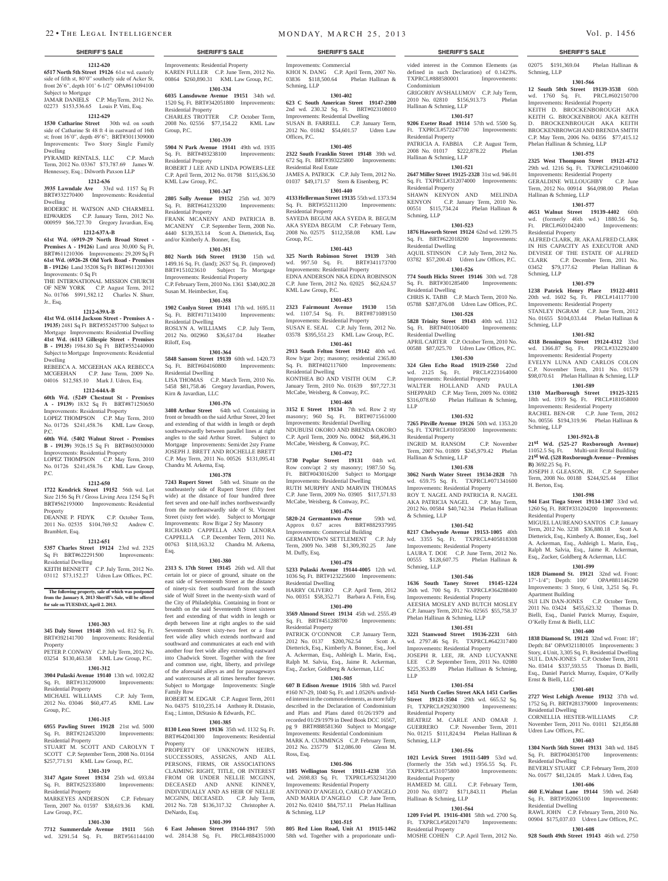#### **1212-620 6517 North 5th Street 19126** 61st wd. easterly side of fifth st, 80'0" southerly side of Acker St, front 26'6", depth 101' 6-1/2" OPA#611094100

Subject to Mortgage JAMAR DANIELS C.P. MayTerm, 2012 No. 02273 \$153,536.65 Louis P. Vitti, Esq.

### **1212-629**

**1530 Catharine Street** 30th wd. on south side of Catharine St 48 ft 4 in eastward of 16th st; front 16'0", depth 49'6"; BRT#3011309000 Improvements: Two Story Single Family Dwelling

PYRAMID RENTALS, LLC C.P. March Term, 2012 No. 03367 \$73,787.69 James W. Hennessey, Esq.; Dilworth Paxson LLP

### **1212-636**

**3935 Lawndale Ave** 33rd wd. 1157 Sq Ft BRT#332270400 Improvements: Residential Dwelling

#### RODERIC H. WATSON AND CHARMELL EDWARDS C.P. January Term, 2012 No. 000959 \$66,727.70 Gregory Javardian, Esq. **1212-637A-B 61st Wd. (6919-29 North Broad Street - Premises A - 19126)** Land area 30,000 Sq Ft,

BRT#611210306 Improvements: 29,209 Sq Ft **61st Wd. (6926-28 Old York Road - Premises B - 19126)** Land 35208 Sq Ft BRT#611203301 Improvements: 0 Sq Ft

THE INTERNATIONAL MISSION CHURCH OF NEW YORK C.P. August Term, 2012 No. 01766 \$991,582.12 Charles N. Shurr, Jr., Esq.

#### **1212-639A-B**

**41st Wd. (6114 Jackson Street - Premises A - 19135)** 2481 Sq Ft BRT#552457700 Subject to Mortgage Improvements: Residential Dwelling **41st Wd. (6113 Gillespie Street - Premises B - 19135)** 1984.80 Sq Ft BRT#552440900 Subject to Mortgage Improvements: Residential Dwelling

REBEECA A. MCGEEHAN AKA REBECCA MCGEEHAN C.P. June Term, 2009 No. 04016 \$12,585.10 Mark J. Udren, Esq.

#### **1212-644A-B**

**60th Wd. (5249 Chestnut St - Premises A - 19139)** 1832 Sq Ft BRT#871250650 Improvements: Residential Property LOPEZ THOMPSON C.P. May Term, 2010

No. 01726 \$241,458.76 KML Law Group, P.C. **60th Wd.** (**5402 Walnut Street - Premises** 

**B - 19139)** 3926.15 Sq Ft BRT#603030000 Improvements: Residential Property

LOPEZ THOMPSON C.P. May Term, 2010 No. 01726 \$241,458.76 KML Law Group, P.C.

#### **1212-650**

**1722 Kendrick Street 19152** 56th wd. Lot Size 2156 Sq Ft / Gross Living Area 1254 Sq Ft BRT#562193000 Improvements: Residential Property

DEANNE P. FIDYK C.P. October Term, 2011 No. 02535 \$104,769.52 Andrew C. Bramblett, Esq.

#### **1212-651**

**5357 Charles Street 19124** 23rd wd. 2325 Sq Ft BRT#622291500 Improvements:

Residential Dewlling KEITH BENNETT C.P. July Term, 2012 No. 03112 \$73,152.27 Udren Law Offices, P.C.

#### **The following property, sale of which was postponed from the January 8, 2013 Sheriff's Sale, will be offered for sale on TUESDAY, April 2. 2013.**

#### **1301-303**

**345 Daly Street 19148** 39th wd. 812 Sq. Ft. BRT#392141700 Improvements: Residential **Property** 

PETER P. CONWAY C.P. July Term, 2012 No. 03254 \$130,463.58 KML Law Group, P.C.

### **1301-312**

**3904 Pulaski Avenue 19140** 13th wd. 1002.82 Sq. Ft. BRT#131209000 Improvements: Residential Property MICHAEL WILLIAMS C.P. July Term, 2012 No. 03046 \$60,477.45 KML Law Group, P.C.

#### **1301-315**

**6955 Pawling Street 19128** 21st wd. 5000  $BPTH212453200$ Residential Property

STUART M. SCOTT AND CAROLYN T SCOTT C.P. September Term, 2008 No. 01164 \$257,771.91 KML Law Group, P.C. **1301-319**

**3147 Agate Street 19134** 25th wd. 693.84 Sq. Ft. BRT#252335800 Improvements: Residential Property MARKEYES ANDERSON C.P. February

## Term, 2007 No. 01597 \$38,619.36 KML Law Group, P.C.

## **1301-330**

**7712 Summerdale Avenue 19111** 56th wd. 3291.54 Sq. Ft. BRT#561144100

Improvements: Residential Property KAREN FULLER C.P. June Term, 2012 No. 00864 \$260,890.31 KML Law Group, P.C.

## **1301-334**

**6035 Lansdowne Avenue 19151** 34th wd. 1520 Sq. Ft. BRT#342051800 Improvements: Residential Property CHARLES TROTTER C.P. October Term, 2008 No. 02556 \$77,154.22 KML Law Group, P.C.

#### **1301-339**

**5904 N Park Avenue 19141** 49th wd. 1935 Sq. Ft. BRT#493238100 Improvements: Residential Property ROBERT J LEE AND LINDA POWERS-LEE

C.P. April Term, 2012 No. 01798 \$115,636.50 KML Law Group, P.C. **1301-347**

**2805 Solly Avenue 19152** 25th wd. 3079 Sq. Ft. BRT#641233200 Residential Property FRANK MCANENY AND PATRICIA B.

MCANENY C.P. September Term, 2008 No. 4440 \$139,353.14 Scott A. Dietterick, Esq. and/or Kimberly A. Bonner, Esq. **1301-351**

## **802 North 16th Street 19130** 15th wd.

1499.16 Sq. Ft. (land); 2637 Sq. Ft. (improved) BRT#151023610 Subject To Mortgage Improvements: Residential Property C.P. February Term, 2010 No. 1361 \$340,002.28 Susan M. Heimbecker, Esq.

#### **1301-358**

**1902 Conlyn Street 19141** 17th wd. 1695.11 Sq. Ft. BRT#171134100 Improvements: Sq. Ft. BRT#171134100 Residential Dwelling ROSLYN A. WILLIAMS C.P. July Term, 2012 No. 002960 \$36,617.04 Heather

Riloff, Esq. **1301-364**

**5848 Sansom Street 19139** 60th wd. 1420.73 Sq. Ft. BRT#604160800 Improvements: Residential Dwelling LISA THOMAS C.P. March Term, 2010 No. 5458 \$81,758.46 Gregory Javardian, Powers, Kirn & Javardian, LLC

## **1301-376**

**3408 Arthur Street** 64th wd. Containing in front or breadth on the said Arthur Street, 20 feet and extending of that width in length or depth southwestwardly between parallel lines at right angles to the said Arthur Street. Subject to Mortgage Improvements: Semi/det 2sty Frame JOSEPH J. BRETT AND ROCHELLE BRETT C.P. May Term, 2011 No. 00526 \$131,095.41 Chandra M. Arkema, Esq.

#### **1301-378**

**7243 Rupert Street** 54th wd. Situate on the southeasterly side of Rupert Street (fifty feet wide) at the distance of four hundred three feet seven and one-half inches northwestwardly from the northeastwardly side of St. Vincent Street (sixty feet wide). Subject to Mortgage Improvements: Row B/gar 2 Sty Masonry RICHARD CAPPELLA AND LENORA CAPPELLA C.P. December Term, 2011 No. 00763 \$118,163.32 Chandra M. Arkema,

**1301-380**

Esq.

**2313 S. 17th Street 19145** 26th wd. All that certain lot or piece of ground, situate on the east side of Seventeenth Street at the distance of ninety-six feet southward from the south side of Wolf Street in the twenty-sixth ward of the City of Philadelphia. Containing in front or breadth on the said Seventeenth Street sixteen feet and extending of that width in length or depth between line at right angles to the said Seventeenth Street sixty-two feet or a four feet wide alley which extends northward and southward and communicates at each end with another four feet wide alley extending eastward into Chadwick Street. Together with the free and common use, right, liberty, and privilege of the aforesaid alleys as and for passageways and watercourses at all times hereafter forever. Subject to Mortgage Improvements: Single Family Row

ROBERT M. EDGAR C.P. August Term, 2011 No. 04375 \$110,235.14 Anthony R. Distasio, Esq.; Linton, DiStasio & Edwards, P.C.

## **1301-385**

**8130 Leon Street 19136** 35th wd. 1132 Sq. Ft. BRT#642041300 Improvements: Residential Property

PROPERTY OF UNKNOWN HEIRS, SUCCESSORS, ASSIGNS, AND ALL PERSONS, FIRMS, OR ASSOCIATIONS CLAIMING RIGHT, TITLE, OR INTEREST FROM OR UNDER NELLIE MCGINN, DECEASED AND ANNE KINNEY, INDIVIDUALLY AND AS HEIR OF NELLIE MCGINN, DECEASED. C.P. July Term, 2012 No. 728 \$136,317.32 Christopher A. DeNardo, Esq.

## **1301-399**

**6 East Johnson Street 19144-1917** 59th wd. 2814.38 Sq. Ft. PRCL#884351000

vided interest in the Common Elements (as defined in such Declaration) of 0.1423%. TXPRCL#888580001 Improvements:

02075 \$191,369.04 Phelan Hallinan &

**1301-566 12 South 50th Street 19139-3538** 60th wd. 1760 Sq. Ft. PRCL#602150700 Improvements: Residential Property KEITH D. BROCKENBOROUGH AKA KEITH G. BROCKENBROU AKA KEITH D. BROCKENBROUGH AKA KEITH BROCKENBROWGH AND BRENDA SMITH C.P. May Term, 2006 No. 04356 \$77,415.12

**1301-575 2325 West Thompson Street 19121-4712**  29th wd. 1216 Sq. Ft. TXPRCL#291046000 Improvements: Residential Property GERALDINE WILLOUGHBY C.P. June Term, 2012 No. 00914 \$64,098.00 Phelan

**1301-577 4651 Walnut Street 19139-4402** 60th wd. (formerly 46th wd.) 1880.56 Sq. Ft. PRCL#601042400 Improvements:

ALFRED CLARK, JR. AKA ALFRED CLARK IN HIS CAPACITY AS EXECUTOR AND DEVISEE OF THE ESTATE OF ALFRED CLARK C.P. December Term, 2011 No. 03452 \$79,177.62 Phelan Hallinan &

**1301-579 1238 Patrick Henry Place 19122-4011**  20th wd. 1602 Sq. Ft. PRCL#141177100 Improvements: Residential Property STANLEY INGRAM C.P. June Term, 2012 No. 01655 \$104,033.44 Phelan Hallinan &

**1301-582 4318 Bennington Street 19124-4312** 33rd wd. 1366.87 Sq. Ft. PRCL#332292400 Improvements: Residential Property EVELYN LUNA AND CARLOS COLON C.P. November Term, 2011 No. 01579 \$98,070.61 Phelan Hallinan & Schmieg, LLP **1301-589 1310 Marlborough Street 19125-3215**  18th wd. 1919 Sq. Ft. PRCL#181058000 Improvements: Residential Property RACHEL BEN-OR C.P. June Term, 2012 No. 00556 \$194,319.96 Phelan Hallinan &

**1301-592A-B 21st Wd. (525-27 Roxborough Avenue)** 11052.5 Sq. Ft. Multi-unit Rental Building **21st Wd. (528 Roxborough Avenue – Premises** 

JOSEPH J. GLEASON, JR. C.P. September Term, 2008 No. 00188 \$244,925.44 Elliot

**1301-598 944 East Tioga Street 19134-1307** 33rd wd. 1260 Sq. Ft. BRT#331204200 Improvements:

MIGUEL LAUREANO SANTOS C.P. January Term, 2012 No. 3238 \$36,880.18 Scott A. Dietterick, Esq., Kimberly A. Bonner, Esq., Joel A. Ackerman, Esq., Ashleigh L. Marin, Esq., Ralph M. Salvia, Esq., Jaime R. Ackerman, Esq., Zucker, Goldberg & Ackerman, LLC **1301-599 1828 Diamond St. 19121** 32nd wd. Front: 17'-1/4"; Depth: 100' OPA#881146290 Improvements: 3 Story, 6 Unit, 3,251 Sq. Ft.

SUI LIN DAN-JONES C.P. October Term, 2011 No. 03424 \$455,623.32 Thomas D. Bielli, Esq., Daniel Patrick Murray, Esquire,

**1301-600 1838 Diamond St. 19121** 32nd wd. Front: 18'; Depth: 84' OPA#321180105 Improvements: 3 Story, 4 Unit, 3,305 Sq. Ft. Residential Dwelling SUI L. DAN-JONES C.P. October Term, 2011 No. 03414 \$337,593.55 Thomas D. Bielli, Esq., Daniel Patrick Murray, Esquire, O'Kelly

**1301-601 2727 West Lehigh Avenue 19132** 37th wd. 1752 Sq. Ft. BRT#281379000 Improvements:

CORNELLIA HESTER-WILLIAMS C.P. November Term, 2011 No. 01011 \$21,856.88

**1301-603 1304 North 56th Street 19131** 34th wd. 1845 Sq. Ft. BRT#043051700 Improvements:

BEVERLY STUART C.P. February Term, 2010 No. 01677 \$41,124.05 Mark J. Udren, Esq. **1301-606 460 E.Walnut Lane 19144** 59th wd. 2640 Sq. Ft. BRT#592065100 Improvements:

RAWL JOHN C.P. February Term, 2010 No. 00904 \$175,037.03 Udren Law Offices, P.C. **1301-608 928 South 49th Street 19143** 46th wd. 2750

Phelan Hallinan & Schmieg, LLP

Hallinan & Schmieg, LLP

Residential Property

Schmieg, LLP

Schmieg, LLP

Schmieg, LLP

**B)** 3692.25 Sq. Ft.

H. Berton, Esq.

Residential Property

Apartment Building

Ernst & Bielli, LLC

Residential Dwelling

Residential Dwelling

Residential Dwelling

Udren Law Offices, P.C.

O'Kelly Ernst & Bielli, LLC

Schmieg, LLP

GRIGORIY AVSHALUMOV C.P. July Term, 2010 No. 02810 \$156,913.73 Phelan

**1301-517 9206 Exeter Road 19114** 57th wd. 5500 Sq. Ft. TXPRCL#572247700 Improvements:

PATRICIA A. FABBIA C.P. August Term, 2008 No. 01017 \$222,878.22 Phelan

**1301-521 2647 Miller Street 19125-2328** 31st wd. 946.01 Sq. Ft. TXPRCL#312074000 Improvements:

SHAWN KENYON AND MELINDA KENYON C.P. January Term, 2010 No. 00551 \$115,734.24 Phelan Hallinan &

**1301-523 1876 Haworth Street 19124** 62nd wd. 1299.75 Sq. Ft. BRT#622018200 Improvements:

AQUIL STINSON  $\degree$  C.P. July Term, 2012 No. 03782 \$57,200.43 Udren Law Offices, P.C. **1301-526 774 South Hicks Street 19146** 30th wd. 728<br>Sq. Ft. BRT#301285400 Improvements:

CHRIS K. TABB C.P. March Term, 2010 No. 05788 \$287,876.08 Udren Law Offices, P.C. **1301-528 5828 Trinity Street 19143** 40th wd. 1312<br>Sq. Ft. BRT#401106400 Improvements:

APRIL CARTER C.P. October Term, 2010 No. 00588 \$87,025.70 Udren Law Offices, P.C. **1301-530 324 Glen Echo Road 19119-2560** 22nd wd. 2125 Sq. Ft. PRCL#223164000 Improvements: Residential Property WALTER HOLLAND AND PAULA SHEPPARD C.P. May Term, 2009 No. 03082 \$316,078.60 Phelan Hallinan & Schmieg,

**1301-532 7265 Pitville Avenue 19126** 50th wd. 1353.20 Sq. Ft. TXPRCL#101058300 Improvements:

INGRID M. RANSOM C.P. November Term, 2007 No. 01809 \$245,979.42 Phelan

**1301-538 3062 North Water Street 19134-2828** 7th wd. 659.75 Sq. Ft. TXPRCL#071341600 Improvements: Residential Property ROY T. NAGEL AND PATRICIA R. NAGEL AKA PATRICIA NAGEL C.P. May Term, 2012 No. 00584 \$40,742.34 Phelan Hallinan

**1301-542 8217 Chelwynde Avenue 19153-1005** 40th wd. 3355 Sq. Ft. TXPRCL#405818308 Improvements: Residential Property LAURA T. DOE C.P. June Term, 2012 No. 00555 \$128,607.75 Phelan Hallinan &

**1301-546 1636 South Taney Street 19145-1224**  36th wd. 700 Sq. Ft. TXPRCL#364288400 Improvements: Residential Property AEESHA MOSLEY AND BUTCH MOSLEY C.P. January Term, 2012 No. 02565 \$55,758.37

**1301-551 3221 Stanwood Street 19136-2231** 64th wd. 2797.46 Sq. Ft. TXPRCL#642317400 Improvements: Residential Property JOSEPH R. LEE, JR. AND LUCYANNE LEE C.P. September Term, 2011 No. 02080 \$225,353.89 Phelan Hallinan & Schmieg,

**1301-554 1451 North Corlies Street AKA 1451 Corlies Street 19121-3504** 29th wd. 665.52 Sq. Ft. TXPRCL#292303900 Improvements:

BEATRIZ M. CARLE AND OMAR J. GUERRERO C.P. November Term, 2011 o. 01215 \$111,824.94 Phelan Hallin

**1301-556 1021 Levick Street 19111-5409** 53rd wd. (formerly the 35th wd.) 1956.55 Sq. Ft. TXPRCL#531075800 Improvements:

HAMEED M. GILL C.P. February Term, 2010 No. 03072 \$171,843.11 Phelan

**1301-564 1209 Friel Pl. 19116-4301** 58th wd. 2700 Sq. Ft. TXPRCL#582017470 Improvements:

MOSHE COHEN C.P. April Term, 2012 No.

Phelan Hallinan & Schmieg, LLP

Condominium

Hallinan & Schmieg, LLP

Hallinan & Schmieg, LLP

Residential Property

Residential Property

Residential Dwelling

Sq. Ft. BRT#301285400 Residential Dwelling

Sq. Ft. BRT#401106400 Residential Dwelling

LLP

Residential Property

& Schmieg, LLP

Schmieg, LLP

LLP

Residential Property

Residential Property

Residential Property

Hallinan & Schmieg, LLP

Schmieg, LLP

Hallinan & Schmieg, LLP

Schmieg, LLP

#### **SHERIFF'S SALE SHERIFF'S SALE SHERIFF'S SALE SHERIFF'S SALE SHERIFF'S SALE**

Improvements: Commercial KHOI N. DANG C.P. April Term, 2007 No. 03836 \$118,500.64 Phelan Hallinan & Schmieg, LLP

#### **1301-402**

**623 C South American Street 19147-2300**  2nd wd. 230.32 Sq. Ft. BRT#023108010 Improvements: Residential Dwelling SUSAN B. FARRELL C.P. January Term, 2012 No. 01842 \$54,601.57 Udren Law Offices, P.C.

#### **1301-405**

**2322 South Franklin Street 19148** 39th wd. 672 Sq. Ft. BRT#393225800 Improvements: Residential Real Estate JAMES A. PATRICK C.P. July Term, 2012 No. 01037 \$49,171.57 Stern & Eisenberg, PC

## **1301-440**

**4133 Hellerman Street 19135** 55th wd. 1373.94 Sq. Ft. BRT#552111200 Residential Property

SAYEDA BEGUM AKA SYEDA R. BEGUM AKA SYEDA BEGUM C.P. February Term, 2008 No. 02575 \$112,358.08 KML Law Group, P.C.

#### **1301-443**

**325 North Robinson Street 19139** 34th wd. 997.50 Sq. Ft. BRT#341173700 Improvements: Residential Property EDNA ANDERSON NKA EDNA ROBINSON C.P. June Term, 2012 No. 02025 \$62,624.57 KML Law Group, P.C.

#### **1301-453**

**2323 Fairmount Avenue 19130** 15th wd. 1107.54 Sq. Ft. BRT#871089150 Improvements: Residential Property SUSAN E. SEAL C.P. July Term, 2012 No. 03578 \$395,551.23 KML Law Group, P.C.

## **1301-461**

**2913 South Felton Street 19142** 40th wd. Row b/gar 2sty; masonry; residential 2365.80 Sq. Ft. BRT#402117600 Improvements: Residential Dwelling KONTHEA BO AND VISITH OUM C.P.

January Term, 2010 No. 01639 \$97,727.31 McCabe, Weisberg, & Conway, P.C. **1301-468**

**3152 E Street 19134** 7th wd. Row 2 sty masonry; 960 Sq. Ft. BRT#071561000 Improvements: Residential Dwelling NDUBUISI OKORO AND BRENDA OKORO C.P. April Term, 2009 No. 00042 \$68,496.31 McCabe, Weisberg, & Conway, P.C.

## **1301-472**

**5730 Poplar Street 19131** 04th wd. Row conv/apt 2 sty masonry; 1987.50 Sq. Ft. BRT#043016200 Subject to Mortgage Improvements: Residential Dwelling RUTH MURPHY AND MARVIN THOMAS C.P. June Term, 2009 No. 03905 \$117,571.93 McCabe, Weisberg, & Conway, P.C.

## **1301-476**

**5820-24 Germantown Avenue** 59th wd. Approx 0.67 acres BRT#882937995 Improvements: Commercial Building GERMANTOWN SETTLEMENT C.P. July Term, 2009 No. 3498 \$1,309,392.25 Jane M. Duffy, Esq.

#### **1301-478**

**5233 Pulaski Avenue 19144-4005** 12th wd. 1036 Sq. Ft. BRT#123225600 Improvements: Residential Dwelling HARRY OLIVERO C.P. April Term, 2012 No. 00351 \$58,352.71 Barbara A. Fein, Esq.

## **1301-490**

**3569 Almond Street 19134** 45th wd. 2555.49 Sq. Ft. BRT#451288700 Improvements: Residential Property

PATRICK O'CONNOR C.P. January Term, 2012 No. 0137 \$200,762.54 Scott A. Dietterick, Esq., Kimberly A. Bonner, Esq., Joel A. Ackerman, Esq., Ashleigh L. Marin, Esq., Ralph M. Salvia, Esq., Jaime R. Ackerman, Esq., Zucker, Goldberg & Ackerman, LLC

#### **1301-505**

**607 B Edison Avenue 19116** 58th wd. Parcel #160 N7-29, 1040 Sq. Ft. and 1.0526% undivided interest in the common elements, as more fully described in the Declaration of Condominium and Plats and Plans dated 01/26/1979 and recorded 01/29/1979 in Deed Book DCC 16567, pg 9 BRT#888581360 Subject to Mortgage amente: Pecidential Condominium MARK A. CUMMINGS C.P. February Term, 2012 No. 235779 \$12,086.00 Glenn M. Ross, Esq.

#### **1301-506**

**1105 Wellington Street 19111-4238** 35th wd. 2698.83 Sq. Ft. TXPRCL#532341200 Improvements: Residential Property ANTONIO D'ANGELO, CARLO D'ANGELO AND MARIA D'ANGELO C.P. June Term, 2012 No. 02410 \$84,757.11 Phelan Hallinan & Schmieg, LLP

#### **1301-515 805 Red Lion Road, Unit A1 19115-1462**  58th wd. Together with a proporionate undi-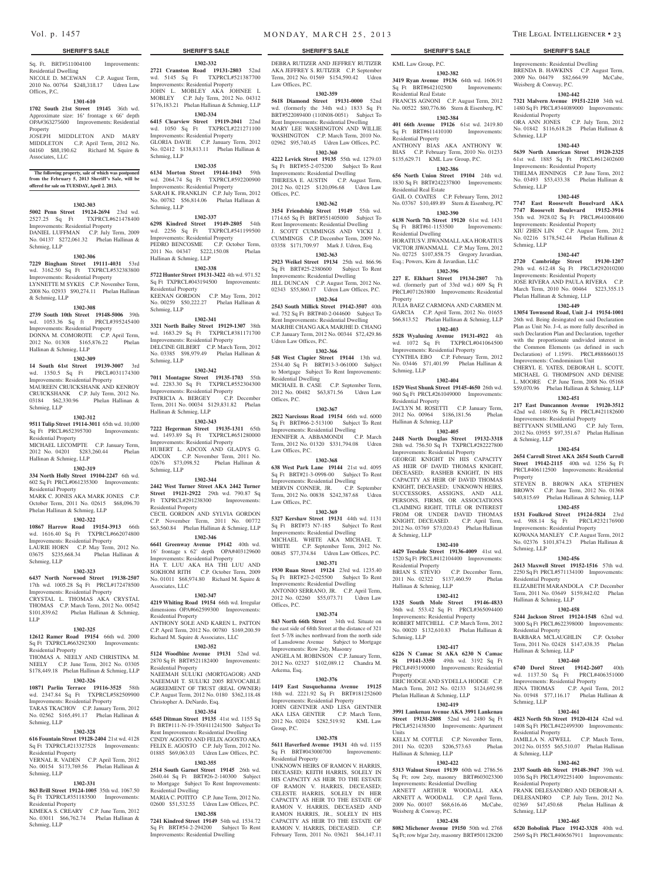Associates, LLC

Sq. Ft. BRT#511004100 Improvements: Residential Dwelling NICOLE D. MCEWAN C.P. August Term, 2010 No. 00764 \$248,318.17 Udren Law Offices, P.C.

#### **1301-610**

**1702 South 21st Street 19145** 36th wd. Approximate size: 16' frontage x 66' depth OPA#363275600 Improvements: Residential Property

## JOSEPH MIDDLETON AND MARY MIDDLETON C.P. April Term, 2012 No.

**The following property, sale of which was postponed from the February 5, 2013 Sheriff's Sale, will be offered for sale on TUESDAY, April 2. 2013.**

04160 \$88,190.62 Richard M. Squire &

**1302-303 5002 Penn Street 19124-2694** 23rd wd. 2527.25 Sq Ft TXPRCL#621478400 Improvements: Residential Property DANIEL LUFFMAN C.P. July Term, 2009 No. 04137 \$272,061.32 Phelan Hallinan & Schmieg, LLP

#### **1302-306**

**7229 Bingham Street 19111-4031** 53rd wd. 3162.50 Sq Ft TXPRCL#532383800 Improvements: Residential Property LYNNETTE M SYKES C.P. November Term, 2008 No. 02933 \$90,274.11 Phelan Hallinan & Schmieg, LLP

#### **1302-308**

**2739 South 10th Street 19148-5006** 39th wd. 1053.36 Sq ft PRCL#395245400 Improvements: Residential Property DONNA M. COMOROTE C.P. April Term, 2012 No. 01308 \$165,876.22 Phelan Hallinan & Schmieg, LLP

#### **1302-309**

**14 South 61st Street 19139-3007** 3rd wd. 1350.5 Sq Ft PRCL#031174300 Improvements: Residential Property MAUREEN CRUICKSHANK AND KENROY CRUICKSHANK C.P. July Term, 2012 No. 03184 \$62,330.96 Phelan Hallinan & Schmieg, LLP

#### **1302-312**

**9511 Tulip Street 19114-3011** 65th wd. 10,000 Sq Ft PRCL#652395700 Improvements: Residential Property MICHAEL LECOMPTE C.P. January Term,

2012 No. 04201 \$283,260.44 Phelan Hallinan & Schmieg, LLP

## **1302-319**

**334 North Holly Street 19104-2247** 6th wd. 602 Sq Ft PRCL#061235300 Improvements:

Residential Property MARK C. JONES AKA MARK JONES C.P. October Term, 2011 No. 02615 \$68,096.70 Phelan Hallinan & Schmieg, LLP

#### **1302-322**

**10867 Harrow Road 19154-3913** 66th wd. 1616.40 Sq Ft TXPRCL#662074800 Improvements: Residential Property LAURIE HORN C.P. May Term, 2012 No. 03675 \$235,668.34 Phelan Hallinan & Schmieg, LLP

#### **1302-323**

**6437 North Norwood Street 19138-2507**  17th wd. 1005.28 Sq Ft PRCL#172478500 Improvements: Residential Property

CRYSTAL L. THOMAS AKA CRYSTAL THOMAS C.P. March Term, 2012 No. 00542 \$101,839.62 Phelan Hallinan & Schmieg, LLP

#### **1302-325**

**12612 Ramer Road 19154** 66th wd. 2000 Sq Ft TXPRCL#663292300 Improvements: Residential Property

THOMAS A. NEELY AND CHRISTINA M. NEELY C.P. June Term, 2012 No. 03305 \$178,449.18 Phelan Hallinan & Schmieg, LLP **1302-326**

## **10871 Parlin Terrace 19116-3525** 58th

wd. 2347.84 Sq Ft TXPRCL#582509900 Improvements: Residential Property TARAS TKACHOV C.P. January Term, 2012 No. 02562 \$165,491.17 Phelan Hallinan & Schmieg, LLP

## **1302-328**

**616 Fountain Street 19128-2404** 21st wd. 4128 Sq Ft TXPRCL#213327528 Improvements:

#### Residential Property VERNAL R. VADEN C.P. April Term, 2012 No. 00154 \$173,769.56 Phelan Hallinan &

Schmieg, LLP **1302-331**

## **863 Brill Street 19124-1005** 35th wd. 1067.50

Sq Ft TXPRCL#351183500 Improvements: Residential Property KIMEKA S. CREARY C.P. June Term, 2012

No. 03011 \$66,762.74 Phelan Hallinan & Schmieg, LLP

## Vol. p. 1457 m on DAY, MARCH 25, 2013 THE LEGAL INTELLIGENCER • 23

#### **SHERIFF'S SALE SHERIFF'S SALE SHERIFF'S SALE SHERIFF'S SALE SHERIFF'S SALE**

**1302-332 2721 Cranston Road 19131-2803** 52nd wd. 5145 Sq Ft TXPRCL#521387700 Improvements: Residential Property JOHN L. MOBLEY AKA JOHNEE L MOBLEY C.P. July Term, 2012 No. 04312 \$176,183.21 Phelan Hallinan & Schmieg, LLP **1302-334 6415 Clearview Street 19119-2041** 22nd wd. 1050 Sq Ft TXPRCL#221271100 Improvements: Residential Property GLORIA DAVIE C.P. January Term, 2012 No. 02412 \$138,813.11 Phelan Hallinan &

**1302-335 6134 Morton Street 19144-1043** 59th wd. 2064.74 Sq Ft TXPRCL#592200900 Improvements: Residential Property SARAH K. FRANKLIN C.P. July Term, 2012 No. 00782 \$56,814.06 Phelan Hallinan &

**1302-337 6298 Kindred Street 19149-2805** 54th wd. 2256 Sq Ft TXPRCL#541199500 Improvements: Residential Property PEDRO BENCOSME C.P. October Term, 2011 No. 04347 \$222,150.08 Phelan

**1302-338 5722 Hunter Street 19131-3422** 4th wd. 971.52 Sq Ft TXPRCL#043194500 Improvements:

KEENAN GORDON C.P. May Term, 2012 No. 00259 \$50,222.27 Phelan Hallinan &

**1302-341 3321 North Bailey Street 19129-1307** 38th wd. 1683.29 Sq Ft TXPRCL#381171700 Improvements: Residential Property DELCINE GILBERT C.P. March Term, 2012 No. 03385 \$98,979.49 Phelan Hallinan &

**1302-342 7011 Montague Street 19135-1703** 55th wd. 2283.30 Sq Ft TXPRCL#552304300 Improvements: Residential Property PATRICIA A. BERGEY C.P. December Term, 2011 No. 00034 \$129,831.82 Phelan

**1302-343 7222 Hegerman Street 19135-1311** 65th wd. 1493.89 Sq Ft TXPRCL#651280000 Improvements: Residential Property HUBERT L. ADCOX AND GLADYS G. ADCOX C.P. November Term, 2011 No. 02676 \$73,098.52 Phelan Hallinan &

**1302-344 2442 West Turner Street AKA 2442 Turner Street 19121-2922** 29th wd. 790.87 Sq Ft TXPRCL#291238300 Improvements:

CECIL GORDON AND SYLVIA GORDON C.P. November Term, 2011 No. 00772 \$63,560.84 Phelan Hallinan & Schmieg, LLP **1302-346 6641 Greenway Avenue 19142** 40th wd. 16' frontage x 62' depth OPA#403129600 Improvements: Residential Property HA T. LUU AKA HA THI LUU AND SOKHOM RITH C.P. October Term, 2009 No. 01011 \$68,974.80 Richard M. Squire &

**1302-347 4219 Whiting Road 19154** 66th wd. Irregular dimensions OPA#662599300 Improvements:

ANTHONY SOLE AND KAREN L. PATTO C.P. April Term, 2012 No. 00780 \$169,200.59 Richard M. Squire & Associates, LLC **1302-352 5124 Woodbine Avenue 19131** 52nd wd. 2870 Sq Ft BRT#521182400 Improvements:

NAEEMAH SULUKI (MORTGAGOR) AND NAEEMAH T. SULUKI 2005 REVOCABLE AGREEMENT OF TRUST (REAL OWNER) C.P. August Term, 2012 No. 0180 \$362,118.48

**1302-354 6545 Ditman Street 19135** 41st wd. 1155 Sq Ft BRT#111-N-19-350/411241500 Subject To Rent Improvements: Residential Dwelling CINDY AGOSTO AND FELIX AGOSTO AKA FELIX E. AGOSTO C.P. July Term, 2012 No. 01885 \$69,063.03 Udren Law Offices, P.C. **1302-355 2514 South Garnet Street 19145** 26th wd. 2640.44 Sq Ft BRT#26-2-140300 Subject to Mortgage Subject To Rent Improvements:

MARIA C. POTITO C.P. June Term, 2012 No. 02600 \$51,532.55 Udren Law Offices, P.C. **1302-358 7241 Kindred Street 19149** 54th wd. 1534.72 Sq Ft BRT#54-2-294200 Subject To Rent Improvements: Residential Dwelling

Schmieg, LLP

Schmieg, LLP

Hallinan & Schmieg, LLP

Residential Property

Schmieg, LLP

Schmieg, LLP

Schmieg, LLP

Residential Property

Associates, LLC

Residential Property

Residential Property

Residential Dwelling

Christopher A. DeNardo, Esq.

Hallinan & Schmieg, LLP

DEBRA RUTIZER AND JEFFREY RUTIZER AKA JEFFREY S. RUTIZER C.P. September Term, 2012 No. 01569 \$154,590.42 Udren Law Offices, P.C.

#### **1302-359**

**5618 Diamond Street 19131-0000** 52nd wd. (formerly the 34th wd.) 1833 Sq Ft BRT#522089400 (110N08-0051) Subject To Rent Improvements: Residential Dwelling MARY LEE WASHINGTON AND WILLIE WASHINGTON C.P. March Term, 2010 No. 02962 \$95,740.45 Udren Law Offices, P.C.

**1302-360 4222 Levick Street 19135** 55th wd. 1279.03 Sq Ft BRT#55-2-075200 Subject To Rent Improvements: Residential Dwelling THERESA E. AUSTIN C.P. August Term, 2012 No. 02125 \$120,096.68 Udren Law Offices, P.C.

#### **1302-362**

**3154 Friendship Street 19149** 55th wd. 1714.65 Sq Ft BRT#551405000 Subject To Rent Improvements: Residential Dwelling J. SCOTT CUMMINGS AND VICKI J. CUMMINGS C.P. December Term, 2009 No. 03358 \$171,709.97 Mark J. Udren, Esq.

## **1302-363**

**2923 Weikel Street 19134** 25th wd. 866.96 Sq Ft BRT#25-2380600 Subject To Rent Improvements: Residential Dwelling JILL DUNCAN C.P. August Term, 2012 No. 02343 \$55,860.17 Udren Law Offices, P.C. **1302-364**

**2543 South Millick Street 19142-3507** 40th wd. 752 Sq Ft BRT#40-2-044600 Subject To Rent Improvements: Residential Dwelling MARJHE CHANG AKA MARJHE D. CHANG C.P. January Term, 2012 No. 00344 \$72,429.86 Udren Law Offices, P.C.

## **1302-366**

**548 West Clapier Street 19144** 13th wd. 2534.40 Sq Ft BRT#13-3-061000 Subject to Mortgage Subject To Rent Improvements: Residential Dwelling MICHAEL B. CASE C.P. September Term, 2012 No. 00482 \$63,871.56 Udren Law

### Offices, P.C. **1302-367**

**2822 Narcissus Road 19154** 66th wd. 6000 Sq Ft BRT#66-2-513100 Subject To Rent Improvements: Residential Dwelling JENNIFER A. ABBAMONDI C.P. March Term, 2012 No. 01320 \$331,794.08 Udren Law Offices, P.C.

#### **1302-368**

**638 West Park Lane 19144** 21st wd. 4095 Sq Ft BRT#21-3-0998-00 Subject To Rent Improvements: Residential Dwelling MERVIN CONNER, JR. C.P. September Term, 2012 No. 00838 \$242,387.68 Udren Law Offices, P.C.

## **1302-369**

**5327 Kershaw Street 19131** 44th wd. 1131 Sq Ft BRT#73 N7-185 Subject To Rent Improvements: Residential Dwelling MICHAEL WHITE AKA MICHAEL T. WHITE C.P. September Term, 2012 No. 00845 \$77,374.84 Udren Law Offices, P.C. **1302-371**

**1930 Ruan Street 19124** 23rd wd. 1235.40 Sq Ft BRT#23-2-025500 Subject To Rent Improvements: Residential Dwelling ANTONIO SERRANO, JR. C.P. April Term, 2012 No. 02260 \$55,073.71 Udren Law Offices, P.C.

#### **1302-374**

**843 North 66th Street** 34th wd. Situate on the east side of 68th Street at the distance of 321 feet 5-7/8 inches northward from the north side of Lansdowne Avenue Subject to Mortgage Improvements: Row 2sty, Masonry ANGELA M. ROBINSON C.P. January Term, 2012 No. 02327 \$102,089.12 Chandra M. Arkema, Esq.

#### **1302-376**

**1419 East Susquehanna Avenue 19125**  18th wd. 2221.92 Sq Ft BRT#181252600 Improvements: Residential Property JOHN GENTNER AND LISA GENTNER AKA LISA GENTER C.P. March Term, 2012 No. 02024 \$282,519.92 KML Law

## **1302-378**

Group, P.C.

**5611 Haverford Avenue 19131** 4th wd. 1155 Sq Ft BRT#043000700 Improvements: Residential Property

UNKNOWN HEIRS OF RAMON V. HARRIS, DECEASED; KEITH HARRIS, SOLELY IN HIS CAPACITY AS HEIR TO THE ESTATE OF RAMON V. HARRIS, DECEASED; CELESTE HARRIS, SOLELY IN HER CAPACITY AS HEIR TO THE ESTATE OF RAMON V. HARRIS, DECEASED AND RAMON HARRIS, JR., SOLELY IN HIS CAPACITY AS HEIR TO THE ESTATE OF RAMON V. HARRIS, DECEASED. C.P. February Term, 2011 No. 03621 \$64,147.11

KML Law Group, P.C.

## **1302-382**

**3419 Ryan Avenue 19136** 64th wd. 1606.91 Sq Ft BRT#642102500 Improvements: Residential Real Estate FRANCIS AGNONI C.P. August Term, 2012

Improvements: Residential Dwelling BRENDA B. HAWKINS C.P. August Term, 2009 No. 04479 \$82,664.99 McCabe,

**1302-442 7321 Malvern Avenue 19151-2210** 34th wd. 1480 Sq Ft PRCL#344089000 Improvements:

ORA ANN JONES C.P. July Term, 2012 No. 01842 \$116,618.28 Phelan Hallinan &

**1302-443 5639 North American Street 19120-2325**  61st wd. 1885 Sq Ft PRCL#612402600 Improvements: Residential Property THELMA JENNINGS C.P. June Term, 2012 No. 03493 \$53,433.38 Phelan Hallinan &

**1302-445 7747 East Roosevelt Bouelvard AKA 7747 Roosevelt Boulevard 19152-3916**  35th wd. 3928.02 Sq Ft PRCL#641008400 Improvements: Residential Property XIU ZHEN LIN C.P. August Term, 2012 No. 02216 \$178,542.44 Phelan Hallinan &

**1302-447 2720 Cambridge Street 19130-1207**  29th wd. 612.48 Sq Ft PRCL#292010200 Improvements: Residential Property JOSE RIVERA AND PAULA RIVERA C.P. March Term, 2010 No. 00464 \$223,355.13

Phelan Hallinan & Schmieg, LLP **1302-449 13054 Townsend Road, Unit J-4 19154-1001**  26th wd. Being desingated on said Declaration Plan as Unit No. J-4, as more fully described in such Declaration Plan and Declaration, together with the proportionate undivided interest in the Common Elements (as defined in such Declaration) of 1.159%. PRCL#888660135 Improvements: Condominium Unit CHERYL E. YATES, DEBORAH L. SCOTT, MICHAEL G. THOMPSON AND DENISE L. MOORE C.P. June Term, 2008 No. 05168 \$59,070.96 Phelan Hallinan & Schmieg, LLP **1302-451 217 East Duncannon Avenue 19120-3512**  42nd wd. 1480.96 Sq Ft PRCL#421182600 Improvements: Residential Property BETTYANN SUMILANG C.P. July Term, 2012 No. 03955 \$97,351.67 Phelan Hallinan

Weisberg & Conway, P.C.

Residential Property

Schmieg, LLP

Schmieg, LLP

Schmieg, LLP

& Schmieg, LLP

Property

Schmieg, LLP

Residential Property

Residential Property

Schmieg, LLP

Residential Property

& Schmieg, LLP

Residential Property

Schmieg, LLP

Hallinan & Schmieg, LLP

Hallinan & Schmieg, LLP

**1302-454 2654 Carroll Street AKA 2654 South Carroll Street 19142-2115** 40th wd. 1256 Sq Ft PRCL#406112500 Improvements: Residential

STEVEN B. BROWN AKA STEPHEN BROWN C.P. June Term, 2012 No. 01368 \$40,815.69 Phelan Hallinan & Schmieg, LLP **1302-455 1531 Foulkrod Street 19124-5824** 23rd wd. 988.14 Sq Ft PRCL#232176900 Improvements: Residential Property KOWANA MANLEY C.P. August Term, 2012 No. 02376 \$101,874.23 Phelan Hallinan &

**1302-456 2613 Maxwell Street 19152-1516** 57th wd. 2250 Sq Ft PRCL#571134100 Improvements:

ELIZABETH MARANDOLA C.P. December Term, 2011 No. 03649 \$159,842.02 Phelan

**1302-458 5244 Jackson Street 19124-1548** 62nd wd. 3000 Sq Ft PRCL#622398000 Improvements:

BARBARA MCLAUGHLIN C.P. October Term, 2011 No. 02428 \$147,438.35 Phelan

**1302-460 6740 Dorel Street 19142-2607** 40th wd. 1137.50 Sq Ft PRCL#406351000 Improvements: Residential Property JENA THOMAS C.P. April Term, 2012 No. 01948 \$77,116.17 Phelan Hallinan &

**1302-461 4823 North 5th Street 19120-4124** 42nd wd. 1408 Sq Ft PRCL#422499300 Improvements:

JAMILLA N. ATWELL C.P. March Term, 2012 No. 01555 \$65,510.07 Phelan Hallinan

**1302-462 2337 South 4th Street 19148-3947** 39th wd. 1036 Sq Ft PRCL#392251400 Improvements:

FRANK DELESANDRO AND DEBORAH A. DELESANDRO C.P. July Term, 2012 No. 02369 \$47,450.68 Phelan Hallinan &

**1302-465 6520 Bobolink Place 19142-3328** 40th wd. 2569 Sq Ft PRCL#406567911 Improvements:

## No. 00522 \$80,776.86 Stern & Eisenberg, PC **1302-384**

**401 66th Avenue 19126** 61st wd. 2419.80 Sq Ft BRT#611410100 Residential Property

ANTHONY BIAS AKA ANTHONY W. BIAS C.P. February Term, 2010 No. 01233 \$135,629.71 KML Law Group, P.C.

## **1302-386**

**656 North Union Street 19104** 24th wd. 1830 Sq Ft BRT#242237800 Improvements: Residential Real Estate GAIL O. COATES C.P. February Term, 2012 No. 03767 \$10,489.89 Stern & Eisenberg, PC

#### **1302-390**

**6138 North 7th Street 19120** 61st wd. 1431 Sq Ft BRT#61-1153500 Improvements: Residential Dwelling HORATIUS V. JIWANMALL AKA HORATIUS

VICTOR JIWANMALL C.P. May Term, 2012 No. 02725 \$107,858.75 Gregory Javardian, Esq.; Powers, Kirn & Javardian, LLC **1302-396**

**227 E. Elkhart Street 19134-2807** 7th wd. (formerly part of 33rd wd.) 609 Sq Ft PRCL#071263800 Improvements: Residential Property JULIA BAEZ CARMONA AND CARMEN M.

GARCIA C.P. April Term, 2012 No. 01655 \$66,813.52 Phelan Hallinan & Schmieg, LLP **1302-403**

#### **5528 Wyalusing Avenue 19131-4922** 4th wd. 1072 Sq Ft TXPRCL#041064500

Improvements: Residential Property CYNTHIA EBO C.P. February Term, 2012 No. 03446 \$71,401.99 Phelan Hallinan & Schmieg, LLP

## **1302-404**

**1529 West Shunk Street 19145-4650** 26th wd. 960 Sq Ft PRCL#261049000 Improvements: Residential Property JACLYN M. ROSETTI C.P. January Term, 2012 No. 00964 \$186,181.56 Phelan Hallinan & Schmieg, LLP

#### **1302-405**

**2448 North Douglas Street 19132-3318**  28th wd. 756.50 Sq Ft TXPRCL#282227800 Improvements: Residential Property GEORGE KNIGHT IN HIS CAPACITY AS HEIR OF DAVID THOMAS KNIGHT. DECEASED; RASHEB KNIGHT, IN HIS CAPACITY AS HEIR OF DAVID THOMAS KNIGHT, DECEASED; UNKNOWN HEIRS, SUCCESSORS, ASSIGNS, AND ALL PERSONS, FIRMS, OR ASSOCIATIONS CLAIMING RIGHT, TITLE OR INTEREST FROM OR UNDER DAVID THOMAS KNIGHT, DECEASED. C.P. April Term, 2012 No. 03769 \$73,020.43 Phelan Hallinan & Schmieg, LLP

#### **1302-410**

**4429 Teesdale Street 19136-4009** 41st wd. 1520 Sq Ft PRCL#412104400 Improvements: Residential Property

BRIAN S. STEVIO C.P. December Term, 2011 No. 02322 \$137,460.59 Phelan Hallinan & Schmieg, LLP **1302-412**

**1325 South Mole Street 19146-4833**  36th wd. 553.42 Sq Ft PRCL#365094400 Improvements: Residential Property ROBERT MITCHELL C.P. March Term, 2012 No. 00020 \$132,610.83 Phelan Hallinan & Schmieg, LLP

### **1302-417**

**6226 N Camac St AKA 6230 N Camac St 19141-3350** 49th wd. 3192 Sq Ft PRCL#493190000 Improvements: Residential Property ERIC HODGE AND SYDELLA HODGE C.P.

March Term, 2012 No. 02133 \$124,692.98 Phelan Hallinan & Schmieg, LLP **1302-419**

**3991 Lankenau Avenue AKA 3991 Lankenau Street 19131-2808** 52nd wd. 2480 Sq Ft PRCL#521438500 Improvements: Apartment **Units** KELLY M. COTTLE C.P. November Term,

## 2011 No. 02203 \$206,573.63 Phelan Hallinan & Schmieg, LLP **1302-422**

**5313 Walnut Street 19139** 60th wd. 2786.56 Sq Ft; row 2sty, masonry BRT#603023300 Improvements: Residential Dwelling ARNETT ARTHUR WOODALL AKA ARNETT A. WOODALL C.P. April Term,

2009 No. 00107 \$68,616.46 McCabe, Weisberg & Conway, P.C.

## **1302-438**

**8082 Michener Avenue 19150** 50th wd. 2768 Sq Ft; row b/gar 2sty, masonry BRT#501128200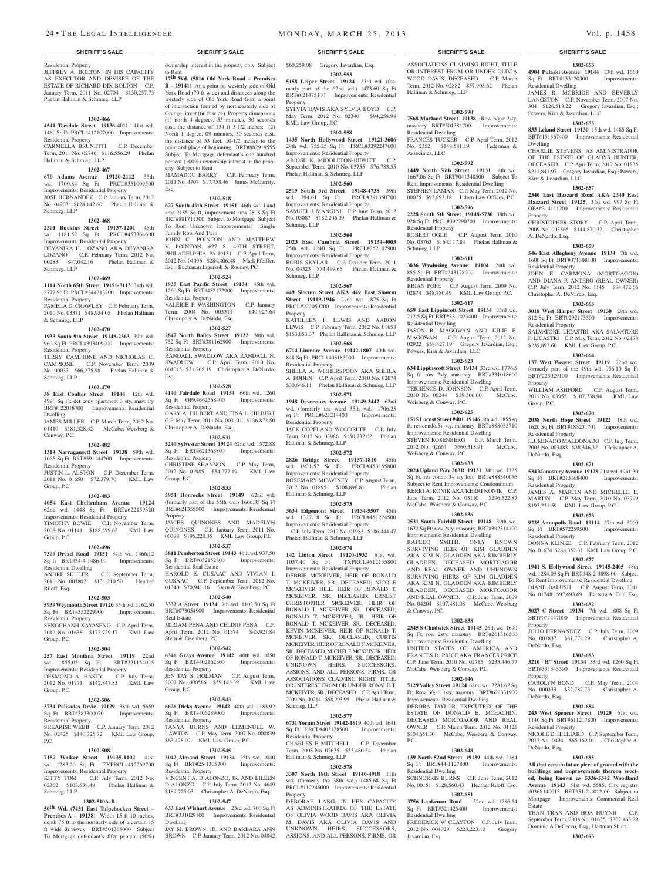Residential Property JEFFREY A. BOLTON, IN HIS CAPACITY AS EXECUTOR AND DEVISEE OF THE ESTATE OF RICHARD DIX BOLTON C.P. January Term, 2011 No. 02704 \$130,257.73 Phelan Hallinan & Schmieg, LLP

#### **1302-466**

**4541 Teesdale Street 19136-4011** 41st wd. 1460 Sq Ft PRCL#412107000 Improvements: Residential Property CARMELLA BRUNETTI C.P. December Term, 2011 No. 02746 \$116,556.29 Phelan

## Hallinan & Schmieg, LLP **1302-467**

### **670 Adams Avenue 19120-2112** 35th wd. 1700.84 Sq Ft PRCL#351009500 Improvements: Residential Property JOSE HERNANDEZ C.P. January Term, 2012

No. 04903 \$124,142.60 Phelan Hallinan & Schmieg, LLP **1302-468**

**2301 Buckius Street 19137-1201** 45th wd. 1181.52 Sq Ft PRCL#453364600 Improvements: Residential Property DEYANIRA H. LOZANO AKA DEYANIRA LOZANO C.P. February Term, 2012 No. 00283 \$47,042.16 Phelan Hallinan &

## **1302-469**

Schmieg, LLP

**1114 North 65th Street 19151-3113** 34th wd. 2777 Sq Ft PRCL#344313200 Improvements:

#### Residential Property PAMELA D. CRAWLEY C.P. February Term,

2010 No. 03371 \$48,954.05 Phelan Hallinan & Schmieg, LLP

## **1302-470**

**1933 South 9th Street 19148-2363** 39th wd. 960 Sq Ft PRCL#393409000 Improvements: Residential Property

TERRY CAMPIONE AND NICHOLAS C. CAMPIONE C.P. November Term, 2009 No. 00033 \$66,275.98 Phelan Hallinan & Schmieg, LLP **1302-479**

**38 East Coulter Street 19144** 12th wd. 4990 Sq Ft; det conv apartment 3 sty, masonry BRT#122018700 Improvements: Residential Dwelling

JAMES MILLER C.P. March Term, 2012 No. 01410 \$181,328.42 McCabe, Weisberg & Conway, P.C.

## **1302-482**

**1314 Narragansett Street 19138** 59th wd. 1065 Sq Ft BRT#591144200 Improvements: Residential Property JUSTIN L. ALSTON C.P. December Term,

2011 No. 01650 \$72,379.70 KML Law Group, P.C.

#### **1302-483**

**4054 East Cheltenham Avenue 19124**  62nd wd. 1448 Sq Ft BRT#622159320 Improvements: Residential Property TIMOTHY BOWIE C.P. November Term, 2008 No. 01141 \$188,599.63 KML Law

#### Group, P.C. **1302-496**

Riloff, Esq.

**7309 Drexel Road 19151** 34th wd. 1466.12 Sq ft BRT#34-4-1486-00 Improvements: Residential Dwelling<br>ANDRE SHIJI ER C.P. September Term, 2010 No. 003802 \$131,210.50 Heather

#### **1302-503**

**5939 Weymouth Street 19120** 35th wd. 1162.50 Sq Ft BRT#352229900 Improvements:

#### Residential Property SENGCHANH XAYASENG C.P. April Term, 2012 No. 01638 \$172,729.17 KML Law Group, P.C.

#### **1302-504**

**257 East Montana Street 19119** 22nd wd. 1855.05 Sq Ft BRT#221154025 Improvements: Residential Property DESMOND A. HASTY C.P. July Term, 2012 No. 01771 \$142,847.83 KML Law Group, P.C.

#### **1302-506**

**3734 Palisades Drvie 19129** 38th wd. 5659 Sq Ft BRT#383300070 Improvements: Residential Property

#### SHEARISE WEBB C.P. January Term, 2012<br>No. 02425 \$140,725.72 KML Law Group, No. 02425 \$140,725.72 P.C.

#### **1302-508**

**7152 Walker Street 19135-1102** 41st wd. 1283.20 Sq Ft TXPRCL#412269700 Improvements: Residential Property KITTY TOM C.P. July Term, 2012 No.

02362 \$103,538.48 Phelan Hallinan & Schmieg, LLP

## **1302-510A-B**

**50th Wd. (7431 East Tulpehocken Street – Premises A – 19138**) Width 15 ft 10 inches, depth 75 ft to the northerly side of a certain 15 ft wide driveway BRT#501368000 Subject To Mortgage defendant's fifty percent (50%)

ownership interest in the property only Subject to Rent **17th Wd. (5816 Old York Road – Premises** 

**B – 19141)** At a point on westerly side of Old York Road (70 ft wide) and distances along the westerly side of Old York Road from a point of intersection formed by northeasterly side of Grange Street (66 ft wide). Property dimensions (1) north 4 degrees, 53 minutes, 30 seconds east, the distance of 134 ft 3-1/2 inches; (2) North 1 degree, 09 minutes, 30 seconds east, the distance of 53 feet, 10-1/2 inches to the point and place of beginning. BRT#882919555 Subject To Mortgage defendant's one hundred percent (100%) ownership interest in the property Subject to Rent

MAMADOU BARRY C.P. February Term, 2011 No. 4707 \$17,758.46 James McGarrity, Esq.

#### **1302-518 627 South 49th Street 19151** 46th wd. Land

area 2185 Sq ft, improvement area 2808 Sq Ft BRT#881711300 Subject to Mortgage Subject To Rent Unknown Improvements: Single Family Row And Twin JOHN C. POINTON AND MATTHEW V. POINTON, 627 S. 49TH STREET, PHILADELPHIA, PA 19151 C.P. April Term, 2012 No. 04096 \$284,406.48 Mark Pfeiffer, Esq.; Buchanan Ingersoll & Rooney, PC

### **1302-524**

**1935 East Pacific Street 19134** 45th wd. 1260 Sq Ft BRT#452172900 Improvements: Residential Property VALERIE P. WASHINGTON C.P. January

Term, 2004 No. 003311 \$40,927.64 Christopher A. DeNardo, Esq. **1302-527**

Esq.

**2847 North Bailey Street 19132** 38th wd. 752 Sq Ft BRT#381162900 Improvements: Residential Property RANDALL SWADLOW AKA RANDALL N.<br>SWADLOW C.P. April Term. 2010 No. C.P. April Term, 2010 No.

001015 \$21,265.19 Christopher A. DeNardo,

**1302-528 4140 Fairdale Road 19154** 66th wd. 1260 Sq Ft OPA#662568400 Improvements: Residential Property GARY A. HILBERT AND TINA L. HILBERT C.P. May Term, 2011 No. 003101 \$136,872.50 Christopher A. DeNardo, Esq.

**1302-531**

**5240 Sylvester Street 19124** 62nd wd. 1572.88 Sq Ft BRT#621363800 Improvements: Residential Property CHRISTINE SHANNON C.P. May Term, 2012 No. 01985 \$54,277.19 KML Law Group, P.C.

#### **1302-533**

**5951 Horrocks Street 19149** 62nd wd. (formerly part of the 55th wd.) 1666.35 Sq Ft BRT#621355500 Improvements: Residential Property JAVIER QUINONES AND MADELYN

QUINONES C.P. January Term, 2011 No. 00398 \$195,220.35 KML Law Group, P.C. **1302-537**

**5811 Pemberton Street 19143** 46th wd. 937.50 Sq Ft BRT#032152800 Improvements: Residential Real Estate HAROLD E. CUSAAC AND VIVIAN I. CUSAAC C.P. September Term, 2012 No. 01340 \$70,941.16 Stern & Eisenberg, PC

**1302-540 3332 A Street 19134** 7th wd. 1102.50 Sq Ft BRT#073054900 Improvements: Residential Real Estate MIRIAM PENA AND CELINO PENA C.P. April Term, 2012 No. 01374 \$43,921.84 Stern & Eisenberg, PC

## **1302-542**

**6346 Grays Avenue 19142** 40th wd. 1050 Sq Ft BRT#402162300 Improvements: Residential Property JEN TAY S. HOLMAN C.P. August Term, 2007 No. 000586 \$59,143.39 KML Law Group, P.C.

#### **1302-543**

**6626 Dicks Avenue 19142** 40th wd. 1183.92 Sq Ft BRT#406289000 Improvements: Residential Property TANYA BURNS AND LEMENUEL W. C.P. May Term, 200 \$63,428.02 KML Law Group, P.C.

#### **1302-545**

**3042 Almond Street 19134** 25th wd. 1040<br>
Sq Ft BRT#25-1305300 Improvements: Sq Ft BRT#25-1305300 Residential Property

VINCENT A. D'ALONZO, JR. AND EILEEN D'ALONZO C.P. July Term, 2012 No. 4649 \$189,725.03 Christopher A. DeNardo, Esq. **1302-547**

**633 East Wishart Avenue** 23rd wd. 700 Sq Ft BRT#331029100 Improvements: Residential Dwelling JAY M. BROWN, JR. AND BARBARA ANN BROWN C.P. January Term, 2012 No. 04842

24 • THE LEGAL INTELLIGENCER MONDAY, MARCH 25, 2013 Vol. p. 1458

\$60,259.08 Gregory Javardian, Esq. **1302-553**

**5158 Leiper Street 19124** 23rd wd. (formerly part of the 62nd wd.) 1473.60 Sq Ft BRT#621475100 Improvements: Residential

Property SYLVIA DAVIS AKA SYLVIA BOYD C.P. May Term, 2012 No. 02340 \$94,258.98 KML Law Group, P.C.

## **1302-558**

**1435 North Hollywood Street 19121-3606**  29th wd. 755.25 Sq Ft PRCL#3292247600 Improvements: Residential Property ABIOSE K. MIDDLETON-HEWITT C.P. September Term, 2010 No. 03755 \$76,783.55 Phelan Hallinan & Schmieg, LLP

## **1302-560**

**2519 South 3rd Street 19148-4738** 39th wd. 794.61 Sq Ft PRCL#391350700 Improvements: Residential Property SAMUEL J. MANGINI C.P. June Term, 2012 No. 03087 \$182,206.09 Phelan Hallinan & Schmieg, LLP

## **1302-564**

**2023 East Cambria Street 19134-4003**  25th wd. 1240 Sq Ft PRCL#252102900 Improvements: Residential Property BORIS SKYLAR C.P. October Term, 2011 No. 04323 \$74,499.65 Phelan Hallinan & Schmieg, LLP

## **1302-567**

**449 Slocum Street AKA 449 East Sloucm Street 19119-1946** 22nd wd. 1875 Sq Ft PRCL#222059200 Improvements: Residential Property KATHLEEN F. LEWIS AND AARON LEWIS C.P. February Term, 2012 No. 01653 \$153,853.37 Phelan Hallinan & Schmieg, LLP

## **1302-568**

**6714 Linmore Avenue 19142-1807** 40th wd. 848 Sq Ft PRCL#403183000 Improvements: Residential Property SHEILA A. WITHERSPOON AKA SHEILA

A. PODEN C.P. April Term, 2010 No. 02074 \$30,646.11 Phelan Hallinan & Schmieg, LLP **1302-571**

**1948 Devereaux Avenue 19149-3442** 62nd wd. (formerly the ward 35th wd.) 1706.25 sq Ft PRCL#621214400 Improvements: Residential Property JACK COPELAND WOODRUFF C.P. July

Term, 2012 No. 03986 \$150,732.02 Phelan Hallinan & Schmieg, LLP **1302-572**

**2826 Bridge Street 19137-1810** 45th wd. 1921.57 Sq Ft PRCL#453155800 Improvements: Residential Property ROSEMARY MCAVINEY C.P. August Term,<br>2012 No. 01895 \$108,896.81 Phelan 2012 No. 01895 \$108,896.81 Hallinan & Schmieg, LLP

**1302-573 3634 Edgemont Street 19134-5507** 45th wd. 1327.18 Sq Ft PRCL#451224500 Improvements: Residential Property C.P. July Term, 2012 No. 01983 \$186,444.47 Phelan Hallinan & Schmieg, LLP

## **1302-574**

**142 Linton Street 19120-1932** 61st wd. 1037.40 Sq Ft TXPRCL#612135800 Improvements: Residential Property DEBBIE MCKEIVER, HEIR OF RONALD T. MCKEIVER, SR., DECEASED; NICOLE MCKEIVER HILL, HEIR OF RONALD T. MCKEIVER, SR. DECEASED; ERNEST CHRISTOPHER MCKEIVER, HEIR OF RONALD T. MCKEIVER, SR., DECEASED; RONALD T. MCKEIVER, JR., HEIR OF RONALD T. MCKEIVER, SR., DECEASED; KEVIN MCKEIVER, HEIR OF RONALD T. MCKEIVER, SR., DECEASED; CURTIS MCKEIVER, HEIR OF RONALD T. MCKEIVER, SR., DECEASED, MICHELE MCKEIVER, HEIR OF RONALD T. MCKEIVER, SR,. DECEASED; UNKNOWN HEIRS, SUCCESSORS, ASSIGNS, AND ALL PERSONS, FIRMS, OR ASSOCIATIONS CLAIMING RIGHT, TITLE, OR INTEREST FROM OR UNDER RONALD T. MCKEIVER, SR., DECEASED C.P. April Term, 2009 No. 00214 \$58,293.99 Phelan Hallinan & Schmieg, LLP

### **1302-577**

**6731 Yocum Street 19142-1619** 40th wd. 1641 Sq Ft PRCL#403138500 Improvements: Residential Property CHARLES E MITCHELL C.P. December

Term, 2008 No. 02635 \$53,480.54 Phelan Hallinan & Schmieg, LLP

## **1302-578**

**3307 North 18th Street 19140-4918** 11th wd. (formerly the 38th wd.) 1485.68 Sq Ft PRCL#112246000 Improvements: Residential Property

DEBORAH LANG, IN HER CAPACITY AS ADMINISTRATRIX OF THE ESTATE OF OLIVIA WOOD DAVIS AKA OLIVIA M. DAVIS AKA OLIVIA DAVIS AND UNKNOWN HEIRS, SUCCESSORS, ASSIGNS, AND ALL PERSONS, FIRMS, OR

## **SHERIFF'S SALE SHERIFF'S SALE SHERIFF'S SALE SHERIFF'S SALE SHERIFF'S SALE**

ASSOCIATIONS CLAIMING RIGHT, TITLE OR INTEREST FROM OR UNDER OLIVIA WOOD DAVIS, DECEASED C.P. March Term, 2012 No. 02882 \$57,903.62 Phelan Hallinan & Schmieg, LLP

**1302-653 4904 Pulaski Avenue 19144** 13th wd. 1660 Sq Ft BRT#133120300 Improvements:

JAMES R. MCBRIDE AND BEVERLY LANGSTON C.P. November Term, 2007 No. 304 \$126,513.22 Gregory Javardian, Esq.;

**1302-655 833 Leland Street 19130** 15th wd. 1485 Sq Ft BRT#151367400 Improvements: Residential

CHARLIE STEVENS, AS AMINISTRATOR OF THE ESTATE OF GLADYS HUNTER, DECEASED. C.P. Apri Term, 2012 No. 01835 \$211,841.97 Gregory Javardian, Esq.; Powers,

**1302-657 2340 East Hazzard Road AKA 2340 East Hazzard Street 19125** 31st wd. 997 Sq Ft OPA#314111200 Improvements: Residential

CHRISTOPHER STORY C.P. April Term, 2009 No. 003565 \$144,870.32 Christopher

**1302-659 546 East Allegheny Avenue 19134** 7th wd. 1600 Sq Ft BRT#071308100 Improvements:

JOHN E. CARMONA (MORTGAGOR) AND DIANA P. ANTERO (REAL OWNER) C.P. July Term, 2012 No. 1145 \$94,472.66

**1302-663 3018 West Harper Street 19130** 29th wd. 812 Sq Ft BRT#292173500 Improvements:

SALVATORE LICASTRI AKA SALVATORE P. LICASTRI C.P. May Term, 2012 No. 02178 \$239,893.60 KML Law Group, P.C. **1302-664 137 West Weaver Street 19119** 22nd wd. formerly part of the 49th wd. 956.10 Sq Ft BRT#223029100 Improvements: Residential

WILLIAM ASHFORD C.P. August Term, 2011 No. 03955 \$107,738.94 KML Law

**1302-670 2038 North Hope Street 19122** 18th wd. 1620 Sq Ft BRT#183231701 Improvements:

ILUMINADO MALDONADO C.P. July Term, 2003 No. 003483 \$38,346.32 Christopher A.

**1302-671 534 Monastery Avenue 19128** 21st wd. 1961.30 Sq Ft BRT#213168400 Improvements:

JAMES A. MARTIN AND MICHELLE E. MARTIN C.P. May Term, 2010 No. 03799 \$193,231.59 KML Law Group, P.C. **1302-673 9225 Annapolis Road 19114** 57th wd. 5000 Sq Ft BRT#572259500 Improvements:

DONNA KLINKE C.P. February Term, 2012 No. 01674 \$288,352.31 KML Law Group, P.C. **1302-677 1941 S. Hollywood Street 19145-2405** 48th wd. 1284.09 Sq Ft BRT#48-2-3898-00 Subject To Rent Improvements: Residential Dwelling DIANE BALUSH C.P. August Term, 2011 No. 01748 \$97,693.69 Barbara A. Fein, Esq. **1302-682 3027 C Street 19134** 7th wd. 1008 Sq Ft BRT#071447000 Improvements: Residential

JULIO HERNANDEZ C.P. July Term, 2009 No. 001837 \$81,772.29 Christopher A.

**1302-683 3210 "H" Street 19134** 33rd wd. 1260 Sq Ft BRT#331343500 Improvements: Residential

CAROLYN BOND C.P. May Term, 2004 No. 000333 \$32,787.73 Christopher A.

**1302-684 243 West Spencer Street 19120** 61st wd. 1140 Sq Ft BRT#611217800 Improvements:

2012 No. 0494 \$65,152.01 Christopher A.

**1302-685 All that certain lot or piece of ground with the buildings and improvements thereon erected, being known as 5336-5342 Woodland Avenue 19143** 51st wd. 5585; City registry #036S140013 BRT#51-2-1012-00 Subject to Mortgage Improvements: Commercial Real

THAN TRAN AND HOA HUYNH September Term, 2008 No. 01635 \$202,463.29 Dominic A DeCecco, Esq., Hartman Shurr **1302-693**

Residential Dwelling

Kirn & Javardian, LLC

Dwelling

Property

A. DeNardo, Esq.

Residential Property

Residential Property

Property

Group, P.C.

Residential Property

Residential Property

Residential Property

Property

Property

DeNardo, Esq.

DeNardo, Esq.

DeNardo, Esq.

Estate

Residential Property

NICOLE D. HILLIARD C.P. Se

DeNardo, Esq.

Christopher A. DeNardo, Esq.

Powers, Kirn & Javardian, LLC

#### **1302-590**

**7568 Mayland Street 19138** Row b/gar 2sty, masonry BRT#501381700 Improvements: Residential Dwelling

**1302-592 1449 North 56th Street 19131** 4th wd. 1667.06 Sq Ft BRT#041348500 Subject To Rent Improvements: Residential Dwelling STEPHEN LAMAR C.P. May Term, 2012 No. 00075 \$92,893.18 Udren Law Offices, P.C. **1302-596 2228 South 5th Street 19148-5730** 39th wd. 928 Sq Ft PRCL#392290700 Improvements:

ROBERT OGLE C.P. August Term, 2010 No. 03763 \$164,117.84 Phelan Hallinan &

**1302-611 3836 Wyalusing Avenue 19104** 24th wd. 855 Sq Ft BRT#243178900 Improvements:

BRIAN POPE C.P. August Term, 2009 No. 02874 \$48,780.49 KML Law Group, P.C. **1302-617 659 East Lippincott Street 19134** 33rd wd. 712.5 Sq Ft BRT#33-1023400 Improvements:

JASON R. MAGOWAN AND JULIE E. MAGOWAN C.P. August Term, 2012 No. 02922 \$58,427.19 Gregory Javardian, Esq.;

**1302-623 634 Lippinscott Street 19134** 33rd wd. 1776.5 Sq ft; row 2sty, masonry BRT#331018600 Improvements: Residential Dwelling TERRENCE D. JOHNSON C.P. April Term, 2010 No. 00244 \$39,306.00 McCabe,

**1302-625 1515 Locust Street #401 19146** 8th wd. 1855 sq ft; res.condo.5+ sty, masonry BRT#888035710 Improvements: Residential Dwelling STEVEN ROSENBERG C.P. March Term, 2012 No. 02667 \$660,313.91 McCabe,

**1302-633 2024 Upland Way 203R 19131** 34th wd. 1325 Sq Ft, res condo 3+ sty loft BRT#888340056 Subject to Rent Improvements: Condominium KERRI A. KONIK AKA KERRI KONIK C.P. June Term, 2012 No. 03110 \$296,522.87 McCabe, Weisberg & Conway, P.C. **1302-636 2531 South Fairhill Street 19148** 39th wd. 1672 Sq Ft; row 2sty, masonry BRT#392314100 Improvements: Residential Dwelling RAFEEQ SMITH, ONLY KNOWN SURVIVING HEIR OF KIM GLADDEN AKA KIM N. GLADDEN AKA KIMBERLY GLADDEN, DECEASED MORTGAGOR AND REAL OWNER AND UNKNOWN SURVIVING HIERS OF KIM GLADDEN AKA KIM N. GLADDEN AKA KIMBERLY GLADDEN, DECEASED MORTGAGOR AND REAL OWNER. C.P. June Term, 2009 No. 04204 \$107,481.08 McCabe, Weisberg

**1302-638 2345 S Chadwick Street 19145** 26th wd. 1690 Sq Ft; row 2sty, masonry BRT#261316500 Improvements: Residential Dwelling UNITED STATES OF AMERICA AND FRANCES D. PRICE AKA FRANCES PRICE C.P. June Term, 2010 No. 02715 \$233,446.77 McCabe, Weisberg & Conway, P.C. **1302-646 5129 Valley Street 19124** 62nd wd. 2281.62 Sq Ft; Row b/gar, 1sty, masonry BRT#622331900 Improvements: Residential Dwelling DEBORA TAYLOR, EXECUTRIX OF THE ESTATE OF DONALD E. MCEACHIN, DECEASED MORTGAGOR AND REAL OWNER C.P. March Term, 2012 No. 01125<br>\$104.651.30 McCabe, Weisberg & Conway,

McCabe, Weisberg & Conway

**1302-648 139 North 52nd Street 19139** 44th wd. 2184 Sq Ft BRT#44-1127800 Improvements:

SCHNORRIS BURNS C.P. June Term, 2012 No. 00151 \$128,560.43 Heather Riloff, Esq. **1302-651 3756 Lankenau Road** 52nd wd. 1786.54 Sq Ft BRT#521425400 Improvements:

FREDERICK W. CLAYTON C.P. July Term, 2012 No. 004029 \$223,223.10 Gregory

#### FRANCES TUCKER C.P. April Term, 2012<br>No. 2352 \$148,581.19 Federman & No. 2352 \$148,581.19 Associates, LLC

Residential Property

Residential Property

Residential Dwelling

Powers, Kirn & Javardian, LLC

Weisberg & Conway, P.C.

Weisberg & Conway, P.C.

& Conway, P.C.

P.C..

Residential Dwelling

Residential Dwelling

Javardian, Esq.

Schmieg, LLP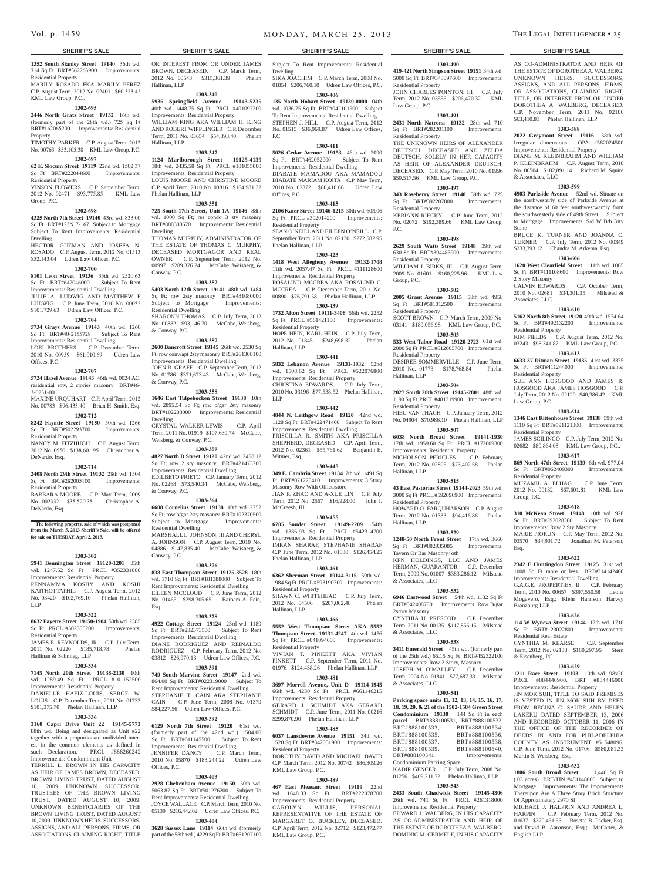## **1352 South Stanley Street 19140** 36th wd. 714 Sq Ft BRT#362263900 Improvements:

Residential Property MARILY ROSADO FKA MARILY PEREZ C.P. August Term, 2012 No. 02401 \$60,323.42 KML Law Group, P.C..

#### **1302-695**

**2446 North Gratz Street 19132** 16th wd. (formerly part of the 28th wd.) 725 Sq Ft BRT#162065200 Improvements: Residential **Property** 

TIMOTHY PARKER C.P. August Term, 2012 No. 00763 \$53,105.38 KML Law Group, P.C.

#### **1302-697**

#### **62 E. Slocum Street 19119** 22nd wd. 1502.37 Sq Ft BRT#222044600 Improvements:

Residential Property VINSON FLOWERS C.P. September Term, 2012 No. 02471 \$93,775.85 KML Law Group, P.C.

#### **1302-698**

**4325 North 7th Street 19140** 43rd wd. 833.00 Sq Ft BRT#123N 7-167 Subject to Mortgage Subject To Rent Improvements: Residential Dwelling HECTOR GUZMAN AND JOSEFA N.

ROSADO C.P. August Term, 2012 No. 01513 \$52,143.04 Udren Law Offices, P.C.

## **1302-700**

**8101 Leon Street 19136** 35th wd. 2520.63 Sq Ft BRT#642046000 Subject To Rent Improvements: Residential Dwelling JULIE A. LUDWIG AND MATTHEW F LUDWIG C.P. June Term, 2010 No. 00052 \$101,729.63 Udren Law Offices, P.C.

#### **1302-704**

**5734 Grays Avenue 19143** 40th wd. 1260 Sq Ft BRT#40-2155728 Subject To Rent Improvements: Residential Dwelling LORI BROTHERS C.P. December Term,

2010 No. 00959 \$61,010.69 Udren Law Offices, P.C.

## **1302-707**

**5724 Hazel Avenue 19143** 46th wd. 0024 AC, residential row, 2 stories masonry BRT#46- 3-0231-00 MAXINE URQUHART C.P. April Term, 2012

## No. 00783 \$96,433.40 Brian H. Smith, Esq.

**1302-712 8242 Fayatte Street 19150** 50th wd. 1266 Sq Ft BRT#502293700 Improvements:

Residential Property NANCY M. FITZHUGH C.P. August Term,

2012 No. 0550 \$138,601.95 Christopher A. DeNardo, Esq.

### **1302-714**

**2408 North 29th Street 19132** 28th wd. 1504 Sq Ft BRT#282005100 Improvements: Residential Property

BARBARA MOORE C.P. May Term, 2009 No. 002332 \$35,520.35 Christopher A. DeNardo, Esq.

#### **The following property, sale of which was postponed from the March 5, 2013 Sheriff's Sale, will be offered for sale on TUESDAY, April 2. 2013.**

#### **1303-302**

**5941 Bennington Street 19120-1201** 35th wd. 1247.52 Sq Ft PRCL #352331000 Improvements: Residential Property PENNAMMA KOSHY AND KOSHI KAITHOTTATHIL C.P. August Term, 2012 No. 03420 \$102,769.10 Phelan Hallinan, LLP

#### **1303-322**

**8632 Fayette Street 19150-1904** 50th wd. 2385 Sq Ft PRCL #502305200 Improvements: Residential Property JAMES E. REYNOLDS, JR. C.P. July Term,

## 2011 No. 02220 \$185,718.78 Phelan Hallinan & Schmieg, LLP

## **1303-334**

**7145 North 20th Street 19138-2130** 10th wd. 1289.49 Sq Ft PRCL #101152500 Improvements: Residential Property DANIELLE HAFIZ-LOUIS, SERGE W. LOUIS C.P. December Term, 2011 No. 01733 \$101,375.70 Phelan Hallinan, LLP

#### **1303-336**

**3160 Capri Drive Unit 22 19145-5773**  88th wd. Being and designated as Unit #22 together with a proportionate undivided interest in the common elements as defined in such Declaration. PRCL #888260242 Improvements: Condominium Unit

TERRILL L. BROWN IN HIS CAPACITY AS HEIR OF JAMES BROWN, DECEASED. BROWN LIVING TRUST, DATED AUGUST 10, 2009 UNKNOWN SUCCESSOR, TRUSTEES OF THE BROWN LIVING TRUST, DATED AUGUST 10, 2009. UNKNOWN BENEFICIARIES OF THE BROWN LIVING TRUST, DATED AUGUST 10, 2009. UNKNOWN HEIRS, SUCCESSORS, ASSIGNS, AND ALL PERSONS, FIRMS, OR ASSOCIATIONS CLAIMING RIGHT, TITLE

OR INTEREST FROM OR UNDER JAMES BROWN, DECEASED. C.P. March Term,<br>2012 No. 00543 \$315.361.39 Phelan 2012 No. 00543 \$315,361.39 Hallinan, LLP

**1303-340**

**5936 Springfield Avenue 19143-5235**  40th wd. 1448.75 Sq Ft PRCL #401097200 Improvements: Residential Property WILLIAM KING AKA WILLIAM H. KING AND ROBERT WIPPLINGER C.P. December Term, 2011 No. 03654 \$54,893.40 Phelan Hallinan, LLP

#### **1303-347**

**1124 Marlborough Street 19125-4139**  18th wd. 2435.58 Sq Ft PRCL #181055000 Improvements: Residential Property LOUIS MOORE AND CHRISTINE MOORE C.P. April Term, 2010 No. 03816 \$164,981.32 Phelan Hallinan, LLP

#### **1303-351**

**725 South 17th Street, Unit 1A 19146** 88th wd. 1000 Sq Ft; res condo 3 sty masonry BRT#888303670 Improvements: Residential Dwelling THOMAS MURPHY, ADMINISTRATOR OF THE ESTATE OF THOMAS C. MURPHY, DECEASED MORTGAGOR AND REAL OWNER C.P. September Term, 2012 No. 00997 \$289,376.24 McCabe, Weisberg, & Conway, P.C.

#### **1303-352**

**5403 North 12th Street 19141** 48th wd. 1484 Sq Ft; row 2sty masonry BRT#481080000 Subject to Mortgage Improvements: Residential Dwelling SHARONN THOMAS C.P. July Term, 2012 No. 00882 \$93,146.70 McCabe, Weisberg, & Conway, P.C.

#### **1303-357**

**2600 Bancroft Street 19145** 26th wd. 2530 Sq Ft; row conv/apt 2sty masonry BRT#261308100 Improvements: Residential Dwelling JOHN R. GRAFF C.P. September Term, 2012 No. 01786 \$371,673.43 McCabe, Weisberg,

## **1303-358**

& Conway, P.C.

**1646 East Tulpehocken Street 19138** 10th wd. 2895.54 Sq Ft; row b/gar 2sty masonry BRT#102203000 Improvements: Residential Dwelling

CRYSTAL WALKER-LEWIS C.P. April Term, 2011 No. 01919 \$107,639.74 McCabe, Weisberg, & Conway, P.C.

## **1303-359**

**4827 North D Street 19120** 42nd wd. 2458.12 Sq Ft; row 2 sty masonry BRT#421473700 Improvements: Residential Dwelling EDILBETO PRIETO C.P. January Term, 2012 No. 02268 \$73,540.34 McCabe, Weisberg, & Conway, P.C.

#### **1303-364**

**6608 Cornelius Street 19138** 10th wd. 2752 Sq Ft; row b/gar 2sty masonry BRT#102370500<br>Subject to Mortgage Improvements: Subject to Mortgage Residential Dwelling MARSHALL L. JOHNSON, III AND CHERYL A. JOHNSON C.P. August Term, 2010 No. 04886 \$147,835.40 McCabe, Weisberg, & Conway, P.C.

## **1303-376**

**838 East Thompson Street 19125-3528** 18th wd. 1710 Sq Ft BRT#181388000 Subject To Rent Improvements: Residential Dwelling EILEEN MCCLOUD C.P. June Term, 2012 No. 01465 \$298,305.65 Barbara A. Fein, Esq.

#### **1303-378**

**4922 Cottage Street 19124** 23rd wd. 1189 Sq Ft BRT#232373500 Subject To Rent Improvements: Residential Dwelling DIANE RODRIGUEZ AND REINALDO RODRIGUEZ C.P. February Term, 2012 No. 03812 \$26,970.13 Udren Law Offices, P.C.

## **1303-391**

**749 South Marvine Street 19147** 2nd wd. 864.00 Sq Ft BRT#022319000 Subject To Rent Improvements: Residential Dwelling STEPHANIE T. CAIN AKA STEPHANIE<br>CAIN C.P. June Term. 2008 No. 01379 C.P. June Term, 2008 No. 01379 \$84,227.56 Udren Law Offices, P.C.

#### **1303-392**

**6129 North 7th Street 19120** 61st wd. (formerly part of the  $42nd$  wd.)  $1504.00$ Sq Ft BRT#611145500 Subject To Rent Improvements: Residential Dwelling JENNIFER DANCY C.P. March Term, 2010 No. 05870 \$183,244.22 Udren Law Offices, P.C.

#### **1303-403**

**2928 Cheltenham Avenue 19150** 50th wd. 5063.87 Sq Ft BRT#501276200 Subject To Rent Improvements: Residential Dwelling JOYCE WALLACE C.P. March Term, 2010 No. 05139 \$216,442.02 Udren Law Offices, P.C.

#### **1303-404**

**3628 Sussex Lane 19114** 66th wd. (formerly part of the 58th wd.) 4229 Sq Ft BRT#661207100

## **SHERIFF'S SALE SHERIFF'S SALE SHERIFF'S SALE SHERIFF'S SALE SHERIFF'S SALE**

Subject To Rent Improvements: Residential

**1303-490 419-421 North Simpson Street 19151** 34th wd. 5000 Sq Ft BRT#343097600 Improvements:

AS CO-ADMINISTRATOR AND HEIR OF THE ESTATE OF DOROTHEA A. WALBERG. UNKNOWN HEIRS, SUCCESSORS, ASSIGNS, AND ALL PERSONS, FIRMS, OR ASSOCIATIONS, CLAIMING RIGHT, TITLE, OR INTEREST FROM OR UNDER DOROTHEA A. WALBERG, DECEASED. C.P. November Term, 2011 No. 02106 \$63,410.81 Phelan Hallinan, LLP **1303-588 2022 Greymont Street 19116** 58th wd. Irregular dimensions OPA #582024500 Improvements: Residential Property DIANE M. KLEINBRAHM AND WILLIAM P. KLEINBRAHM C.P. August Term, 2010 No. 00504 \$182,891.14 Richard M. Squire

**1303-599 4903 Parkside Avenue** 52nd wd. Situate on the northwesterly side of Parkside Avenue at the distance of 60 feet southwestwardly from the southwesterly side of 49th Street. Subject to Mortgage Improvements: S/d W B/b 3sty

BRUCE K. TURNER AND JOANNA C. TURNER C.P. July Term, 2012 No. 00349 \$233,393.12 Chandra M. Arkema, Esq. **1303-606 1620 West Clearfield Street** 11th wd. 1065 Sq Ft BRT#111108600 Improvements: Row

CALVIN EDWARDS C.P. October Term, 2010 No. 02681 \$34,301.35 Milstead &

**1303-610 5162 North 8th Street 19120** 49th wd. 1574.64 Sq Ft BRT#492132200 Improvements:

KIM FIELDS C.P. August Term, 2012 No. 03243 \$98,341.87 KML Law Group, P.C. **1303-613 6633-37 Ditman Street 19135** 41st wd. 3375 Sq Ft BRT#411244000 Improvements:

SUE ANN HOSGOOD AND JAMES R. HOSGOOD AKA JAMES HOSGOOD C.P. July Term, 2012 No. 02120 \$40,386.42 KML

**1303-614 1346 East Rittenhouse Street 19138** 59th wd. 1110 Sq Ft BRT#591121300 Improvements:

JAMES SCILINGO C.P. July Term, 2012 No. 02682 \$80,864.08 KML Law Group, P.C.. **1303-617 869 North 47th Street 19139** 6th wd. 977.04 Sq Ft BRT#062409300 Improvements:

MUZAMIL A. ELHAG C.P. June Term, 2012 No. 00132 \$67,601.81 KML Law

**1303-618 310 McKean Street 19148** 10th wd. 928 Sq Ft BRT#392028300 Subject To Rent Improvements: Row 2 Sty Masonry MARIE PIORUN C.P. May Term, 2012 No. 03570 \$34,901.72 Jonathan M. Peterson,

**1303-622 2342 E Huntingdon Street 19125** 31st wd. 1008 Sq Ft more or less BRT#314142400 Improvements: Residential Dwelling G.A.G.E. PROPERTIES, II C.P. February Term, 2010 No. 00657 \$397,550.58 Leona Mogavero, Esq.; Klehr Harrison Harvey

**1303-626 114 W Wyneva Street 19144** 12th wd. 1710 Sq Ft BRT#123022800 Improvements:

CYNTHIA M. KEARSE C.P. September Term, 2012 No. 02138 \$160,297.95 Stern

**1303-629 1211 Race Street 19103** 10th wd. 98x20 PRCL #884446900, BRT #884446900 Improvements: Residential Property JIN MOK SUH, TITLE TO SAID PREMISES IS VESTED IN JIN MOK SUH BY DEED FROM REGINA C. SAUDE AND HELEN LAKERU DATED SEPTEMBER 13, 2006 AND RECORDED OCTOBER 11, 2006 IN THE OFFICE OF THE RECORDER OF DEEDS IN AND FOR PHILADELPHIA COUNTY AS INSTRUMENT #51548096. C.P. June Term, 2012 No. 01706 \$580,081.33

**1303-632 1806 South Broad Street** 1,440 Sq Ft (.03 acres) BRT/TIN #481148000 Subject to Mortgage Improvements: The Improvements Thereupon Are A Three Story Brick Structure

MICHAEL J. HALPRIN AND ANDREA L. HARPIN C.P. February Term, 2012 No. 01637 \$370,451.53 Rosetta B. Packer, Esq. and David B. Aaronson, Esq.; McCarter, &

& Associates, LLC

Stone

2 Story Masonry

Associates, LLC

Residential Property

Residential Property

Law Group, P.C.

Residential Property

Residential Property

Group, P.C.

Esq.

Branzburg LLP

& Eisenberg, PC

Residential Real Estate

Martin S. Weisberg, Esq.

Of Approximately 2970 Sf

English LLP

JOHN CHARLES POINTON, III C.P. July Term, 2012 No. 03535 \$206,470.32 KML

**1303-491 2431 North Natrona 19132** 28th wd. 710 Sq Ft BRT#282201100 Improvements:

THE UNKNOWN HEIRS OF ALEXANDER DEUTSCH, DECEASED AND ZELDA DEUTSCH, SOLELY IN HER CAPACITY AS HEIR OF ALEXANDER DEUTSCH, DECEASED. C.P. May Term, 2010 No. 01996 \$50,517.56 KML Law Group, P.C.. **1303-497 343 Roseberry Street 19148** 39th wd. 725 Sq Ft BRT#392207800 Improvements:

KERIANN RIECKY C.P. June Term, 2012 No. 02072 \$192,389.66 KML Law Group,

**1303-498 2629 South Watts Street 19148** 39th wd. 630 Sq Ft BRT#394483900 Improvements:

WILLIAM J. BIRKS, III C.P. August Term, 2009 No. 01601 \$160,225.96 KML Law

**1303-502 2005 Grant Avenue 19115** 58th wd. 4958<br>
Sq Ft BRT#581012500 Improvements:

SCOTT BROWN C.P. March Term, 2009 No. 03141 \$189,056.98 KML Law Group, P.C. **1303-503 533 West Tabor Road 19120-2723** 61st wd. 2000 Sq Ft PRCL #612005700 Improvements:

DESIREE SOMMERVILLE C.P. June Term, 2010 No. 01773 \$178,768.84 Phelan

**1303-504 2027 South 20th Street 19145-2801** 48th wd. 1190 Sq Ft PRCL #481319900 Improvements:

HIEU VAN THACH C.P. January Term, 2012 No. 04904 \$70,986.10 Phelan Hallinan, LLP **1303-507 6038 North Broad Street 19141-1930**  17th wd. 1959.60 Sq Ft PRCL #172009300 Improvements: Residential Property<br>NICHOLSON PERICLES C.P. February

Term, 2012 No. 02895 \$73,402.58 Phelan

**1303-515 43 East Pastorius Street 19144-2023** 59th wd. 3000 Sq Ft PRCL #592096900 Improvements:

HOWARD O. FARQUHARSON C.P. August Term, 2012 No. 01333 \$94,416.86 Phelan

**1303-529 1248-50 North Front Street** 17th wd. 3660 Sq Ft BRT#882935085 Improvements:

KFN HOLDINGS, LLC AND JAMES HERMAN, GUARANTOR C.P. December Term, 2009 No. 01007 \$383,286.12 Milstead

**1303-532 6946 Eastwood Street** 54th wd. 1132 Sq Ft BRT#542408700 Improvements: Row B/gar

CYNTHIA H. PRESCOD C.P. December Term, 2011 No. 00135 \$117,856.15 Milstead

**1303-538 3411 Emerald Street** 45th wd. (formerly part of the 25th wd.) 65.15 Sq Ft BRT#452322100 Improvements: Row 2 Story, Masonry JOSEPH M. O'MALLEY C.P. December Term, 2004 No. 01841 \$77,687.33 Milstead

**1303-541 Parking space units 11, 12, 13, 14, 15, 16, 17, 18, 19, 20, & 21 of the 1502-1504 Green Street Condominium 19130** 144 Sq Ft in each parcel BRT#888100531, BRT#888100532,<br>BRT#888100533 BRT#888100534 BRT#888100533, BRT#888100534, BRT#888100535, BRT#888100536,<br>BRT#888100537, BRT#888100538,

BRT#888100539, BRT#888100540,

KADIR GENCER C.P. July Term, 2008 No. 01256 \$409,211.72 Phelan Hallinan, LLP **1303-543 2433 South Chadwick Street 19145-4306**  26th wd. 741 Sq Ft PRCL #261318000 Improvements: Residential Property EDWARD J. WALBERG, IN HIS CAPACITY AS CO-ADMINISTRATOR AND HEIR OF THE ESTATE OF DOROTHEA A. WALBERG. DOMINIC M. CERMELE, IN HIS CAPACITY

Condominium Parking Space

BRT#888100538,

Improvements:

Residential Property

Law Group, P.C.

Residential Property

Residential Property

Residential Property

Sq Ft BRT#581012500 Residential Property

Residential Property

Residential Property

Hallinan, LLP

Hallinan, LLP

& Associates, LLC

2story Masonry

& Associates, LLC

& Associates, LLC

Residential Property

Tavern Or Bar Masonry+oth

NICHOLSON PERICLES

Hallinan, LLP

Group, P.C.

P.C.

Dwelling SIKA JOACHIM C.P. March Term, 2008 No. 01854 \$206,760.10 Udren Law Offices, P.C.

## **1303-406**

**135 North Hobart Street 19139-0000** 04th wd. 1036.75 Sq Ft BRT#042101500 Subject To Rent Improvements: Residential Dwelling STEPHEN J. HILL C.P. August Term, 2012 No. 01515 \$36,969.87 Udren Law Offices, P.C.

## **1303-411**

**5026 Cedar Avenue 19153** 46th wd. 2090 Sq Ft BRT#462052000 Subject To Rent Improvements: Residential Dwelling DIABATE MAMADOU AKA MAMADOU DIABATE MARIAM KOITA C.P. May Term, 2010 No. 02372 \$80,410.66 Udren Law Offices, P.C.

#### **1303-415**

**2106 Kater Street 19146-1215** 30th wd. 605.06 Sq Ft PRCL #302014200 Improvements: Residential Property SEAN O'NEILL AND EILEEN O'NEILL CP September Term, 2011 No. 02130 \$272,582.95 Phelan Hallinan, LLP

#### **1303-423**

**1418 West Allegheny Avenue 19132-1708**  11th wd. 2057.47 Sq Ft PRCL #111128600 Improvements: Residential Property ROSALIND MCCREA AKA ROSALIND C. MCCREA C.P. December Term, 2011 No. 00890 \$76,791.58 Phelan Hallinan, LLP

## **1303-439**

**1732 Afton Street 19111-3408** 56th wd. 2252 Sq Ft PRCL #561421100 Improvements: Residential Property HOPE HEIN, KARL HEIN C.P. July Term, 2012 No. 01845 \$248,698.32 Phelan Hallinan, LLP

#### **1303-441**

**5832 Lebanon Avenue 19131-3032** 52nd wd. 1508.62 Sq Ft PRCL #522076800 Improvements: Residential Property CHRISTINA EDWARDS C.P. July Term, 2010 No. 03196 \$77,538.52 Phelan Hallinan, LLP

#### **1303-442**

**4844 N. Leithgow Road 19120** 42nd wd. 1128 Sq Ft BRT#422471400 Subject To Rent Improvements: Residential Dwelling PRISCILLA R. SMITH AKA PRISCILLA SHEPHERD, DECEASED C.P. April Term, 2012 No. 02361 \$55,761.62 Benjamin E. Witmer, Esq.

#### **1303-445**

**349 E. Cambria Street 19134** 7th wd. 1491 Sq Ft BRT#071225410 Improvements: 3 Story Masonry Row With Office/store JIAN P. ZHAO AND A-XUE LIN C.P. July Term, 2012 No. 2567 \$16,928.00 John J. McCreesh, III

### **1303-455**

**6705 Souder Street 19149-2209** 54th wd. 1386.93 Sq Ft PRCL #542314700 Improvements: Residential Property IMRAN SHARAF, STEPHANIE SHARAF C.P. June Term, 2012 No. 01330 \$126,454.25 Phelan Hallinan, LLP

#### **1303-461**

**6362 Sherman Street 19144-3115** 59th wd. 1984 Sq Ft PRCL #593190700 Improvements: Residential Property SHAWN C. WHITEHEAD C.P. July Term, 2012 No. 04506 \$207,062.48 Phelan Hallinan, LLP

### **1303-466**

**5552 West Thompson Street AKA 5552 Thompson Street 19131-4247** 4th wd. 1456 Sq Ft PRCL #041094600 Improvements: Residential Property

VIVIAN T. PINKETT AKA VIVIAN PINKETT C.P. September Term, 2011 No. 01976 \$124,438.26 Phelan Hallinan, LLP

#### **1303-481 3697 Morrell Avenue, Unit D 19114-1945**  66th wd. 4230 Sq Ft PRCL #661146215 Improvements: Residential Property GERARD J. SCHMIDT AKA GERARD

SCHMIDT C.P. June Term, 2011 No. 00216 \$299,870.90 Phelan Hallinan, LLP

## **1303-485**

**6037 Lansdowne Avenue 19151** 34th wd. 1520 Sq Ft BRT#342051900 Improvements: Residential Property DOROTHY DAVID AND MICHAEL DAVID

C.P. March Term, 2012 No. 00742 \$86,309.26

**1303-489 467 East Pleasant Street 19119** 22nd wd. 1648.33 Sq Ft BRT#222078700 Improvements: Residential Property CAROLYN WILLIS, PERSONAL REPRESENTATIVE OF THE ESTATE OF MARGARET O. BUCKLEY, DECEASED. C.P. April Term, 2012 No. 02712 \$123,472.77

KML Law Group, P.C.

KML Law Group, P.C.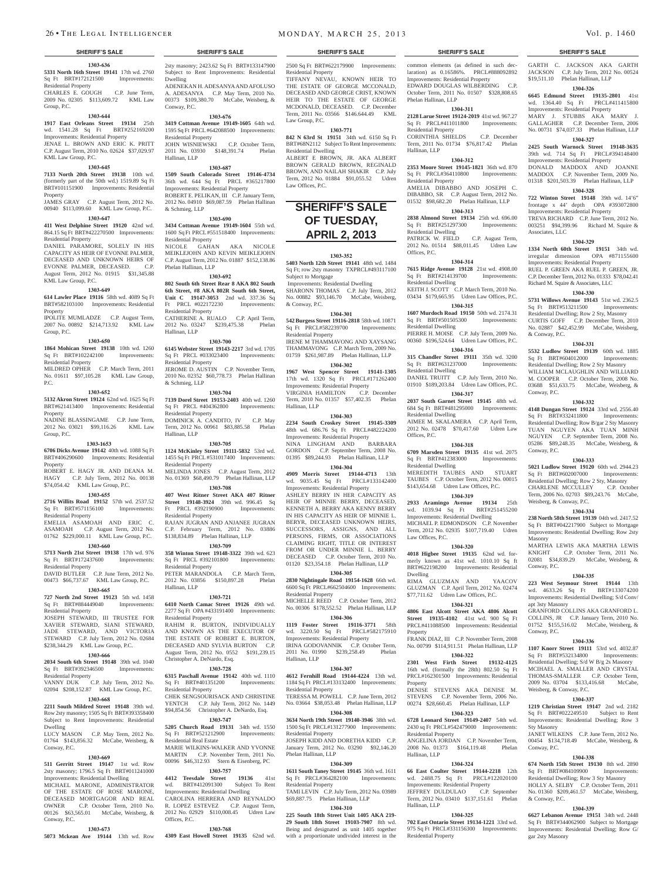#### **SHERIFF'S SALE SHERIFF'S SALE SHERIFF'S SALE SHERIFF'S SALE SHERIFF'S SALE**

#### **1303-636 5331 North 16th Street 19141** 17th wd. 2760 Sq Ft BRT#172121500 Improvements: Residential Property

CHARLES E. GOUGH C.P. June Term, 2009 No. 02305 \$113,609.72 KML Law Group, P.C.

#### **1303-644**

**1917 East Orleans Street 19134** 25th wd. 1541.28 Sq Ft BRT#252169200 Improvements: Residential Property JENAE L. BROWN AND ERIC K. PRITT C.P. August Term, 2010 No. 02624 \$37,029.97 KML Law Group, P.C.

#### **1303-645**

**7133 North 20th Street 19138** 10th wd. (formerly part of the 50th wd.) 1519.89 Sq Ft BRT#101151900 Improvements: Residential Property JAMES GRAY C.P. August Term, 2012 No.

00940 \$113,099.60 KML Law Group, P.C. **1303-647**

### **411 West Delphine Street 19120** 42nd wd.

864.15 Sq Ft BRT#422270500 Improvements: Residential Property

DANIEL PARAMORE, SOLELY IN HIS CAPACITY AS HEIR OF EVONNE PALMER, DECEASED AND UNKNOWN HEIRS OF EVONNE PALMER, DECEASED. C.P. August Term, 2012 No. 01915 \$31,345.88 KML Law Group, P.C.

#### **1303-649**

**614 Lawler Place 19116** 58th wd. 4089 Sq Ft BRT#582103100 Improvements: Residential

Property IPOLITE MUMLADZE C.P. August Term,

2007 No. 00892 \$214,713.92 KML Law Group, P.C.

### **1303-650**

**1864 Mohican Street 19138** 10th wd. 1260<br>Sq Ft BRT#102242100 Improvements: Sq Ft BRT#102242100 Residential Property

MILDRED OPHER C.P. March Term, 2011 No. 01611 \$97,105.28 KML Law Group, P.C.

#### **1303-652**

**5132 Akron Street 19124** 62nd wd. 1625 Sq Ft BRT#621413400 Improvements: Residential Property

NADINE BLASSINGAME C.P. June Term, 2012 No. 03021 \$99,116.26 KML Law Group, P.C.

#### **1303-1653**

**6706 Dicks Avenue 19142** 40th wd. 1088 Sq Ft BRT#406290600 Improvements: Residential Property

ROBERT E. HAGY JR. AND DEANA M. HAGY C.P. July Term, 2012 No. 00138 \$74,054.42 KML Law Group, P.C. MELINDA JONES C.P. August Term, 2012 No. 01369 \$68,490.79 Phelan Hallinan, LLP

## **1303-655**

**2716 Willits Road 19152** 57th wd. 2537.52 Sq Ft BRT#571156100 Improvements: Residential Property EMELIA ASAMOAH AND ERIC C.

ASAMOAH C.P. August Term, 2012 No. 01762 \$229,000.11 KML Law Group, P.C.

#### **1303-660**

**5713 North 21st Street 19138** 17th wd. 976 Sq Ft BRT#172437600

Residential Property DAVID BUTLER C.P. June Term, 2012 No. 00473 \$66,737.67 KML Law Group, P.C.

## **1303-665**

**727 North 2nd Street 19123** 5th wd. 1458 Sq Ft BRT#884449040 Improvements: Residential Property

JOSEPH STEWARD, III TRUSTEE FOR XAVIER STEWARD, SIANI STEWARD, JADE STEWARD, AND VICTORIA STEWARD C.P. July Term, 2012 No. 02684 \$238,344.29 KML Law Group, P.C.

#### **1303-666**

**2034 South 6th Street 19148** 39th wd. 1040 Sq Ft BRT#392346500 Improvements: Residential Property

VANNY DUK C.P. July Term, 2012 No. 02094 \$208,152.87 KML Law Group, P.C.

### **1303-668**

**2211 South Mildred Street 19148** 39th wd. Row 2sty masonry; 1505 Sq Ft BRT#393358400 Subject to Rent Improvements: Residential Dwelling

LUCY MASON C.P. May Term, 2012 No. 01764 \$143,856.32 McCabe, Weisberg, & Conway, P.C.

#### **1303-669**

**511 Gerritt Street 19147** 1st wd. Row 2sty masonry; 1796.5 Sq Ft BRT#011241000 Improvements: Residential Dwelling MICHAEL MARONE, ADMINISTRATOR OF THE ESTATE OF ROSE MARONE,

DECEASED MORTGAGOR AND REAL OWNER C.P. October Term, 2010 No. 00126 \$63,565.01 McCabe, Weisberg, & Conway, P.C.

### **1303-673**

**5073 Mckean Ave 19144** 13th wd. Row

2sty masonry; 2423.62 Sq Ft BRT#133147900 Subject to Rent Improvements: Residential Dwelling ADENEKAN H. ADESANYA AND AFOLUSO A. ADESANYA C.P. May Term, 2010 No. 00373 \$109,380.70 McCabe, Weisberg, & Conway, P.C.

#### **1303-676**

**3419 Cottman Avenue 19149-1605** 64th wd. 1595 Sq Ft PRCL #642088500 Improvements: Residential Property JOHN WISNIEWSKI C.P. October Term, 2011 No. 03930 \$148,391.74 Phelan Hallinan, LLP

#### **1303-687**

**1509 South Colorado Street 19146-4734**  36th wd. 644 Sq Ft PRCL #365217800 Improvements: Residential Property ROBERT E. PELIKAN, III C.P. January Term,

2012 No. 04910 \$69,087.59 Phelan Hallinan & Schmieg, LLP

#### **1303-690**

**3434 Cottman Avenue 19149-1604** 55th wd. 1600 Sq Ft PRCL #551518400 Improvements: Residential Property NICOLE GAHAN AKA NICOLE MEIKLEJOHN AND KEVIN MEIKLEJOHN C.P. August Term, 2012 No. 01887 \$152,138.86 Phelan Hallinan, LLP

**1303-692 802 South 6th Street Rear 8 AKA 802 South 6th Street, #8 AKA 802R South 6th Street, Unit C 19147-3053** 2nd wd. 337.36 Sq Ft PRCL #022172230 Improvements: Residential Property

CATHERINE A. RUALO C.P. April Term, 2012 No. 03247 \$239,475.38 Phelan

**1303-700 6145 Webster Street 19143-2217** 3rd wd. 1705 Sq Ft PRCL #033023400 Improvements:

JEROME D. AUSTIN C.P. November Term, 2010 No. 02352 \$60,778.73 Phelan Hallinan

**1303-704 7139 Dorel Street 19153-2403** 40th wd. 1260 Sq Ft PRCL #404362800 Improvements:

DOMINICK A. CANDITO, IV C.P. May Term, 2012 No. 00961 \$83,885.58 Phelan

**1303-705 1124 McKinley Street 19111-5832** 53rd wd. 1455 Sq Ft PRCL #531017400 Improvements:

**1303-708 407 West Ritner Street AKA 407 Ritner Street 19148-3924** 39th wd. 996.45 Sq<br>Ft PRCL #392190900 Improvements:

RAJAN JUGRAN AND ANJANEE JUGRAN C.P. February Term, 2012 No. 03886 \$138,834.89 Phelan Hallinan, LLP **1303-709 358 Winton Street 19148-3322** 39th wd. 623 Sq Ft PRCL #392101800 Improvements:

PETER MARANDOLA C.P. March Term,<br>2012 No. 03856 \$150.897.28 Phelan 2012 No. 03856 \$150,897.28

**1303-721 6410 North Camac Street 19126** 49th wd. 2277 Sq Ft OPA #433191400 Improvements:

RAHIM R. BURTON, INDIVIDUALLY AND KNOWN AS THE EXECUTOR OF THE ESTATE OF ROBERT E. BURTON, DECEASED AND SYLVIA BURTON C.P. August Term, 2012 No. 0552 \$191,239.15

**1303-728 6315 Paschall Avenue 19142** 40th wd. 1110<br> **Sq** Ft BRT#401351200 Improvements:

CHEK SENGSOURISACK AND CHRISTINE YENTCH C.P. July Term, 2012 No. 1449 \$94,854.56 Christopher A. DeNardo, Esq. **1303-747 5205 Church Road 19131** 34th wd. 1550 BRT#521212900 Impro

MARIE WILKINS-WALKER AND YVONNE MARTIN C.P. November Term, 2011 No. 00096 \$46,312.93 Stern & Eisenberg, PC **1303-757 4412 Teesdale Street 19136** 41st wd. BRT#412091300 Subject To Rent Improvements: Residential Dwelling CAROLINA HERRERA AND REYNALDO R. LOPEZ ESTEVEZ C.P. August Term, 2012 No. 02929 \$110,008.45 Udren Law

**1303-768 4309 East Howell Street 19135** 62nd wd.

Hallinan, LLP

Residential Property

& Schmieg, LLP

Residential Property

Residential Property

Ft PRCL #392190900 Residential Property

Residential Property

Residential Property

Christopher A. DeNardo, Esq.

Sq Ft BRT#401351200 Residential Property

Residential Real Estate

Offices, P.C.

Hallinan, LLP

Hallinan, LLP

& Conway, P.C. **1304-301**

Subject to Mortgage

**542 Burgess Street 19116-2818** 58th wd. 10871 Sq Ft PRCL#582239700 Residential Property IRENE M THAMMAVONG AND XAYSANG

 Improvements: Residential Dwelling SHARONN THOMAS C.P. July Term, 2012 No. 00882 \$93,146.70 McCabe, Weisberg,

2500 Sq Ft BRT#622179900 Improvements:

TIFFANY NEVAU, KNOWN HEIR TO THE ESTATE OF GEORGE MCCONALD, DECEASED AND GEORGE CRIST, KNOWN HEIR TO THE ESTATE OF GEORGE MCDONALD, DECEASED. C.P. December Term, 2011 No. 03566 \$146.644.49 KML

**1303-771 842 N 63rd St 19151** 34th wd. 6150 Sq Ft BRT#68N2112 Subject To Rent Improvements:

ALBERT E BROWN, JR. AKA ALBERT BROWN GERALD BROWN, REGINALD BROWN, AND NAILAH SHAKIR C.P. July Term, 2012 No. 01884 \$91,055.52 Udren

**SHERIFF'S SALE OF TUESDAY, APRIL 2, 2013** 

**1303-352 5403 North 12th Street 19141** 48th wd. 1484 Sq Ft; row 2sty masonry TXPRCL#493117100

Residential Property

Law Group, P.C.

Residential Dwelling

Law Offices, P.C.

THAMMAVONG C.P. March Term, 2009 No. 01759 \$261,987.89 Phelan Hallinan, LLP **1304-302**

**1967 West Spencer Street 19141-1305**  17th wd. 1320 Sq Ft PRCL#171262400 Improvements: Residential Property<br>VIRGINIA HAMILTON C.P. December VIRGINIA HAMILTON

Term, 2010 No. 01357 \$57,402.35 Phelan Hallinan, LLP **1304-303**

**2234 South Croskey Street 19145-3309**  48th wd. 686.76 Sq Ft PRCL#482224200 Improvements: Residential Property NINA LINGHAM AND BARBARA GORDON C.P. September Term, 2008 No. 01395 \$89,244.93 Phelan Hallinan, LLP

**1304-304 4909 Morris Street 19144-4713** 13th wd. 9035.45 Sq Ft PRCL#133142400 Improvements: Residential Property ASHLEY BERRY IN HER CAPACITY AS

HEIR OF MINNIE BERRY, DECEASED, KENNETH A. BERRY AKA KENNY BERRY IN HIS CAPACITY AS HEIR OF MINNIE L. BERYR, DECEASED UNKNOWN HEIRS, SUCCESSORS, ASSIGNS, AND ALL PERSONS, FIRMS, OR ASSOCIATIONS CLAIMING RIGHT, TITLE OR INTEREST FROM OR UNDER MINNIE L. BERRY DECEASED C.P. October Term, 2010 No. 01120 \$23,354.18 Phelan Hallinan, LLP

#### **1304-305**

**2830 Nightingale Road 19154-1628** 66th wd. 6600 Sq Ft PRCL#662504600 Improvements: Residential Property MICHELLE REED C.P. October Term, 2012

No. 00306 \$178,552.52 Phelan Hallinan, LLP **1304-306**

**1119 Foster Street 19116-3771** 58th wd. 3220.50 Sq Ft PRCL#582175910 Improvements: Residential Property IRINA GODOVANNIK C.P. October Term, 2011 No. 01990 \$239,258.49 Phelan Hallinan, LLP

#### **1304-307**

**4612 Fernhill Road 19144-4224** 13th wd. 1184 Sq Ft PRCL#133132400 Improvements: Residential Property

TERESSA M. POWELL C.P. June Term, 2012 No. 03664 \$38,053.48 Phelan Hallinan, LLP

#### **1304-308 3634 North 19th Street 19140-3946** 38th wd.

1500 Sq Ft PRCL#131277900 Improvements: ial Property

JOSEPH KIDD AND DORETHA KIDD C.P. January Term, 2012 No. 03290 \$92,146.20 Phelan Hallinan, LLP

## **1304-309**

**1611 South Taney Street 19145** 36th wd. 1611 Sq Ft PRCL#364282100 Improvements: Residential Property

TAMI LEVIN C.P. July Term, 2012 No. 03989 \$69,887.75 Phelan Hallinan, LLP

## **1304-310**

**225 South 18th Street Unit 1405 AKA 219- 29 South 18th Street 19103-7907** 8th wd. Being and designated as unit 1405 together with a proportionate undivided interest in the

GARTH C. JACKSON AKA GARTH JACKSON C.P. July Term, 2012 No. 00524 \$19,511.10 Phelan Hallinan, LLP **1304-326 6645 Edmund Street 19135-2801** 41st wd. 1364.40 Sq Ft PRCL#411415800 Improvements: Residential Property MARY J. STUBBS AKA MARY J. GALLAGHER C.P. December Term, 2006 No. 00731 \$74,037.33 Phelan Hallinan, LLP **1304-327 2425 South Warnock Street 19148-3635**  39th wd. 714 Sq Ft PRCL#394148400 Improvements: Residential Property

DONALD MADDOX AND JOANNE MADDOX C.P. November Term, 2009 No. 01318 \$201,503.39 Phelan Hallinan, LLP **1304-328 722 Winton Street 19148** 39th wd. 14'6" frontage x 44' depth OPA #393072800 Improvements: Residential Property TREVA RICHARD C.P. June Term, 2012 No. 003251 \$94,399.96 Richard M. Squire &

**1304-329 1334 North 60th Street 19151** 34th wd. irregular dimension OPA #871155600 Improvements: Residential Property RUEL P. GREEN AKA RUEL P. GREEN, JR. C.P. December Term, 2012 No. 01333 \$78,042.41 Richard M. Squire & Associates, LLC **1304-330 5731 Willows Avenue 19143** 51st wd. 2362.5 Sq Ft BRT#513211500 Improvements: Residential Dwelling; Row 2 Sty, Masonry CURTIS GOFF C.P. December Term, 2010 No. 02887 \$42,452.99 McCabe, Weisberg,

**1304-331 5532 Ludlow Street 19139** 60th wd. 1885 Sq Ft BRT#604012000 Improvements: Residential Dwelling; Row 2 Sty Masonry WILLIAM MCLAUGHLIN AND WILLIARD M. COOPER C.P. October Term, 2008 No. 03688 \$51,633.75 McCabe, Weisberg, &

**1304-332 4148 Dungan Street 19124** 33rd wd. 2556.40<br>
Sq Ft BRT#332411800 Improvements:

Residential Dwelling; Row B/gar 2 Sty Masonry TUAN NGUYEN AKA TUAN MINH NGUYEN C.P. September Term, 2008 No. 05286 \$89,248.35 McCabe, Weisberg, &

**1304-333 5021 Ludlow Street 19120** 60th wd. 2944.23<br>
Sq Ft BRT#602007000 Improvements: Sq Ft BRT#602007000 Improvements: Residential Dwelling; Row 2 Sty, Masonry CHARLENE MCCULLEY C.P. October Term, 2006 No. 02703 \$89,243.76 McCabe,

**1304-334 238 North 58th Street 19139** 04th wd. 2417.52 Sq Ft BRT#042217900 Subject to Mortgage Improvements: Residential Dwelling; Row 2sty

MARTHA LEWIS AKA MARTHA LEWIS KNIGHT C.P. October Term, 2011 No. 02081 \$34,839.29 McCabe, Weisberg, &

**1304-335 223 West Seymour Street 19144** 13th wd. 4633.26 Sq Ft BRT#133074200 Improvements: Residential Dwelling; S/d Conv/

GRANFORD COLLINS AKA GRANFORD L. COLLINS, JR C.P. January Term, 2010 No. 01752 \$155,516.02 McCabe, Weisberg, &

**1304-336 1107 Knorr Street 19111** 53rd wd. 4032.87 Sq Ft BRT#532134800 Improvements: Residential Dwelling; S/d W B/g 2s Masonry MCIHAEL A. SMALLER AND CRYSTAL THOMAS-SMALLER C.P. October Term, 2009 No. 03704 \$133,416.68 McCabe,

**1304-337 1219 Christian Street 19147** 2nd wd. 2182 Sq Ft BRT#022249510 Subject to Rent Improvements: Residential Dwelling; Row 3

**1304-338 674 North 15th Street 19130** 8th wd. 2890

Residential Dwelling; Row 3 Sty Masonry HOLLY A. SELBY C.P. October Term, 2011 No. 01360 \$209,461.57 McCabe, Weisberg,

**1304-339 6627 Lebanon Avenue 19151** 34th wd. 2448 Sq Ft BRT#344062900 Subject to Mortgage Improvements: Residential Dwelling; Row G/

ANET WILKENS C.P. June Term 00454 \$134,718.49 McCabe, Weisberg, &

Associates, LLC

& Conway, P.C.

Conway, P.C.

Conway, P.C.

Masonry

Conway, P.C.

apt 3sty Masonry

Conway, P.C.

Sty Masonry

Conway, P.C.

& Conway, P.C.

gar 2sty Masonry

Weisberg, & Conway, P.C.

Sq Ft BRT#084109900

Sq Ft BRT#332411800

Weisberg, & Conway, P.C.

common elements (as defined in such declaration) as 0.16586%. PRCL#888092892 Improvements: Residential Property EDWARD DOUGLAS WILBERDING C.P. October Term, 2011 No. 01507 \$328,808.65 Phelan Hallinan, LLP

#### **1304-311 2128 Larue Street 19124-2019** 41st wd. 967.27

Sq Ft PRCL#411011800 Improvements: Residential Property CORINTHIA SHIELDS C.P. December

Term, 2011 No. 01734 \$76,817.42 Phelan Hallinan, LLP

#### **1304-312 2353 Moore Street 19145-1821** 36th wd. 870 Sq Ft PRCL#364110800 Improvements:

Residential Property AMELIA DIBABBO AND JOSEPH C. DIBABBO, SR C.P. August Term, 2012 No. 01532 \$98,682.20 Phelan Hallinan, LLP **1304-313**

**2838 Almond Street 19134** 25th wd. 696.00<br>Sq Ft BRT#251297300 Improvements: Sq Ft BRT#251297300 Residential Dwelling PATRICK W. FIELD C.P. August Term,

2012 No. 01514 \$88,011.45 Udren Law Offices, P.C.

## **1304-314**

**7615 Ridge Avenue 19128** 21st wd. 4908.00 Sq Ft BRT#214139700 Improvements: Residential Dwelling

KEITH J. SCOTT C.P. March Term, 2010 No. 03434 \$179,665.95 Udren Law Offices, P.C.

#### **1304-315 1607 Murdoch Road 19150** 50th wd. 2174.31

Sq Ft BRT#501505300 Improvements: Residential Dwelling PIERRE H. MOISE C.P. July Term, 2009 No. 00360 \$196,524.64 Udren Law Offices, P.C.

**1304-316 315 Chandler Street 19111** 35th wd. 3200

Sq Ft BRT#631237000 Improvements: Residential Dwelling DANIEL TRUITT C.P. July Term, 2010 No. 01910 \$189,203.84 Udren Law Offices, P.C.

**1304-317 2037 South Garnet Street 19145** 48th wd.

684 Sq Ft BRT#481295000 Improvements: Residential Dwelling AIMEE M. SKALAMERA C.P. April Term,

2012 No. 02478 \$70,417.60 Udren Law Offices, P.C.

## **1304-318**

**6709 Marsden Street 19135** 41st wd. 2075 Sq Ft BRT#412383000 Improvements: Residential Dwelling MEREDITH TAUBES AND STUART TAUBES C.P. October Term, 2012 No. 00015 \$143,654.68 Udren Law Offices, P.C.

**1304-319 2933 Aramingo Avenue 19134** 25th wd. 1039.94 Sq Ft BRT#251455200 Improvements: Residential Dwelling MICHAEL P. EDMONDSON C.P. November Term, 2012 No. 02935 \$107,719.40 Udren

**1304-320 4018 Higbee Street 19135** 62nd wd. formerly known as 41st wd. 1010.10 Sq ft BRT#622198200 Improvements: Residential

RIMA GLUZMAN AND YAACOV GLUZMAN C.P. April Term, 2012 No. 02474 \$77,711.62 Udren Law Offices, P.C. **1304-321 4806 East Alcott Street AKA 4806 Alcott Street 19135-4102** 41st wd. 900 Sq Ft PRCL#411088500 Improvements: Residential

FRANK DIAZ, III C.P. November Term, 2008 No. 00799 \$114,911.51 Phelan Hallinan, LLP **1304-322 2301 West Firth Street 19132-4125**  16th wd. (formally the 28th) 802.50 Sq Ft PRCL#162301500 Improvements: Residential

DENISE STEVENS AKA DENISE M. STEVENS C.P. November Term, 2006 No. 00274 \$28,660.45 Phelan Hallinan, LLP **1304-323 6728 Leonard Street 19149-2407** 54th wd. 2430 sq Ft PRCL#542479000 Improvements:

ANGELINA JORDAN C.P. November Term, 2008 No. 01373 \$164,119.48 Phelan

**1304-324 66 East Coulter Street 19144-2218** 12th wd. 2488.75 Sq Ft PRCL#122020100 Improvements: Residential Property JEFFREY DULDULAO C.P. September Term, 2012 No. 03410 \$137,151.61 Phelan

**1304-325 702 East Ontario Street 19134-1221** 33rd wd. 975 Sq Ft PRCL#331156300 Improvements:

Law Offices, P.C.

Dwelling

Property

Property

Residential Property

Hallinan, LLP

Hallinan, LLP

Residential Property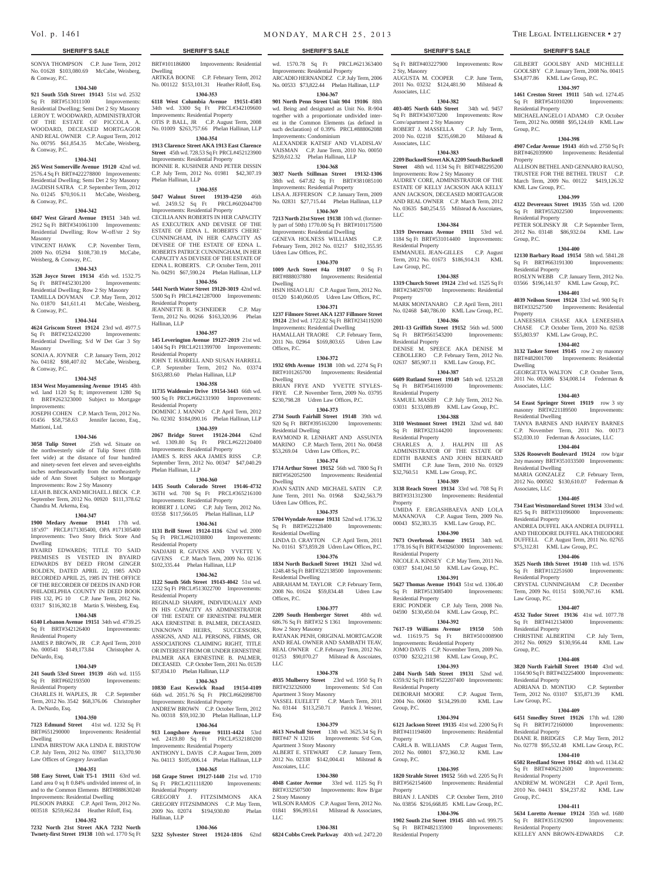SONYA THOMPSON C.P. June Term, 2012 No. 01628 \$103,080.69 McCabe, Weisberg, & Conway, P.C.

## **1304-340**

**921 South 55th Street 19143** 51st wd. 2532 Sq Ft BRT#513011100 Improvements: Residential Dwelling; Semi Det 2 Sty Masonry LEROY T. WOODWARD, ADMINISTRATOR OF THE ESTATE OF PICCOLA A. WOODARD, DECEASED MORTGAGOR AND REAL OWNER C.P. August Term, 2012 No. 00795 \$61,854.35 McCabe, Weisberg, & Conway, P.C.

#### **1304-341**

**265 West Somerville Avenue 19120** 42nd wd. 2576.4 Sq Ft BRT#422278800 Improvements: Residential Dwelling; Semi Det 2 Sty Masonry JAGDISH SATRA C.P. September Term, 2012 No. 01245 \$70,916.11 McCabe, Weisberg, & Conway, P.C.

#### **1304-342**

**6047 West Girard Avenue 19151** 34th wd. 2912 Sq Ft BRT#341061100 Improvements: Residential Dwelling; Row W-off/str 2 Sty Masonry

VINCENT HAWK C.P. November Term, 2009 No. 05294 \$108,730.19 McCabe, Weisberg, & Conway, P.C.

#### **1304-343**

**3528 Joyce Street 19134** 45th wd. 1532.75 Sq Ft BRT#452301200 Improvements: Residential Dwelling; Row 2 Sty Masonry TAMILLA DOVMAN C.P. May Term, 2012 No. 01870 \$41,611.41 McCabe, Weisberg, & Conway, P.C.

#### **1304-344**

**4624 Griscom Street 19124** 23rd wd. 4977.5 Sq Ft BRT#232432200 Improvements: Residential Dwelling; S/d W Det Gar 3 Sty Masonry

SONJA A. JOYNER C.P. January Term, 2012 No. 04182 \$98,407.02 McCabe, Weisberg, & Conway, P.C.

#### **1304-345**

**1834 West Moyamensing Avenue 19145** 48th wd. land 1120 Sq ft; improvement 1280 Sq ft BRT#262323000 Subject to Mortgage

Improvements: JOSEPH COHEN C.P. March Term, 2012 No. 01456 \$58,758.63 Jennifer Iacono, Esq., Mattioni, Ltd.

#### **1304-346**

**3058 Tulip Street** 25th wd. Situate on the northwesterly side of Tulip Street (fifth feet wide) at the distance of four hundred and ninety-seven feet eleven and seven-eighths inches northeastwardly from the northeasterly side of Ann Street Subject to Mortgage Improvements: Row 2 Sty Masonry

LEAH B. BECK AND MICHAEL J. BECK C.P. September Term, 2012 No. 00920 \$111,378.62 Chandra M. Arkema, Esq.

## **1304-347**

**1900 Medary Avenue 19141** 17th wd. 18'x97' PRCL#171305400, OPA #171305400 Improvements: Two Story Brick Store And Dwelling

BYAIRD EDWARDS; TITLE TO SAID PREMISES IS VESTED IN BYAIRD EDWARDS BY DEED FROM GINGER BOLDEN, DATED APRIL 22, 1985 AND RECORDED APRIL 25, 1985 IN THE OFFICE OF THE RECORDER OF DEEDS IN AND FOR PHILADELPHIA COUNTY IN DEED BOOK FHS 132, PG 10 C.P. June Term, 2012 No. 03317 \$116,302.18 Martin S. Weisberg, Esq.

## **1304-348**

**6140 Lebanon Avenue 19151** 34th wd. 4739.25 Sq Ft BRT#342126400 Improvements: Residential Property

JAMES P. BROWN, JR C.P. April Term, 2010 No. 000541 \$149,173.84 Christopher A. DeNardo, Esq.

#### **1304-349**

**241 South 53rd Street 19139** 46th wd. 1155 Sq Ft BRT#602193500 Improvements: Residential Property

CHARLES H. WAPLES, JR C.P. September Term, 2012 No. 3542 \$68,376.06 Christopher A. DeNardo, Esq.

#### **1304-350**

**7123 Edmund Street** 41st wd. 1232 Sq Ft BRT#651290000 Improvements: Residential Dwelling **913 Longshore Avenue 91111-4424** 53rd wd. 2419.80 Sq Ft PRCL#532180200 Improvements: Residential Property

#### LINDA BIRSTOW AKA LINDA E. BRISTOW C.P. July Term, 2012 No. 03907 \$113,370.90 Law Offices of Gregory Javardian

## **1304-351**

**508 Easy Street, Unit T5-1 19111** 63rd wd. Land area 0 sq ft 0.84% undivided interest of, in and to the Common Elements BRT#888630240 Improvements: Residential Dwelling PILSOON PARKE C.P. April Term, 2012 No.

## 003518 \$259,662.84 Heather Riloff, Esq. **1304-352**

**7232 North 21st Street AKA 7232 North** 

**Twnety-first Street 19138** 10th wd. 1770 Sq Ft

Vol. p. 1461 m on DAY, MARCH 25, 2013 THE LEGAL INTELLIGENCER • 27

BRT#101186800 Improvements: Residential

ARTKEA BOONE C.P. February Term, 2012 No. 001122 \$153,101.31 Heather Riloff, Esq. **1304-353 6118 West Columbia Avenue 19151-4503**  34th wd. 3300 Sq Ft PRCL#342109600 Improvements: Residential Property OTIS P. BALL, JR C.P. August Term, 2008 No. 01009 \$263,757.66 Phelan Hallinan, LLP **1304-354 1913 Clarence Street AKA 1913 East Clarence Street** 45th wd. 728.53 Sq Ft PRCL#452123900 Improvements: Residential Property BONNIE R. KUSHNER AND PETER DISSIN C.P. July Term, 2012 No. 01981 \$42,307.19

**1304-355 5047 Walnut Street 19139-4250** 46th wd. 2459.52 Sq Ft PRCL#602044700 Improvements: Residential Property CECILIA ANN ROBERTS IN HER CAPACITY AS EXECUTRIX AND DEVISEE OF THE ESTATE OF EDNA L. ROBERTS CHERE' CUNNINGHAM, IN HER CAPACITY AS DEVISEE OF THE ESTATE OF EDNA L. ROBERTS PATRICE CUNNINGHAM, IN HER CAPACITY AS DEVISEE OF THE ESTATE OF EDNA L. ROBERTS. C.P. October Term, 2011 No. 04291 \$67,590.24 Phelan Hallinan, LLP **1304-356 5441 North Water Street 19120-3019** 42nd wd. 5500 Sq Ft PRCL#421287000 Improvements:

JEANNETTE B. SCHNEIDER C.P. May Term, 2012 No. 00266 \$163,320.96 Phelan

**1304-357 145 Leverington Avenue 19127-2019** 21st wd. 1404 Sq Ft PRCL#211399700 Improvements:

JOHN T. HARRELL AND SUSAN HARRELL C.P. September Term, 2012 No. 03374 \$163,883.60 Phelan Hallinan, LLP **1304-358 11735 Waldemire Drive 19154-3443** 66th wd. 900 Sq Ft PRCL#662131900 Improvements:

DOMINIC J. MANNO C.P. April Term, 2012 No. 02302 \$184,090.16 Phelan Hallinan, LLP **1304-359 2067 Bridge Street 19124-2044** 62nd wd. 1309.80 Sq Ft PRCL#622120400

Improvements: Residential Property JAMES S. RISS AKA JAMES RISS C.P. September Term, 2012 No. 00347 \$47,040.29

**1304-360 1435 South Colorado Street 19146-4732**  36TH wd. 700 Sq Ft PRCL#365216100 Improvements: Residential Property ROBERT J. LONG C.P. July Term, 2012 No. 03558 \$117,566.05 Phelan Hallinan, LLP **1304-361 1131 Brill Street 19124-1116** 62nd wd. 2000 Sq Ft PRCL#621038800 Improvements:

NADJAHI R. GIVENS AND YVETTE V. GIVENS C.P. March Term, 2009 No. 02136 \$102,335.44 Phelan Hallinan, LLP **1304-362 1122 South 56th Street 19143-4042** 51st wd. 1232 Sq Ft PRCL#513022700 Improvements:

REGINALD SHARPE, INDIVIDUALLY AND IN HIS CAPACITY AS ADMINISTRATOR OF THE ESTATE OF ERNESTINE PALMER AKA ERNESTINE B. PALMER, DECEASED. UNKNOWN HEIRS, SUCCESSORS, ASSIGNS, AND ALL PERSONS, FIRMS, OR ASSOCIATIONS CLAIMING RIGHT, TITLE OR INTEREST FROM OR UNDER ERNESTINE PALMER AKA ERNESTINE B. PALMER, DECEASED. C.P. October Term, 2011 No. 01539

**1304-363 10830 East Keswick Road 19154-4109**  66th wd. 2051.76 Sq Ft PRCL#662098700 Improvements: Residential Property ANDREW BROWN C.P. October Term, 2012 No. 00318 \$59,102.30 Phelan Hallinan, LLP **1304-364**

ANTHONY L. DAVIS C.P. August Term, 2009 No. 04113 \$105,006.14 Phelan Hallinan, LLP **1304-365 168 Grape Street 19127-1440** 21st wd. 1710 Sq Ft PRCL#211118200 Improvements:

GREGORY J. FITZSIMMONS AKA GREGORY FITZSIMMONS C.P. May Term, 2009 No. 02074 \$194,930.80 Phelan

**1304-366 5232 Sylvester Street 19124-1816** 62nd

Dwelling

Phelan Hallinan, LLP

Residential Property

Residential Property

Residential Property

Phelan Hallinan, LLP

Residential Property

Residential Property

\$37,834.10 Phelan Hallinan, LLP

Residential Property

Hallinan, LLP

Hallinan, LLP

wd. 1570.78 Sq Ft PRCL#621363400 Improvements: Residential Property ARCADIO HERNANDEZ C.P. July Term, 2006 No. 00533 \$73,822.44 Phelan Hallinan, LLP

## **1304-367**

**901 North Penn Street Unit 904 19106** 88th wd. Being and designated as Unit No. R-904 together with a proportionate undivided interest in the Common Elements (as defined in such declaration) of 0.39% PRCL#888062088 Improvements: Condominium ALEXANDER KATSEF AND VLADISLAV VAISMAN C.P. June Term, 2010 No. 00050 \$259,612.32 Phelan Hallinan, LLP

## **1304-368**

**3037 North Stillman Street 19132-1306**  38th wd. 647.82 Sq Ft BRT#381085100 Improvements: Residential Property LISA A. JEFFERSON C.P. January Term, 2009 No. 02831 \$27,715.44 Phelan Hallinan, LLP

## **1304-369**

**7213 North 21st Street 19138** 10th wd. (formerly part of 50th) 1770.00 Sq Ft BRT#101175500 Improvements: Residential Dwelling GENEVA HOLNESS WILLIAMS C.P. February Term, 2012 No. 03217 \$102,355.95 Udren Law Offices, P.C.

#### **1304-370**

**1009 Arch Street #4a 19107** 0 Sq Ft BRT#888037880 Improvements: Residential Dwelling

HSIN HSIAO LIU C.P. August Term, 2012 No. 01520 \$140,060.05 Udren Law Offices, P.C. **1304-371**

**1237 Filmore Street AKA 1237 Fillmore Street 19124** 23rd wd. 1722.82 Sq Ft BRT#234119200 Improvements: Residential Dwelling HAMALLAH TRAORE C.P. February Term, 2011 No. 02964 \$169,803.65 Udren Law Offices, P.C.

#### **1304-372**

**1932 69th Avenue 19138** 10th wd. 2274 Sq Ft BRT#101265700 Improvements: Residential Dwelling BRIAN FRYE AND YVETTE STYLES-

FRYE C.P. November Term, 2009 No. 03795 \$230,798.28 Udren Law Offices, P.C. **1304-373**

**2734 South Fairhill Street 19148** 39th wd. 920 Sq Ft BRT#395163200 Improvements: Residential Dwelling RAYMOND R. LENHART AND ASSUNTA

MARINO C.P. March Term, 2011 No. 00458 \$53,269.04 Udren Law Offices, P.C. **1304-374**

**1714 Arthur Street 19152** 56th wd. 7800 Sq Ft BRT#562052500 Improvements: Residential Dwelling JOAN SATIN AND MICHAEL SATIN C.P. June Term, 2011 No. 01968 \$242,563.79

Udren Law Offices, P.C. **1304-375**

**5704 Wyndale Avenue 19131** 52nd wd. 1736.32 Sq Ft BRT#522128400 Improvements: Residential Dwelling LINDA D. CRAYTON C.P. April Term, 2011 No. 01161 \$73,859.28 Udren Law Offices, P.C.

**1304-376 1834 North Bucknell Street 19121** 32nd wd.

1248.48 Sq Ft BRT#322138500 Improvements: Residential Dwelling

ABRAHAM M. TAYLOR C.P. February Term, 2008 No. 01624 \$59,834.48 Udren Law Offices, P.C.

#### **1304-377**

**2209 South Hemberger Street** 48th wd. 686.76 Sq Ft BRT#32 S 1361 Improvements: Row 2 Story Masonry

RATANAK PENH, ORIGINAL MORTGAGOR AND REAL OWNER AND SAMBATH TEAV, REAL OWNER C.P. February Term, 2012 No. 01253 \$90,070.27 Milstead & Asscoiates, LLC

#### **1304-378**

**4935 Mulberry Street** 23rd wd. 1950 Sq Ft BRT#232326000 Improvements: S/d Con Apartment 3 Story Masonry VASSEL EUELETT C.P. March Term, 2011 No. 03144 \$113,250.71 Patrick J. Wesner, Esq.

#### **1304-379**

**4613 Newhall Street** 13th wd. 3625.34 Sq Ft BRT#411194600 Improvements: Residential BRT#47 N 13216 Improvements: S/d Con, Apartment 3 Story Masonry ALBERT E. STEWART C.P. January Term, 2012 No. 02338 \$142,004.41 Milstead & Asscoiates, LLC

#### **1304-380**

**4048 Castor Avenue** 33rd wd. 1125 Sq Ft BRT#332507500 Improvements: Row B/gar 2 Story Masonry WILSON RAMOS C.P. August Term, 2012 No.

01841 \$96,993.61 Milstead & Associates, LLC

#### **1304-381**

**6824 Cobbs Creek Parkway** 40th wd. 2472.20

#### **SHERIFF'S SALE SHERIFF'S SALE SHERIFF'S SALE SHERIFF'S SALE SHERIFF'S SALE**

GILBERT GOOLSBY AND MICHELLE GOOLSBY C.P. January Term, 2008 No. 00415 \$34,877.86 KML Law Group, P.C. **1304-397 1461 Creston Street 19111** 54th wd. 1274.45 Sq Ft BRT#541010200 Improvements:

MICHAELANGELO I ADAMO C.P. October Term, 2012 No. 00988 \$95,124.69 KML Law

**1304-398 4907 Cedar Avenue 19143** 46th wd. 2750 Sq Ft BRT#462039900 Improvements: Residential

ALLISON BETHEL AND GENNARO RAUSO, TRUSTEE FOR THE BETHEL TRUST C.P. March Term, 2009 No. 00122 \$419,126.32

**1304-399 4322 Devereaux Street 19135** 55th wd. 1200

PETER SOLINSKY JR C.P. September Term, 2012 No. 03148 \$86,932.04 KML Law

**1304-400 12130 Barbary Road 19154** 58th wd. 5841.28 Sq Ft BRT#663191300 Improvements:

ROSLYN WEBB C.P. January Term, 2012 No. 03566 \$196,141.97 KML Law Group, P.C. **1304-401 4039 Neilson Street 19124** 33rd wd. 900 Sq Ft BRT#332527500 Improvements: Residential

LANEESHIA CHASE AKA LENEESHIA CHASE C.P. October Term, 2010 No. 02538 \$55,803.97 KML Law Group, P.C. **1304-402 3132 Tasker Street 19145** row 2 sty masonry BRT#482001700 Improvements: Residential

GEORGETTA WALTON C.P. October Term, 2011 No. 002086 \$34,008.14 Federman &

**1304-403 54 Eeast Springer Street 19119** row 3 sty masonry BRT#221189500 Improvements:

TANYA BARNES AND HARVEY BARNES C.P. November Term, 2011 No. 00173 \$52,030.10 Federman & Associates, LLC **1304-404 5326 Roosevelt Boulevard 19124** row b/gar 2sty masonry BRT#351033500 Improvements:

MARIA GONZALEZ C.P. February Term, 2012 No. 000502 \$130,610.07 Federman &

**1304-405 734 East Westmoreland Street 19134** 33rd wd. 825 Sq Ft BRT#331096000 Improvements:

ANDREA DUFFEL AKA ANDREA DUFFELL AND THEODORE DUFFEL AKA THEODORE DUFFELL C.P. August Term, 2011 No. 02765 \$75,312.81 KML Law Group, P.C. **1304-406 3525 North 18th Street 19140** 11th wd. 1576 Sq Ft BRT#112251600 Improvements:

CRYSTAL CUNNINGHAM C.P. December Term, 2009 No. 01151 \$100,767.16 KML

**1304-407 4532 Tudor Street 19136** 41st wd. 1077.78<br>
Sq Ft BRT#412134000 Improvements:

CHRISTINE ALBERTINI C.P. July Term, 2012 No. 00929 \$130,956.44 KML Law

**1304-408 3820 North Fairhill Street 19140** 43rd wd. 1164.90 Sq Ft BRT#432254000 Improvements:

ADRIANA D. MONTIJO C.P. September Term, 2012 No. 03107 \$35,871.39 KML

**1304-409 6451 Smedley Street 19126** 17th wd. 1280 Sq Ft BRT#172160000 Improvements:

DIANE R. BRIDGES C.P. May Term, 2012 No. 02778 \$95,532.48 KML Law Group, P.C. **1304-410 6502 Reedland Street 19142** 40th wd. 1134.42<br> **Sq** Ft BRT#406212600 Improvements:

ANDREW M. WONGEH C.P. April Term, 2010 No. 04431 \$34,237.82 KML Law

**1304-411 5634 Loretto Avenue 19124** 35th wd. 1680 Sq Ft BRT#351392900 Improvements:

KELLEY ANN BROWN-EDWARDS C.P.

Residential Property

KML Law Group, P.C.

Sq Ft BRT#552022500 Residential Property

Group, P.C.

Property

Group, P.C.

Property

Dwelling

Associates, LLC

Residential Dwelling

Residential Dwelling

Associates, LLC

Residential Property

Residential Property

Law Group, P.C.

Group, P.C.

Residential Property

Residential Property

Sq Ft BRT#406212600 Residential Property

Group, P.C.

Residential Property

Law Group, P.C.

Sq Ft BRT#412134000 Residential Property

Residential Property

Sq Ft BRT#403227900 Improvements: Row 2 Sty, Masonry AUGUSTA M. COOPER C.P. June Term, 2011 No. 03232 \$124,481.90 Milstead & Associates, LLC

#### **1304-382**

**403-405 North 64th Street** 34th wd. 9457 Sq Ft BRT#343073200 Improvements: Row Conv/apartment 2 Sty Masonry ROBERT J. MASSELLA C.P. July Term, 2010 No. 02218 \$235,698.20 Milstead & Associates, LLC

#### **1304-383 2209 Bucknell Street AKA 2209 South Bucknell**

**Street** 48th wd. 1134 Sq Ft BRT#482295200 Improvements: Row 2 Sty Masonry AUDREY CORE, ADMINISTRATOR OF THE ESTATE OF KELLY JACKSON AKA KELLY ANN JACKSON, DECEASED MORTGAGOR AND REAL OWNER C.P. March Term, 2012 No. 03635 \$40,254.55 Milstead & Asscoiates, LLC

#### **1304-384**

**1319 Devereaux Avenue 19111** 53rd wd. 1184 Sq Ft BRT#531014400 Improvements: Residential Property EMMANUEL JEAN-GILLES C.P. August Term, 2012 No. 01673 \$186,914.31 KML

Law Group, P.C. **1304-385 1319 Church Street 19124** 23rd wd. 1525 Sq Ft

BRT#234029700 Improvements: Residential Property MARK MONTANARO C.P. April Term, 2011

No. 02468 \$40,786.00 KML Law Group, P.C. **1304-386 2011-13 Griffith Street 19152** 56th wd. 5000

Sq Ft BRT#561543200 Improvements: Residential Property DENISE M. SPEECE AKA DENISE M CEBOLLERO C.P. February Term, 2012 No. 02637 \$85,907.11 KML Law Group, P.C.

**1304-387**

**6609 Rutland Street 19149** 54th wd. 1253.28 Sq Ft BRT#541169100 Improvements: Residential Property

SAMUEL MASIH C.P. July Term, 2012 No. 03031 \$133,089.89 KML Law Group, P.C.

## **1304-388**

**3110 Westmont Street 19121** 32nd wd. 840 Sq Ft BRT#323144200 Improvements: Residential Property CHARLES A. J. HALPIN III AS

ADMINISTRATOR OF THE ESTATE OF EDITH BARNES AND JOHN BERNARD SMITH C.P. June Term, 2010 No. 01929 \$32,760.51 KML Law Group, P.C.

## **1304-389**

**3138 Reach Street 19134** 33rd wd. 708 Sq Ft BRT#331312300 Improvements: Residential Property UMIDA F. ERGASHBAEVA AND LOLA

## MANANOVA C.P. August Term, 2009 No.

00043 \$52,383.35 KML Law Group, P.C. **1304-390**

**7673 Overbrook Avenue 19151** 34th wd. 1778.16 Sq Ft BRT#343260300 Improvements: Residential Property NICOLE A. KINSEY C.P. May Term, 2011 No.

03037 \$141,041.50 KML Law Group, P.C. **1304-391**

**5627 Thomas Avenue 19143 51st wd. 1306.40**<br> **Sq** Ft BRT#513085400 Improvements: Sq Ft BRT#513085400

Residential Property ERIC PONDER C.P. July Term, 2008 No. 04590 \$130,450.04 KML Law Group, P.C. **1304-392**

**7617-19 Williams Avenue 19150** 50th wd. 11619.75 Sq Ft BRT#501008900 Improvements: Residential Property JOMO DAVIS C.P. November Term, 2009 No. 03700 \$232,211.98 KML Law Group, P.C. **1304-393 2404 North 54th Street 19131** 52nd wd. 6359.92 Sq Ft BRT#522207400 Improvements:

2004 No. 00600 \$134,299.00 KML Law

**1304-394 6121 Jackson Street 19135** 41st wd. 2200 Sq Ft

CARLA B. WILLIAMS C.P. August Term, 2012 No. 00801 \$72,360.32 KML Law

**1304-395 1820 Strahle Street 19152** 56th wd. 2205 Sq Ft BRT#562154600 Improvements: Residential

BRIAN J. LANDIS C.P. October Term, 2010 No. 03856 \$216,668.85 KML Law Group, P.C. **1304-396 1902 South 21st Street 19145** 48th wd. 999.75

Sq Ft BRT#482135900 Residential Property

C.P. August Term,

Residential Property<br>DEBORAH MOORE

Group, P.C.

Property

Group, P.C.

Property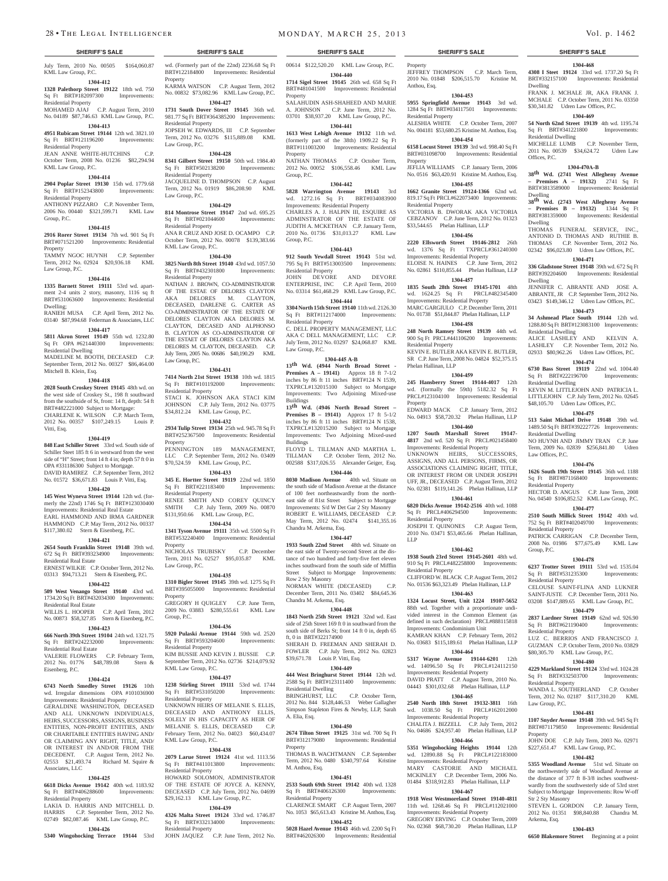#### **SHERIFF'S SALE SHERIFF'S SALE SHERIFF'S SALE SHERIFF'S SALE SHERIFF'S SALE**

July Term, 2010 No. 00505 \$164,060.87 KML Law Group, P.C.

#### **1304-412**

**1328 Palethorp Street 19122** 18th wd. 750 Sq Ft BRT#182097300 Improvements: Residential Property

MOHAMED AJAJ C.P. August Term, 2010 No. 04189 \$87,746.63 KML Law Group, P.C. **1304-413**

## **4951 Rubicam Street 19144** 12th wd. 3821.10 Sq Ft BRT#121196200 Improvements:

Residential Property JEAN ANNE WHITE-HUTCHINS C.P. October Term, 2008 No. 01236 \$82,294.94 KML Law Group, P.C.

#### **1304-414**

**2904 Poplar Street 19130** 15th wd. 1779.68<br>
Sq Ft BRT#152343800 Improvements:

## Sq Ft BRT#152343800

Residential Property ANTHONY PIZZARO C.P. November Term, 2006 No. 00440 \$321,599.71 KML Law Group, P.C.

#### **1304-415**

**2916 Rorer Street 19134** 7th wd. 901 Sq Ft BRT#071521200 Improvements: Residential Property

TAMMY NGOC HUYNH C.P. September Term, 2012 No. 02924 \$20,936.18 KML Law Group, P.C.

#### **1304-416**

**1335 Barnett Street 19111** 53rd wd. apartment 2-4 units 2 story, masonry, 1116 sq ft BRT#531063600 Improvements: Residential Dwelling;

RANIEH MUSA C.P. April Term, 2012 No. 03140 \$87,994.68 Federman & Associates, LLC **1304-417**

**5811 Akron Street 19149** 55th wd. 1232.80 Sq Ft OPA #621440300 Improvements: Residential Dwelling MADELINE M. BOOTH, DECEASED C.P.

September Term, 2012 No. 00327 \$86,464.00 Mitchell B. Klein, Esq.

#### **1304-418**

**2028 South Croskey Street 19145** 48th wd. on the west side of Croskey St., 198 ft southward from the southside of St, front: 14 ft, depth: 54 ft BRT#482221000 Subject to Mortgage: CHARLENE K. WILSON C.P. March Term, 2012 No. 00357 \$107,249.15 Louis P. Vitti, Esq.

#### **1304-419**

**848 East Schiller Street** 33rd wd. South side of Schiller Steet 185 ft 6 in westward from the west side of "H" Street; front 14 ft 4 in; depth 57 ft 0 in OPA #331186300 Subject to Mortgage. DAVID RAMIREZ C.P. September Term, 2012 No. 01572 \$36,671.83 Louis P. Vitti, Esq.

#### **1304-420**

**145 West Wyneva Street 19144** 12th wd. (formerly the 22nd) 1746 Sq Ft BRT#123030400 Improvements: Residential Real Estate EARL HAMMOND AND IRMA GARDNER HAMMOND C.P. May Term, 2012 No. 00337 \$117,380.02 Stern & Eisenberg, P.C.

## **1304-421**

**2654 South Franklin Street 19148** 39th wd. 672 Sq Ft BRT#393234900 Improvements: Residential Real Estate ERNEST WILKIE C.P. October Term, 2012 No. 03313 \$94,713.21 Stern & Eisenberg, P.C.

**1304-422**

WILLIS L. HOOPER C.P. April Term, 2012 No. 00873 \$58,327.85 Stern & Eisenberg, P.C. **1304-423 666 North 39th Street 19104** 24th wd. 1321.75 Sq Ft BRT#242232000 Improvements:

VALERIE FLOWERS C.P. February Term, 2012 No. 01776 \$48,789.08 Stern &

**1304-424 6743 North Smedley Street 19126** 10th wd. Irregular dimensions OPA #101036900 Improvements: Residential Property GERALDINE WASHINGTON, DECEASED AND ALL UNKNOWN INDIVIDUALS, HEIRS, SUCCESSORS, ASSIGNS, BUSINESS ENTITIES, NON-PROFIT ENTITIES, AND/ CHARITABLE ENTITIES HAVING AND OR CLAIMING ANY RIGHT, TITLE, AND/ OR INTEREST IN AND/OR FROM THE DECEDENT. C.P. August Term, 2012 No. 02553 \$21,493.74 Richard M. Squire &

**1304-425 6618 Dicks Avenue 19142** 40th wd. 1183.92 Sq Ft BRT#406288600 Improvements:

LAKIA D. HARRIS AND MITCHELL D. HARRIS C.P. September Term, 2012 No. 02749 \$82,087.46 KML Law Group, P.C. **1304-426**

Residential Real Estate

Residential Real Estate

Eisenberg, P.C.

Associates, LLC

Residential Property

### **1304-435**

**509 West Venango Street 19140** 43rd wd. 1734.20 Sq Ft BRT#432034300 Improvements: **1310 Bigler Street 19145** 39th wd. 1275 Sq Ft Property

2009 No. 03883 \$280,555.61 KML Law Group, P.C.

#### **1304-436**

**5920 Pulaski Avenue 19144** 59th wd. 2520 Sq Ft BRT#593204600 Residential Property

KIM BUSSIE AND KEVIN J. BUSSIE C.P.

**1238 Stirling Street 19111** 53rd wd. 1744 Sq Ft BRT#531050200 Improvements: Residential Property

February Term, 2012 No. 04023 \$60,434.07 KML Law Group, P.C.

#### **1304-438**

Sq Ft BRT#411013800 Improvements: Residential Property HOWARD SOLOMON, ADMINISTRATOR OF THE ESTATE OF JOYCE A. KENNY, DECEASED C.P. July Term, 2012 No. 04699 \$29,162.13 KML Law Group, P.C.

Sq Ft BRT#332134000 Residential Property JOHN JAQUEZ C.P. June Term, 2012 No.

**5340 Wingohocking Terrace 19144** 53rd

wd. (Formerly part of the 22nd) 2236.68 Sq Ft BRT#122184800 Improvements: Residential

Property KARMA WATSON C.P. August Term, 2012 No. 00832 \$73,082.96 KML Law Group, P.C. **1304-427**

**1731 South Dover Street 19145** 36th wd. 981.77 Sq Ft BRT#364385200 Improvements: Residential Property

JOPSEH W. EDWARDS, III C.P. September Term, 2012 No. 03276 \$115,889.08 KML Law Group, P.C.

## **1304-428**

**8341 Gilbert Street 19150** 50th wd. 1984.40 Sq Ft BRT#502138200 Improvements: Residential Property JACQUELINE D. THOMPSON C.P. August Term, 2012 No. 01919 \$86,208.90 KML Law Group, P.C.

#### **1304-429**

**814 Montrose Street 19147** 2nd wd. 695.25 Sq Ft BRT#021044600 Improvements: Residential Property ANA R CRUZ AND JOSE D. OCAMPO C.P. October Term, 2012 No. 00078 \$139,383.66 KML Law Group, P.C.

#### **1304-430**

**3825 North 8th Street 19140** 43rd wd. 1057.50 Sq Ft BRT#432301800 Improvements: Residential Property NATHAN J. BROWN, CO-ADMINISTRATOR OF THE ESTAE OF DELORES CLAYTON AKA DELORES M. CLAYTON, DECEASED, DARLENE G. CARTER AS CO-ADMINISTRATOR OF THE ESTATE OF DELORES CLAYTON AKA DELORES M. CLAYTON, DECASED AND ALPHONSO B. CLAYTON AS CO-ADMINSTRATOR OF THE ESTAET OF DELORES CLAYTON AKA DELORES M. CLAYTON, DECEASED. C.P. July Term, 2005 No. 00686 \$40,190.29 KML Law Group, P.C.

#### **1304-431**

**7414 North 21st Street 19138** 10th wd. 1815 Sq Ft BRT#101192000 Residential Property STACI K. JOHNSON AKA STACI KIM JOHNSON C.P. July Term, 2012 No. 03775

\$34,812.24 KML Law Group, P.C. **1304-432**

**2934 Tulip Street 19134** 25th wd. 945.78 Sq Ft BRT#252367500 Improvements: Residential Property PENNINGTON 189 MANAGEMENT LLC C.P. September Term, 2012 No. 03409

#### \$70,524.59 KML Law Group, P.C. **1304-433**

**345 E. Hortter Street 19119** 22nd wd. 1850 Sq Ft BRT#221183400 Improvements: Residential Property RENEE SMITH AND COREY QUINCY SMITH C.P. July Term, 2009 No. 00870 \$131,950.66 KML Law Group, P.C.

**1304-434 1341 Tyson Avenue 19111** 35th wd. 5500 Sq Ft BRT#532240400 Improvements: Residential Property

NICHOLAS TRUBISKY C.P. December Term, 2011 No. 02527 \$95,035.87 KML Law Group, P.C.

BRT#395055000 Improvements: Residential GREGORY H QUIGLEY C.P. June Term,

September Term, 2012 No. 02736 \$214,079.92 KML Law Group, P.C. **1304-437**

UNKNOWN HEIRS OF MELANIE S. ELLIS, DECEASED AND ANTHONY ELLIS, SOLELY IN HIS CAPACITY AS HEIR OF MELANIE S. ELLIS, DECEASED C.P.

**2079 Larue Street 19124** 41st wd. 1113.56

#### **1304-439**

**4326 Malta Street 19124** 33rd wd. 1746.87<br>Sq Ft BRT#332134000 Improvements:

Property

Property

Anthou, Esq.

Residential Property

Residential Property

JEFFREY THOMPSON C.P. March Term, 2010 No. 01848 \$206,515.70 Kristine M.

**1304-468 4308 I Steet 19124** 33rd wd. 1737.20 Sq Ft BRT#332157100 Improvements: Residential

FRANK J. MCHALE JR, AKA FRANK J. MCHALE C.P. October Term, 2011 No. 03350 \$30,341.82 Udren Law Offices, P.C. **1304-469 54 North 62nd Street 19139** 4th wd. 1195.74 Sq Ft BRT#341221800 Improvements:

MICHELLE LUMB C.P. November Term, 2011 No. 00539 \$34,624.72 Udren Law

**1304-470A-B 38th Wd. (2741 West Allegheny Avenue – Premises A – 19132)** 2741 Sq Ft BRT#3813589000 Improvements: Residential

**38th Wd. (2743 West Allegheny Avenue – Premises B – 19132)** 1344 Sq Ft BRT#381359000 Improvements: Residential

THOMAS FUNERAL SERVICE, INC., ANTONIO D. THOMAS AND RUTHIE B. THOMAS C.P. November Term, 2012 No. 02342 \$96,023.80 Udren Law Offices, P.C. **1304-471 336 Gladstone Street 19148** 39th wd. 672 Sq Ft BRT#392204600 Improvements: Residential

JENNIFER C. ABRANTE AND JOSE A. ABRANTE, JR C.P. September Term, 2012 No. 03423 \$149,346.12 Udren Law Offices, P.C. **1304-473 34 Ashmead Place South 19144** 12th wd. 1288.80 Sq Ft BRT#123083100 Improvements:

ALICE LASHLEY AND KELVIN A. LASHLEY C.P. November Term, 2012 No. 02933 \$80,962.26 Udren Law Offices, P.C. **1304-474 6730 Bass Street 19119** 22nd wd. 1004.40 Sq Ft BRT#222196700 Improvements:

KEVIN M. LITTLEJOHN AND PATRICIA L. LITTLEJOHN C.P. July Term, 2012 No. 02645 \$48,105.70 Udren Law Offices, P.C. **1304-475 513 Saint Michael Drive 19148** 39th wd. 1489.50 Sq Ft BRT#392227726 Improvements:

NO HUYNH AND JIMMY TRAN C.P. June Term, 2009 No. 02839 \$256,841.80 Udren

**1304-476 1626 South 19th Street 19145** 36th wd. 1188 Sq Ft BRT#871168400 Improvements:

HECTOR D. ANGUS C.P. June Term, 2008 No. 04540 \$106,852.52 KML Law Group, P.C. **1304-477 2510 South Millick Street 19142** 40th wd. 752 Sq Ft BRT#402049700 Improvements:

PATRICK CARRIGAN C.P. December Term, 2008 No. 01986 \$77,675.49 KML Law

**1304-478 6237 Trotter Street 19111** 53rd wd. 1535.04 Sq Ft BRT#531235300 Improvements:

CELOUSE SAINT-FLINA AND LUKNER SAINT-JUSTE C.P. December Term, 2011 No. 03208 \$147,889.65 KML Law Group, P.C. **1304-479 2837 Lardner Street 19149** 62nd wd. 926.90 Sq Ft BRT#621190400 Improvements:

LUZ C. BERRIOS AND FRANCISCO J. GUZMAN C.P. October Term, 2010 No. 03829 \$80,305.70 KML Law Group, P.C. **1304-480 4229 Markland Street 19124** 33rd wd. 1024.28<br>
Sq Ft BRT#332503700 Improvements:

WANDA L. SOUTHERLAND C.P. October Term, 2012 No. 02187 \$117,310.20 KML

**1304-481 1107 Snyder Avenue 19148** 39th wd. 945 Sq Ft BRT#871179850 Improvements: Residential

JOHN DOE C.P. July Term, 2003 No. 02971 \$227,651.47 KML Law Group, P.C. **1304-482 5355 Woodland Avenue** 51st wd. Situate on the northwesterly side of Woodland Avenue at the distance of 377 ft 8-3/8 inches southwestwardly from the southwesterly side of 53rd stret Subject to Mortgage Improvements: Row W-off

STEVEN L. GORDON C.P. January Term, 2012 No. 01351 \$98,840.88 Chandra M.

**1304-483 6650 Blakemore Street** Beginning at a point

Dwelling

Residential Dwelling

Offices, P.C.

Dwelling

Dwelling

Dwelling

Residential Dwelling

Residential Dwelling

Residential Dwelling

Law Offices, P.C.

Residential Property

Residential Property

Residential Property

Residential Property

Law Group, P.C.

Str 2 Sty Masonry

Arkema, Esq.

Property

Sq Ft BRT#332503700 Residential Property

Group, P.C.

**1304-453 5955 Springfield Avenue 19143** 3rd wd. 1284 Sq Ft BRT#034117501 Improvements:

ALESHIA WHITE C.P. October Term, 2007 No. 004181 \$53,680.25 Kristine M. Anthou, Esq. **1304-454 6158 Locust Street 19139** 3rd wd. 998.40 Sq Ft BRT#031098700 Improvements: Residential

JEFLIA WILLIAMS C.P. January Term, 2006 No. 0516 \$63,420.91 Kristine M. Anthou, Esq. **1304-455 1662 Granite Street 19124-1366** 62nd wd. 819.17 Sq Ft PRCL#622073400 Improvements:

VICTORIA B. DWORAK AKA VICTORIA CEBZANOV C.P. June Term, 2012 No. 01323 \$33,544.65 Phelan Hallinan, LLP **1304-456 2220 Ellsworth Street 19146-2812** 26th wd. 1376 Sq Ft TXPRCL#361240300 Improvements: Residential Property

ELOISE N. HAINES C.P. June Term, 2012 No. 02861 \$110,855.44 Phelan Hallinan, LLP **1304-457 1835 South 28th Street 19145-1701** 48th wd. 1624.25 Sq Ft PRCL#482345400

KEVIN E. BUTLER AKA KEVIN E. BUTLER, SR C.P. June Term, 2008 No. 04824 \$52,375.15

**1304-459 245 Hansberry Street 19144-4017** 12th wd. (formally the 59th) 5182.32 Sq Ft PRCL#123104100 Improvements: Residential

EDWARD MACK C.P. January Term, 2012 No. 04913 \$58,720.32 Phelan Hallinan, LLP **1304-460 1207 South Marshall Street 19147- 4817** 2nd wd. 520 Sq Ft PRCL#021458400

JOSEPH T. QUINONES C.P. August Term, 2010 No. 03471 \$53,465.66 Phelan Hallinan,

**1304-462 1938 South 23rd Street 19145-2601** 48th wd. 910 Sq Ft PRCL#482258800 Improvements:

CLIFFORD W. BLACK C.P. August Term, 2012 No. 01536 \$63,323.49 Phelan Hallinan, LLP **1304-463 1324 Locust Street, Unit 1224 19107-5652**  88th wd. Together with a proportionate undivided interest in the Common Element (as defined in such declaration) PRCL#888115818

Improvements: Condominium Unit KAMRAN KHAN C.P. February Term, 2012 No. 03683 \$115,189.61 Phelan Hallinan, LLP **1304-464 5317 Wayne Avenue 19144-6201** 12th wd. 14096.50 Sq Ft PRCL#124112150 Improvements: Residential Property DAVID PRATT C.P. August Term, 2010 No. 04443 \$301,032.68 Phelan Hallinan, LLP **1304-465 2540 North 18th Street 19132-3811** 16th wd. 1038.50 Sq Ft PRCL#162012000 Improvements: Residential Property CHALITA J. BIZZELL C.P. July Term, 2012 No. 04686 \$24,957.40 Phelan Hallinan, LLP **1304-466 5351 Wingohocking Heights 19144** 12th wd. 12890.88 Sq Ft PRCL#122183000

Improvements: Residential Property MARY CASTORIE AND MICHAEL MCKINLEY C.P. December Term, 2006 No. 01484 \$318,912.83 Phelan Hallinan, LLP **1304-467 1918 West Westmoreland Street 19140-4811**  11th wd. 1268.46 Sq Ft PRCL#112021000 Improvements: Residential Property GREGORY ERVING C.P. October Term, 2009 No. 02368 \$68,730.20 Phelan Hallinan, LLP

Improvements: Residential Property UNKNOWN HEIRS, SUCCESSORS, ASSIGNS, AND ALL PERSONS, FIRMS, OR ASSOCIATIONS CLAIMING RIGHT, TITLE, OR INTEREST FROM OR UNDER JOSEPH UFF, JR., DECEASED C.P. August Term, 2012 No. 02381 \$119,141.26 Phelan Hallinan, LLP **1304-461 6820 Dicks Avenue 19142-2516** 40th wd. 1088 Sq Ft PRCL#406294500 Improvements:

Residential Property

Residential Property

LLP

Improvements: Residential Property MARC GARGIULO C.P. December Term, 2011 No. 01738 \$51,844.87 Phelan Hallinan, LLP **1304-458 248 North Ramsey Street 19139** 44th wd. 900 Sq Ft PRCL#441106200 Improvements:

Residential Property

Phelan Hallinan, LLP

Property

00614 \$122,520.20 KML Law Group, P.C.

#### **1304-440**

**1714 Sigel Street 19145** 26th wd. 658 Sq Ft BRT#481041500 Improvements: Residential Property

SALAHUDIN ASH-SHAHEED AND MARIE A. JOHNSON C.P. June Term, 2012 No. 03701 \$38,937.20 KML Law Group, P.C.

**1304-441 1613 West Lehigh Avenue 19132** 11th wd.

(formerly part of the 38th) 1909.22 Sq Ft BRT#111003200 Improvements: Residential Property

NATHAN THOMAS C.P. October Term. 2012 No. 00052 \$106,558.46 KML Law Group, P.C.

#### **1304-442**

**5828 Warrington Avenue 19143** 3rd wd. 1272.16 Sq Ft BRT#034083900 Improvements: Residential Property CHARLES A. J. HALPIN III, ESQUIRE AS ADMINSTRATOR OF THE ESTATE OF

JUDITH A. MCKETHAN C.P. January Term, 2010 No. 01736 \$31,013.27 KML Law Group, P.C.

## **1304-443**

**912 South Yewdall Street 19143** 51st wd. 795 Sq Ft BRT#513003500 Improvements: Residential Property JOHN DEVORE AND DEVORE ENTERPRISE, INC C.P. April Term, 2010 No. 03314 \$61,468.29 KML Law Group, P.C.

## **1304-444**

**3304 North 15th Street 19140** 11th wd. 2126.30 Sq Ft BRT#112174000 Improvements: Residential Property C. DELL PROPERTY MANAGEMENT, LLC

AKA C DELL MANAGEMENT, LLC C.P. July Term, 2012 No. 03297 \$24,068.87 KML Law Group, P.C.

#### **1304-445 A-B**

**13th Wd. (4944 North Broad Street - Premises A – 19141)** Approx 18 ft 7-1/2 inches by 86 ft 11 inches BRT#124 N 1539, TXPRCL#132015100 Subject to Mortgage Improvements: Two Adjoining Mixed-use **Buildings** 

**13th Wd.** (**4946 North Broad Street – Premises B – 19141)** Approx 17 ft 5-1/2 inches by 86 ft 11 inches BRT#124 N 1538, TXPRCL#132015200 Subject to Mortgage Improvements: Two Adjoining Mixed-used Buildings FLOYD L. TILLMAN AND MARTHA L.

TILLMAN C.P. October Term, 2012 No. 002588 \$317,026.55 Alexander Geiger, Esq. **1304-446**

**8030 Madison Avenue** 40th wd. Situate on the south side of Madison Avenue at the distance of 100 feet northeastwardly from the northeast side of 81st Street Subject to Mortgage Improvements: S/d W Det Gar 2 Sty Masonry ROBERT E. WILLIAMS, DECEASED C.P. May Term, 2012 No. 02474 \$141,355.16 Chandra M. Arkema, Esq.

#### **1304-447**

**1933 South 22nd Street** 48th wd. Situate on the east side of Twenty-second Street at the distance of two hundred and forty-five feet eleven inches southward from the south side of Mifflin Street Subject to Mortgage Improvements: Row 2 Sty Masonry

NORMAN WHITE (DECEASED) C.P. December Term, 2011 No. 03402 \$84,645.36 Chandra M. Arkema, Esq. **1304-448**

**1843 North 25th Street 19121** 32nd wd. East side of 25th Street 169 ft 0 in southward from the south side of Berks St; front 14 ft 0 in, depth 65

SHERAH D. FREEMAN AND SHERAH D. FOWLER C.P. July Term, 2012 No. 02823

**1304-449 444 West Bringhurst Street 19144** 12th wd. 2588 Sq Ft BRT#123111400 Improvements:

BRINGHURST, LLC C.P. October Term, 2012 No. 844 \$128,446.53 Weber Gallagher Simpson Stapleton Fires & Newby, LLP, Sarah

**1304-450 2674 Tilton Street 19125** 31st wd. 700 Sq Ft BRT#312179080 Improvements: Residential

THOMAS B. WACHTMANN C.P. September Term, 2012 No. 0480 \$340,797.64 Kristine

**1304-451 2533 South 69th Street 19142** 40th wd. 1328 Sq Ft BRT#406126300 Improvements:

CLARENCE SMART C.P. August Term, 2007 No. 1053 \$65,613.43 Kristine M. Anthou, Esq. **1304-452 5028 Hazel Avenue 19143** 46th wd. 2200 Sq Ft BRT#462026300 Improvements: Residential

ft, 0 in BRT#322174900

Residential Dwelling

A. Elia, Esq.

Property

M. Anthou, Esq.

Residential Property

\$39,671.78 Louis P. Vitti, Esq.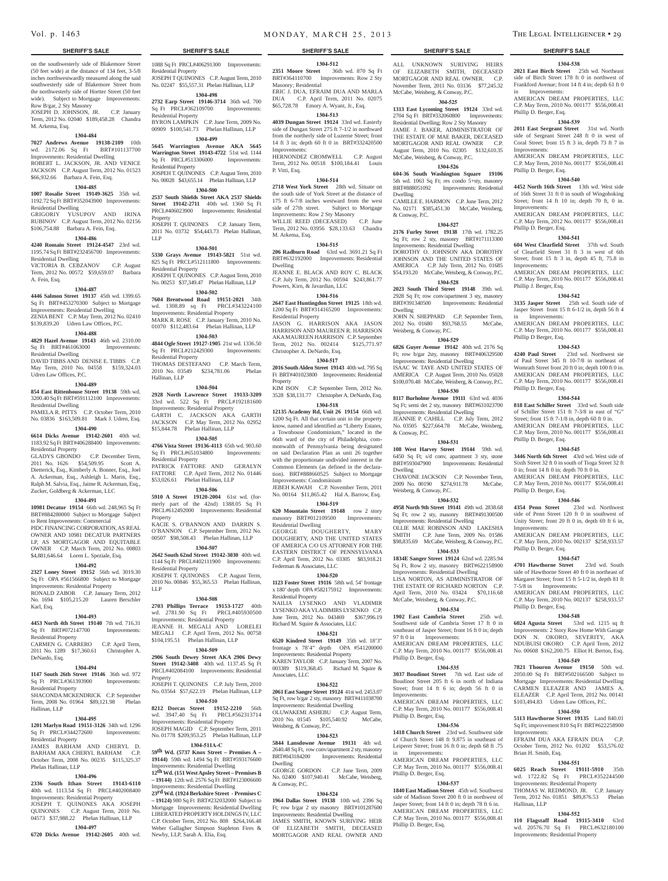on the southwesterly side of Blakemore Street (50 feet wide) at the distance of 134 feet, 3-5/8 inches northwestwardly measured along the said southwesterly side of Blakemore Street from the northwesterly side of Hortter Street (50 feet wide). Subject to Mortgage Improvements: Row B/gar, 2 Sty Masonry

JOSEPH D. JOHNSON, JR. C.P. January Term, 2012 No. 02040 \$189,458.28 Chandra M. Arkema, Esq.

#### **1304-484**

**7027 Andrews Avenue 19138-2109** 10th wd. 2172.06 Sq Ft BRT#101137700 Improvements: Residential Dwelling ROBERT L. JACKSON, JR. AND VENICE JACKSON C.P. August Term, 2012 No. 01523 \$66,932.66 Barbara A. Fein, Esq.

## **1304-485**

**1007 Rosalie Street 19149-3625** 35th wd. 1192.72 Sq Ft BRT#352043900 Improvements: Residential Dwelling GRIGORIY YUSUPOV AND IRINA RUBINOV C.P. August Term, 2012 No. 02156

## \$106,754.88 Barbara A. Fein, Esq.

**1304-486 4240 Romain Street 19124-4547** 23rd wd. 1195.74 Sq Ft BRT#232456700 Improvements:

Residential Dwelling VICTORIA B. CEBZANOV C.P. August Term, 2012 No. 00572 \$59,659.07 Barbara A. Fein, Esq.

#### **1304-487**

**4446 Salmon Street 19137** 45th wd. 1399.65 Sq Ft BRT#453270300 Subject to Mortgage Improvements: Residential Dwelling ZENIA BENT C.P. May Term, 2012 No. 02410 \$139,839.20 Udren Law Offices, P.C.

#### **1304-488**

**4829 Hazel Avenue 19143** 46th wd. 2310.00<br>Sq Ft BRT#461063000 Improvements: Sq Ft BRT#461063000 Residential Dwelling DAVID TIBBS AND DENISE E. TIBBS C.P.

May Term, 2010 No. 04558 \$159,324.03 Udren Law Offices, P.C. **1304-489**

### **854 East Rittenhouse Street 19138** 59th wd.

3200.40 Sq Ft BRT#591112100 Improvements: Residential Dwelling

PAMELA R. PITTS C.P. October Term, 2010 No. 03836 \$163,509.81 Mark J. Udren, Esq. **1304-490**

#### **6614 Dicks Avenue 19142-2601** 40th wd. 1183.92 Sq Ft BRT#406288400 Improvements:

Residential Property GLADYS GBONDO C.P. December Term, 2011 No. 1626 \$54,509.95 Scott A. Dietterick, Esq., Kimberly A. Bonner, Esq., Joel A. Ackerman, Esq., Ashleigh L. Marin, Esq., Ralph M. Salvia, Esq., Jaime R. Ackerman, Esq., Zucker, Goldberg & Ackerman, LLC

#### **1304-491**

**10981 Decatur 19154** 66th wd. 248,965 Sq Ft BRT#884280000 Subject to Mortgage Subject to Rent Improvements: Commercial PIDC FINANCING CORPORATION, AS REAL. OWNER AND 10981 DECATUR PARTNERS LP, AS MORTGAGOR AND EQUITABLE OWNER C.P. March Term, 2012 No. 00803 \$4,881,646.64 Loren L. Speziale, Esq.

#### **1304-492**

**2327 Loney Street 19152** 56th wd. 3019.30 Sq Ft OPA #561566800 Subject to Mortgage Improvements: Residential Property RONALD ZABOR C.P. January Term, 2012 No. 1694 \$105,215.20 Lauren Berschler Karl, Esq.

### **1304-493**

**4453 North 4th Street 19140** 7th wd. 716.31

#### Sq Ft BRT#072147700 Improvements:

Residential Property CARMEN G. CARRERO C.P. April Term, 2011 No. 1289 \$17,360.61 Christopher A. DeNardo, Esq.

#### **1304-494**

**1147 South 26th Street 19146** 36th wd. 972 Sq Ft PRCL#361393900 Improvements: Residential Property SHACONDA MCKENDRICK C.P. September

Term, 2008 No. 01964 \$89,121.98 Phelan Hallinan, LLP

### **1304-495**

**1201 Marlyn Road 19151-3126** 34th wd. 1296 Sq Ft PRCL#344272600 Improvements: Residential Property JAMES BARHAM AND CHERYL D. BARHAM AKA CHERYL BARHAM C.P.

## October Term, 2008 No. 00235 \$115,325.37 Phelan Hallinan, LLP

## **1304-496**

**2336 South Ithan Street 19143-6110**  40th wd. 1113.54 Sq Ft PRCL#402008400 Improvements: Residential Property JOSEPH T. QUINONES AKA JOSEPH QUINONES C.P. August Term, 2010 No.

## 04573 \$37,988.22 Phelan Hallinan, LLP **1304-497**

**6720 Dicks Avenue 19142-2605** 40th wd.

## **SHERIFF'S SALE SHERIFF'S SALE SHERIFF'S SALE SHERIFF'S SALE SHERIFF'S SALE**

1088 Sq Ft PRCL#406291300 Improvements: Residential Property JOSEPH T QUINONES C.P. August Term, 2010 No. 02247 \$55,557.31 Phelan Hallinan, LLP

#### **1304-498**

**2732 Earp Street 19146-3714** 36th wd. 700 Sq Ft PRCL#362109700 Improvements: Residential Property BYRON LAMPKIN C.P. June Term, 2009 No. 00909 \$100,541.73 Phelan Hallinan, LLP

## **1304-499**

**5645 Warrington Avenue AKA 5645 Warrington Street 19143-4722** 51st wd. 1144 Sq Ft PRCL#513306000 Improvements: Residential Property JOSPEH T. QUINONES C.P. August Term, 2010 No. 00028 \$43,655.14 Phelan Hallinan, LLP

#### **1304-500**

**2537 South Shields Street AKA 2537 Shields Street 19142-2711** 40th wd. 1360 Sq Ft PRCL#406023900 Improvements: Residential Property JOSEPH T. QUINONES C.P. January Term, 2011 No. 03732 \$54,443.73 Phelan Hallinan,

LLP **1304-501**

**5330 Grays Avenue 19143-5821** 51st wd. 825 Sq Ft PRCL#512111800 Improvements: Residential Property JOSEPH T. QUINONES C.P. August Term, 2010 No. 00253 \$37,349.47 Phelan Hallinan, LLP

#### **1304-502**

**7604 Brentwood Road 19151-2021** 34th wd. 1308.89 sq Ft PRCL#343224100 Improvements: Residential Property MARK R. ROSE C.P. January Term, 2010 No. 01070 \$112,483.64 Phelan Hallinan, LLP

## **1304-503**

**4844 Ogle Street 19127-1905** 21st wd. 1336.50 Sq Ft PRCL#212429300 Improvements: Residential Property THOMAS DESTEFANO C.P. March Term, 2010 No. 03549 \$234,781.06 Phelan

Hallinan, LLP

**1304-504 2928 North Lawrence Street 19133-3209**  33rd wd. 522 Sq Ft PRCL#192181600 Improvements: Residential Property GARTH C. JACKSON AKA GARTH JACKSON C.P. May Term, 2012 No. 02952 \$15,844.78 Phelan Hallinan, LLP

#### **1304-505**

**4766 Vista Street 19136-4113** 65th wd. 903.60 Sq Ft PRCL#651034800 Improvements: Residential Property PATRICK FATTORE AND GERALYN FATTORE C.P. April Term, 2012 No. 01446 \$53,026.61 Phelan Hallinan, LLP

#### **1304-506**

**5910 A Street 19120-2004** 61st wd. (formerly part of the 42nd) 1388.05 Sq Ft PRCL#612492000 Improvements: Residential Property

KACIE S. O'BANNON AND DARRIN S. O'BANNON C.P. September Term, 2012 No. 00507 \$98,508.43 Phelan Hallinan, LLP

### **1304-507**

**2642 South 62nd Street 19142-3030** 40th wd. 1144 Sq Ft PRCL#402111900 Improvements: Residential Property JOSEPH T. QUINONES C.P. August Term, 2010 No. 00846 \$55,365.53 Phelan Hallinan, LLP

#### **1304-508**

**2703 Phillips Terrace 19153-1727** 40th wd. 2781.90 Sq Ft PRCL#405930500 Improvements: Residential Property JEANNE H. MEGALI AND LORELEI MEGALI C.P. April Term, 2012 No. 00758

\$104,195.51 Phelan Hallinan, LLP **1304-509**

#### **2906 South Dewey Street AKA 2906 Dewy Street 19142-3408** 40th wd. 1137.45 Sq Ft

PRCL#402084100 Improvements: Residential Property JOSEPH T. QUINONES C.P. July Term, 2010 No. 03564 \$57,622.19 Phelan Hallinan, LLP

#### **1304-510**

**8212 Dorcas Street 19152-2210** 56th wd. 3947.40 Sq Ft PRCL#562313714 Improvements: Residential Property JOSEPH MAGID C.P. September Term, 2011 No. 01778 \$209,953.25 Phelan Hallinan, LLP

#### **1304-511A-C**

**59th Wd. (5737 Knox Street – Premises A – 19144)** 59th wd. 1494 Sq Ft BRT#593176600 Improvements: Residential Dwelling

**12th Wd. (151 West Apsley Street – Premises B – 19144)** 12th wd. 2576 Sq Ft BRT#123006600 Improvements: Residential Dwelling

**23rd Wd. (1924 Berkshire Street - Premises C – 19124)** 980 Sq Ft BRT#232032000 Subject to Mortgage Improvements: Residential Dwelling LIBERATED PROPERTY HOLDINGS IV, LLC C.P. October Term, 2012 No. 808 \$264,166.48 Weber Gallagher Simpson Stapleton Fires & Newby, LLP, Sarah A. Elia, Esq.

## Vol. p. 1463 **MONDAY, MARCH 25, 2013** THE LEGAL INTELLIGENCER • 29

**1304-512 2351 Moore Street** 36th wd. 870 Sq Ft BRT#364110700 Improvements: Row 2 Sty

ERIC J. DUA, EFRAIM DUA AND MARLA DUA C.P. April Term, 2011 No. 02075 \$65,728.78 Emory A. Wyant, Jr., Esq. **1304-513 4039 Dungan Street 19124** 33rd wd. Easterly side of Dungan Street 275 ft 7-1/2 in northward from the northerly side of Luzerne Street; front 14 ft 3 in; depth 60 ft 0 in BRT#332420500

HERNONDEZ CROMWELL C.P. August Term, 2012 No. 00518 \$100,184.41 Louis

**1304-514 2718 West York Street** 28th wd. Situate on the south side of York Street at the distance of 175 ft 6-7/8 inches westward from the west side of 27th street. Subject to Mortgage Improvements: Row 2 Sty Masonry WILLIE REED (DECEASED) C.P. June Term, 2012 No. 03956 \$28,133.63 Chandra

**1304-515 206 Radburn Road** 63rd wd. 3691.21 Sq Ft BRT#632192000 Improvements: Residential

JEANNE E. BLACK AND ROY C. BLACK C.P. July Term, 2012 No. 00594 \$243,861.77

**1304-516**

AKA MAUREEN HARRISON C.P. September Term, 2012 No. 002414 \$125,771.97

**1304-517 2016 South Alden Street 19143** 40th wd. 795 Sq Ft BRT#401023800 Improvements: Residential

KIM ISON C.P. September Term, 2012 No. 3528 \$38,131.77 Christopher A. DeNardo, Esq. **1304-518 12135 Academy Rd, Unit 26 19154** 66th wd. 1200 Sq Ft. All that certain unit in the property know, named and identified as "Liberty Estates, a Townhouse Condominium," located in the 66th ward of the city of Philadelphia, commonwalth of Pennsylvania being designated on said Declaration Plan as unit 26 together with the proportionate undivided interest in the Common Elements (as defined in the declaration). BRT#888660525 Subject to Mortgage

JEBEH KAWAH C.P. November Term, 2011 No. 00164 \$11,865.42 Hal A. Barrow, Esq. **1304-519 620 Mountain Street 19148** row 2 story masonry BRT#012109500 Improvements:

DOUGHERTY, AND THE UNITED STATES OF AMERICA C/O US ATTORNEY FOR THE EASTERN DISTRICT OF PENNSYLVANIA C.P. April Term, 2012 No. 03305 \$83,918.21

**1304-520 1123 Foster Street 19116** 58th wd. 54' frontage x 180' depth OPA #582175912 Improvements:

NAILIA LYSENKO AND VLADIMIR LYSENKO AKA VLADIMIRS LYSENKO C.P. June Term, 2012 No. 043469 \$367,996.19 Richard M. Squire & Associates, LLC **1304-521 6520 Kindred Street 19149** 35th wd. 18'3" frontage x 78'4" depth OPA #541200000

**1304-522 2061 East Sanger Street 19124** 41st wd. 2453.07 Sq Ft, row b/gar 2 sty, masonry BRT#411038700 Improvements: Residential Dwelling

OLUWAKEMI ASHEBU C.P. August Term,<br>2010 No. 01545 \$105,540.92 McCabe, 2010 No. 01545 \$105,540.92 Weisberg, & Conway, P.C.

**1304-523 5844 Lansdowne Avenue 19131** 4th wd. 2640.48 Sq Ft, row conv/apartment 2 sty, masonry BRT#043184200 Improvements: Residential

GEORGE GORDON C.P. June Term, 2009 No. 02400 \$107,940.41 McCabe, Weisberg,

**1304-524 1964 Dallas Street 19138** 10th wd. 2396 Sq Ft; row b/gar 2 sty masonry BRT#101287600 Improvements: Residential Dwelling JAMES SMITH, KNOWN SURIVING HEIR OF ELIZABETH SMITH, DECEASED MORTGAGOR AND REAL OWNER AND

DOUGHERTY, MARY

Powers, Kirn, & Javardian, LLC

Christopher A. DeNardo, Esq.

Improvements: Condominium

Residential Dwelling<br>GEORGE DOI

Residential Property

Associates, LLC

Dwelling

& Conway, P.C.

Federman & Associates, LLC

Improvements: Residential Property KAREN TAYLOR C.P. January Term, 2007 No. 003389 \$119,368.45 Richard M. Squire &

Masonry; Residential

Improvements:

P. Vitti, Esq.

M. Arkema, Esq.

Residential Property

Dwelling

Property

ALL UNKNOWN SURIVING HEIRS OF ELIZABETH SMITH, DECEASED MORTGAGOR AND REAL OWNER. C.P. November Term, 2011 No. 03136 \$77,245.32 McCabe, Weisberg, & Conway, P.C.

**1304-538 2021 East Birch Street** 25th wd. Northeast side of Birch Street 178 ft 0 in northwest of Frankford Avenue; front 14 ft 4 in; depth 61 ft 0

AMERICAN DREAM PROPERTIES, LLC C.P. May Term, 2010 No. 001177 \$556,008.41

**1304-539 2011 East Sergeant Street** 31st wd. North side of Sergeant Street 248 ft 0 in west of Coral Street; front 15 ft 3 in, depth 73 ft 7 in

AMERICAN DREAM PROPERTIES, LLC C.P. May Term, 2010 No. 001177 \$556,008.41

**1304-540 4452 North 16th Street** 13th wd. West side of 16th Street 31 ft 0 in south of Wingohoking Street; front 14 ft 10 in; depth 70 ft, 0 in.

AMERICAN DREAM PROPERTIES, LLC C.P. May Term, 2012 No. 001177 \$556,008.41

**1304-541 604 West Clearfield Street** 37th wd. South of Clearfield Street 31 ft 3 in west of 6th Street; front 15 ft 3 in, depth 45 ft, 75.8 in

AMERICAN DREAM PROPERTIES, LLC C.P. May Term, 2010 No. 001177 \$556,008.41

**1304-542 3135 Jasper Street** 25th wd. South side of Jasper Street front 15 ft 6-1/2 in, depth 56 ft 4

AMERICAN DREAM PROPERTIES, LLC C.P. May Term, 2010 No. 001177 \$556,008.41

**1304-543 4240 Paul Street** 23rd wd. Northwest sie of Paul Street 345 ft 10-7/8 in northeast of Womrath Street front 20 ft 0 in; depth 100 ft 0 in. AMERICAN DREAM PROPERTIES, LLC C.P. May Term, 2010 No. 001177 \$556,008.41

**1304-544 818 East Schiller Street** 33rd wd. South side of Schiller Street 151 ft 7-3/8 in east of "G" Street; front 15 ft 7-1/8 in, depth 60 ft 0 in. AMERICAN DREAM PROPERTIES, LLC C.P. May Term, 2010 No. 001177 \$556,008.41

**1304-545 3446 North 6th Street** 43rd wd. West side of Sixth Street 32 ft 0 in south of Tioga Street 32 ft 0 in; front 14 ft 0 in; depth 70 ft 0 in. AMERICAN DREAM PROPERTIES, LLC C.P. May Term, 2010 No. 001177 \$556,008.41

**1304-546 4354 Penn Street** 23rd wd. Northwest side of Penn Street 120 ft 0 in southwest of Unity Street; front 20 ft 0 in, depth 69 ft 6 in,

AMERICAN DREAM PROPERTIES, LLC C.P. May Term, 2010 No. 002137 \$258,933.57

**1304-547 4701 Hawthorne Street** 23rd wd. South side of Hawthorne Street 40 ft 0 in northeast of Margaret Street; front 15 ft 5-1/2 in, depth 81 ft

AMERICAN DREAM PROPERTIES, LLC C.P. May Term, 2010 No. 002137 \$258,933.57

**1304-548 6024 Agusta Street** 53rd wd. 1215 sq ft Improvements: 2 Story Row Home With Garage DON N. OKORO, SEVERITY, AKA NDUBUISI OKORO C.P. April Term, 2012 No. 00608 \$162,200.75 Elliot H. Berton, Esq. **1304-549 7821 Thouron Avenue 19150** 50th wd. 2050.00 Sq Ft BRT#502166500 Subject to Mortgage Improvements: Residential Dwelling CARMEN ELEAZER AND JAMES A. ELEAZER C.P. April Term, 2012 No. 00141 \$103,494.83 Udren Law Offices, P.C. **1304-550 5113 Hawthorne Street 19135** Land 840.01 Sq Ft; improvement 810 Sq Ft BRT#622258900

EFRAIM DUA AKA EFRAIN DUA C.P. October Term, 2012 No. 01202 \$53,576.02

**1304-551 6025 Reach Street 19111-5910** 35th wd. 1722.82 Sq Ft PRCL#352244500 Improvements: Residential Property THOMAS W. REDMOND, JR. C.P. January Term, 2012 No. 01851 \$89,876.53 Phelan

**1304-552 110 Flagstaff Road 19115-3410** 63rd wd. 20576.70 Sq Ft PRCL#632180100 Improvements: Residential Property

in Improvements:

Phillip D. Berger, Esq.

Phillip D. Berger, Esq.

Phillip D. Berger, Esq.

Improvements:

Improvements:

Improvements:

Phillip J. Berger, Esq.

in Improvements:

Phillip D Berger, Esq.

Phillip D. Berger, Esq.

Phillip D. Berger, Esq.

Phillip D. Berger, Esq.

Phillip D. Berger, Esq.

7-5/8 in Improvements:

Phillip D. Berger, Esq.

Improvements:

Hallinan, LLP

Brian H. Smith, Esq.

Improvements:

## **304-525**

**1313 East Lycoming Street 19124** 33rd wd. 2704 Sq Ft BRT#332060800 Improvements: Residential Dwelling; Row 2 Sty Masonry JAMIE J. BAKER, ADMINISTRATOR OF THE ESTATE OF MAE BAKER, DECEASED MORTGAGOR AND REAL OWNER C.P. August Term, 2010 No. 02305 \$132,610.35 McCabe, Weisberg, & Conway, P.C.

## **1304-526**

**604-36 South Washington Square 19106**  5th wd. 1063 Sq Ft; res condo 5+sty, masonry BRT#888051092 Improvements: Residential Dwelling

CAMILLE E. HARMON C.P. June Term, 2012 No. 02171 \$385,451.30 McCabe, Weisberg, & Conway, P.C.

#### **1304-527**

**2176 Furley Street 19138** 17th wd. 1782.25 Sq Ft; row 2 sty, masonry BRT#171113300 Improvements: Residential Dwelling DOROTHY O. JOHNSON AKA DOROTHY JOHNSON AND THE UNITED STATES OF AMERICA C.P. July Term, 2012 No. 01685 \$54,193.20 McCabe, Weisberg, & Conway, P.C. **1304-528**

#### **2023 South Third Street 19148** 39th wd. 2928 Sq Ft; row conv/apartment 3 sty, masonry

**2647 East Huntingdon Street 19125** 18th wd. 1200 Sq Ft BRT#314165200 Improvements: JASON G. HARRISON AKA JASON HARRISON AND MAUREEN R. HARRISON BRT#391340500 Improvements: Residential Dwelling JOHN N. SHEPPARD C.P. September Term, 2012 No. 01680 \$93,768.55 McCabe, Weisberg, & Conway, P.C.

#### **1304-529**

**6826 Guyer Avenue 19142** 40th wd. 2176 Sq Ft; row b/gar 2sty, masonry BRT#406329500 Improvements: Residential Dwelling ISAAC W. TAYE AND UNITED STATES OF AMERICA C.P. August Term, 2010 No. 05028 \$100,070.48 McCabe, Weisberg, & Conway, P.C.

## **1304-530**

**8117 Burholme Avenue 19111** 63rd wd. 4036 Sq Ft; semi det 2 sty, masonry BRT#631023700 Improvements: Residential Dwelling JEANNIE P. CAHILL C.P. July Term, 2012 No. 03505 \$227,664.78 McCabe, Weisberg, & Conway, P.C.

#### **1304-531**

**108 West Harvey Street 19144** 59th wd. 6450 Sq Ft; s/d conv, apartment 3 sty, stone BRT#593047900 Improvements: Residential Dwelling

CHAVONE JACKSON C.P. November Term, 2009 No. 00190 \$274,911.78 McCabe, Weisberg, & Conway, P.C.

## **1304-532**

**4958 North 9th Street 19141** 49th wd. 2838.68 Sq Ft; row 2 sty, masonry BRT#491300500 Improvements: Residential Dwelling OLLIE MAE ROBINSON AND LAKESHA SMITH C.P. June Term, 2009 No. 01586 \$98,835.69 McCabe, Weisberg, & Conway, P.C.

## **1304-533**

**1834E Sanger Street 19124** 62nd wd. 2285.94 Sq Ft, Row 2 sty, masonry BRT#622158900 Improvements: Residential Dwelling LISA NORTON, AS ADMINISTRATOR OF THE ESTATE OF RICHARD NORTON C.P. April Term, 2010 No. 03424 \$70,116.68 McCabe, Weisberg, & Conway, P.C.

## **1304-534**

**1902 East Cambria Street** 25th wd. Southwest side of Cambria Street 17 ft 0 in southeast of Jasper Street; front 16 ft 0 in; depth 97 ft 0 in Improvements: AMERICAN DREAM PROPERTIES, LLC C.P. May Term, 2010 No. 001177 \$556,008.41

**3037 Boudinot Street** 7th wd. East side of Boudinot Street 205 ft 6 in north of Indiana Street; front 14 ft 6 in; depth 56 ft 0 in

AMERICAN DREAM PROPERTIES, LLC C.P. May Term, 2010 No. 001177 \$556,008.41

**1304-536 1418 Church Street** 23rd wd. Southwest side of Church Street 148 ft 9.875 in southeast of Leiperer Street; front 16 ft 0 in; depth 68 ft .75

AMERICAN DREAM PROPERTIES, LLC C.P. May Term, 2010 No. 001177 \$556,008.41

**1304-537 1840 East Madison Street** 45th wd. Southwest side of Madison Street 200 ft 0 in northwest of Jasper Street; front 14 ft 0 in; depth 78 ft 6 in. AMERICAN DREAM PROPERTIES, LLC C.P. May Term, 2010 No. 001177 \$556,008.41

#### **1304-535**

Phillip D. Berger, Esq.

Phillip D. Berger, Esq.

in Improvements:

Phillip D. Berger, Esq.

Phillip D. Berger, Esq.

Improvements: